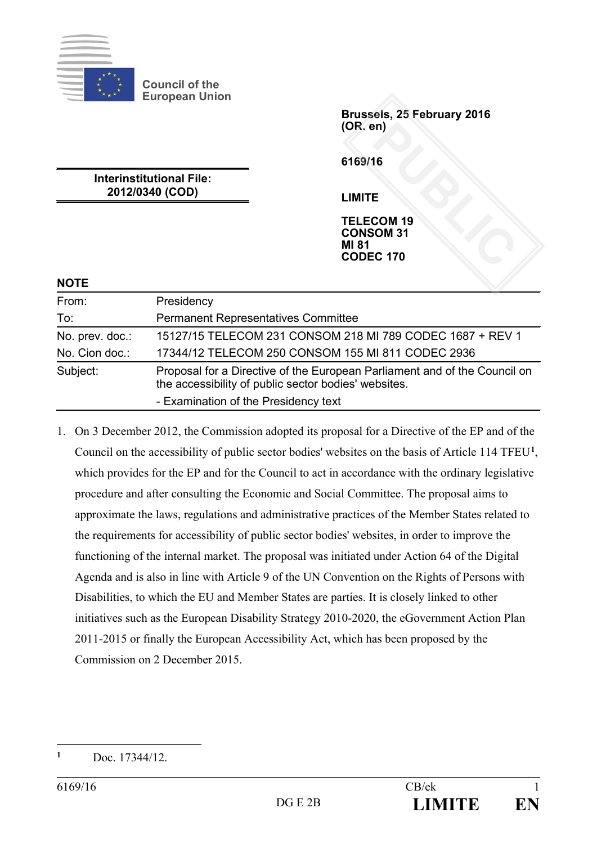

**Council of the European Union**

> **Brussels, 25 February 2016 (OR. en)**

**6169/16**

**Interinstitutional File: 2012/0340 (COD)**

**LIMITE**

**TELECOM 19 CONSOM 31 MI 81 CODEC 170** PM<br> **PUBLIC**<br> **E**<br> **COM 19**<br> **COM 31**<br> **COM 31** 

## **NOTE**

| From:           | Presidency                                                                                                                        |
|-----------------|-----------------------------------------------------------------------------------------------------------------------------------|
| To:             | <b>Permanent Representatives Committee</b>                                                                                        |
| No. prev. doc.: | 15127/15 TELECOM 231 CONSOM 218 MI 789 CODEC 1687 + REV 1                                                                         |
| No. Cion doc.:  | 17344/12 TELECOM 250 CONSOM 155 MI 811 CODEC 2936                                                                                 |
| Subject:        | Proposal for a Directive of the European Parliament and of the Council on<br>the accessibility of public sector bodies' websites. |
|                 | - Examination of the Presidency text                                                                                              |

1. On 3 December 2012, the Commission adopted its proposal for a Directive of the EP and of the Council on the accessibility of public sector bodies' websites on the basis of Article 114 TFEU**[1](#page-0-0)**, which provides for the EP and for the Council to act in accordance with the ordinary legislative procedure and after consulting the Economic and Social Committee. The proposal aims to approximate the laws, regulations and administrative practices of the Member States related to the requirements for accessibility of public sector bodies' websites, in order to improve the functioning of the internal market. The proposal was initiated under Action 64 of the Digital Agenda and is also in line with Article 9 of the UN Convention on the Rights of Persons with Disabilities, to which the EU and Member States are parties. It is closely linked to other initiatives such as the European Disability Strategy 2010-2020, the eGovernment Action Plan 2011-2015 or finally the European Accessibility Act, which has been proposed by the Commission on 2 December 2015.

<span id="page-0-0"></span> $\mathbf{1}$ **<sup>1</sup>** Doc. 17344/12.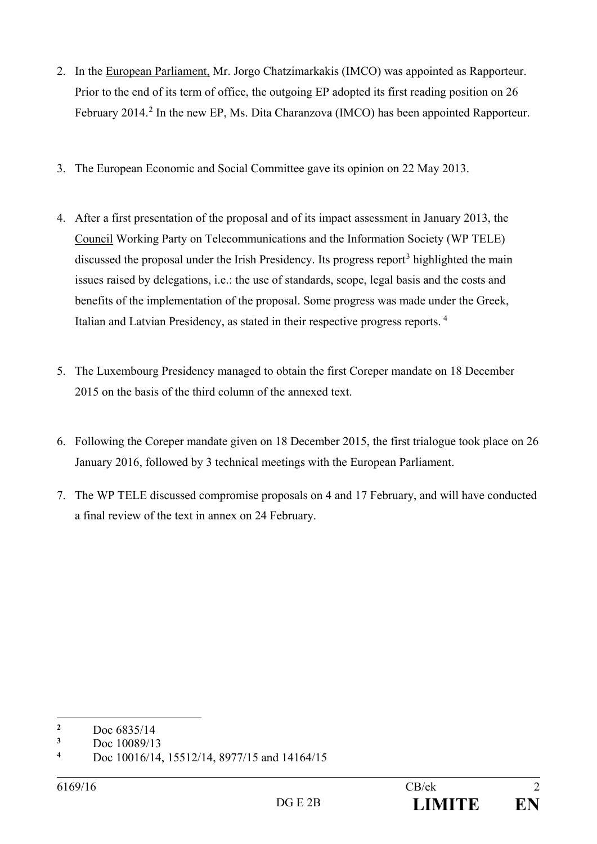- 2. In the European Parliament, Mr. Jorgo Chatzimarkakis (IMCO) was appointed as Rapporteur. Prior to the end of its term of office, the outgoing EP adopted its first reading position on 26 February [2](#page-1-0)014.<sup>2</sup> In the new EP, Ms. Dita Charanzova (IMCO) has been appointed Rapporteur.
- 3. The European Economic and Social Committee gave its opinion on 22 May 2013.
- 4. After a first presentation of the proposal and of its impact assessment in January 2013, the Council Working Party on Telecommunications and the Information Society (WP TELE) discussed the proposal under the Irish Presidency. Its progress report<sup>[3](#page-1-1)</sup> highlighted the main issues raised by delegations, i.e.: the use of standards, scope, legal basis and the costs and benefits of the implementation of the proposal. Some progress was made under the Greek, Italian and Latvian Presidency, as stated in their respective progress reports. [4](#page-1-2)
- 5. The Luxembourg Presidency managed to obtain the first Coreper mandate on 18 December 2015 on the basis of the third column of the annexed text.
- 6. Following the Coreper mandate given on 18 December 2015, the first trialogue took place on 26 January 2016, followed by 3 technical meetings with the European Parliament.
- 7. The WP TELE discussed compromise proposals on 4 and 17 February, and will have conducted a final review of the text in annex on 24 February.

<span id="page-1-0"></span> $\overline{a}$ <sup>2</sup> Doc  $\frac{6835}{14}$ 

<span id="page-1-1"></span> $\frac{3}{4}$  Doc 10089/13

<span id="page-1-2"></span>**<sup>4</sup>** Doc 10016/14, 15512/14, 8977/15 and 14164/15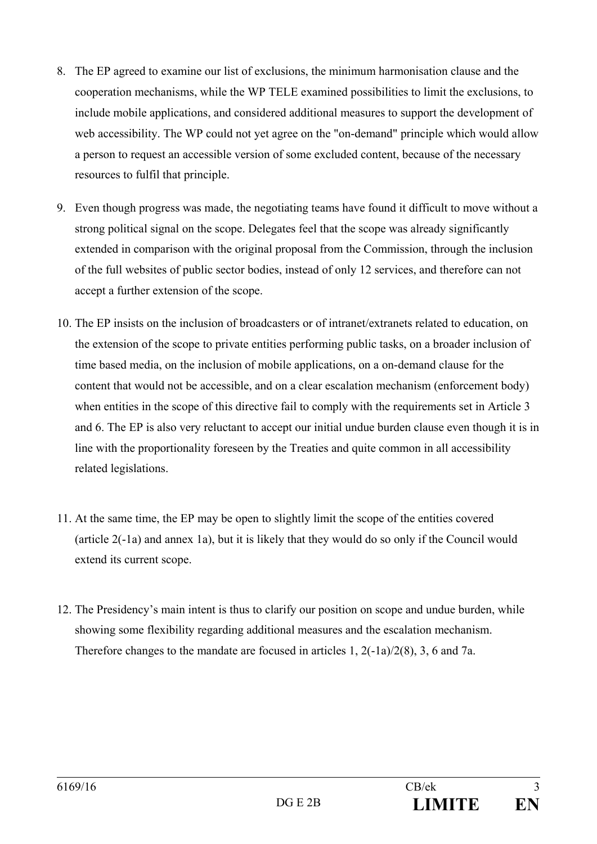- 8. The EP agreed to examine our list of exclusions, the minimum harmonisation clause and the cooperation mechanisms, while the WP TELE examined possibilities to limit the exclusions, to include mobile applications, and considered additional measures to support the development of web accessibility. The WP could not yet agree on the "on-demand" principle which would allow a person to request an accessible version of some excluded content, because of the necessary resources to fulfil that principle.
- 9. Even though progress was made, the negotiating teams have found it difficult to move without a strong political signal on the scope. Delegates feel that the scope was already significantly extended in comparison with the original proposal from the Commission, through the inclusion of the full websites of public sector bodies, instead of only 12 services, and therefore can not accept a further extension of the scope.
- 10. The EP insists on the inclusion of broadcasters or of intranet/extranets related to education, on the extension of the scope to private entities performing public tasks, on a broader inclusion of time based media, on the inclusion of mobile applications, on a on-demand clause for the content that would not be accessible, and on a clear escalation mechanism (enforcement body) when entities in the scope of this directive fail to comply with the requirements set in Article 3 and 6. The EP is also very reluctant to accept our initial undue burden clause even though it is in line with the proportionality foreseen by the Treaties and quite common in all accessibility related legislations.
- 11. At the same time, the EP may be open to slightly limit the scope of the entities covered (article 2(-1a) and annex 1a), but it is likely that they would do so only if the Council would extend its current scope.
- 12. The Presidency's main intent is thus to clarify our position on scope and undue burden, while showing some flexibility regarding additional measures and the escalation mechanism. Therefore changes to the mandate are focused in articles  $1, 2(-1a)/2(8), 3, 6$  and 7a.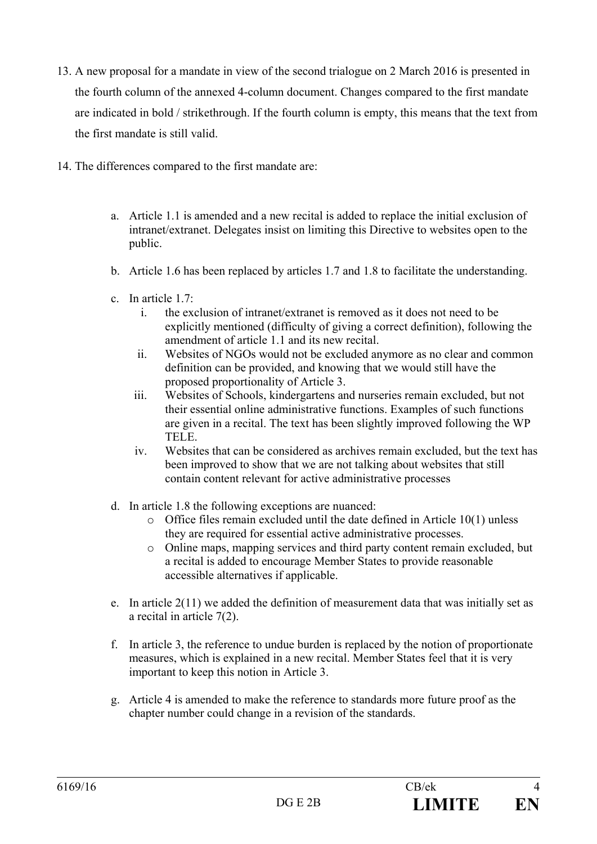- 13. A new proposal for a mandate in view of the second trialogue on 2 March 2016 is presented in the fourth column of the annexed 4-column document. Changes compared to the first mandate are indicated in bold / strikethrough. If the fourth column is empty, this means that the text from the first mandate is still valid.
- 14. The differences compared to the first mandate are:
	- a. Article 1.1 is amended and a new recital is added to replace the initial exclusion of intranet/extranet. Delegates insist on limiting this Directive to websites open to the public.
	- b. Article 1.6 has been replaced by articles 1.7 and 1.8 to facilitate the understanding.
	- c. In article 1.7:
		- i. the exclusion of intranet/extranet is removed as it does not need to be explicitly mentioned (difficulty of giving a correct definition), following the amendment of article 1.1 and its new recital.
		- ii. Websites of NGOs would not be excluded anymore as no clear and common definition can be provided, and knowing that we would still have the proposed proportionality of Article 3.
		- iii. Websites of Schools, kindergartens and nurseries remain excluded, but not their essential online administrative functions. Examples of such functions are given in a recital. The text has been slightly improved following the WP TELE.
		- iv. Websites that can be considered as archives remain excluded, but the text has been improved to show that we are not talking about websites that still contain content relevant for active administrative processes
	- d. In article 1.8 the following exceptions are nuanced:
		- $\circ$  Office files remain excluded until the date defined in Article 10(1) unless they are required for essential active administrative processes.
		- o Online maps, mapping services and third party content remain excluded, but a recital is added to encourage Member States to provide reasonable accessible alternatives if applicable.
	- e. In article 2(11) we added the definition of measurement data that was initially set as a recital in article 7(2).
	- f. In article 3, the reference to undue burden is replaced by the notion of proportionate measures, which is explained in a new recital. Member States feel that it is very important to keep this notion in Article 3.
	- g. Article 4 is amended to make the reference to standards more future proof as the chapter number could change in a revision of the standards.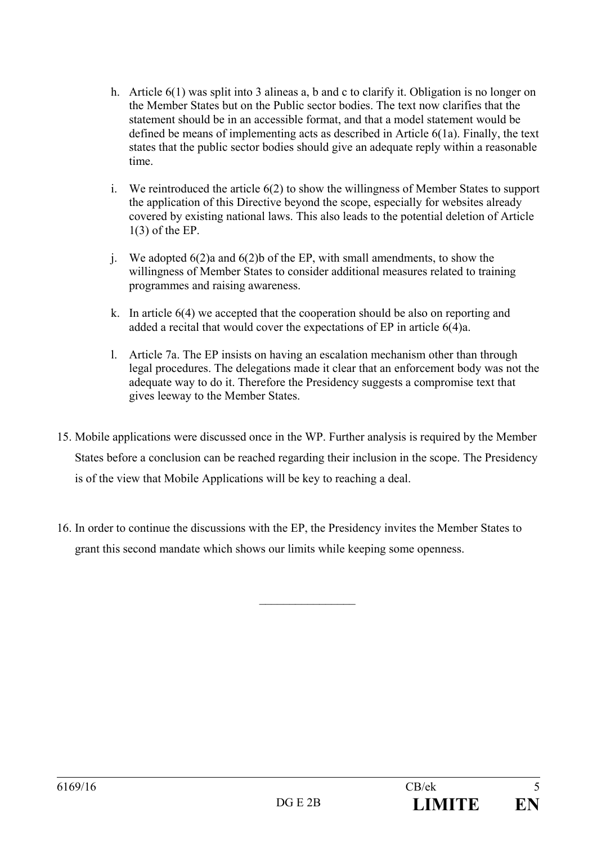- h. Article 6(1) was split into 3 alineas a, b and c to clarify it. Obligation is no longer on the Member States but on the Public sector bodies. The text now clarifies that the statement should be in an accessible format, and that a model statement would be defined be means of implementing acts as described in Article 6(1a). Finally, the text states that the public sector bodies should give an adequate reply within a reasonable time.
- i. We reintroduced the article 6(2) to show the willingness of Member States to support the application of this Directive beyond the scope, especially for websites already covered by existing national laws. This also leads to the potential deletion of Article 1(3) of the EP.
- j. We adopted 6(2)a and 6(2)b of the EP, with small amendments, to show the willingness of Member States to consider additional measures related to training programmes and raising awareness.
- k. In article 6(4) we accepted that the cooperation should be also on reporting and added a recital that would cover the expectations of EP in article 6(4)a.
- l. Article 7a. The EP insists on having an escalation mechanism other than through legal procedures. The delegations made it clear that an enforcement body was not the adequate way to do it. Therefore the Presidency suggests a compromise text that gives leeway to the Member States.
- 15. Mobile applications were discussed once in the WP. Further analysis is required by the Member States before a conclusion can be reached regarding their inclusion in the scope. The Presidency is of the view that Mobile Applications will be key to reaching a deal.
- 16. In order to continue the discussions with the EP, the Presidency invites the Member States to grant this second mandate which shows our limits while keeping some openness.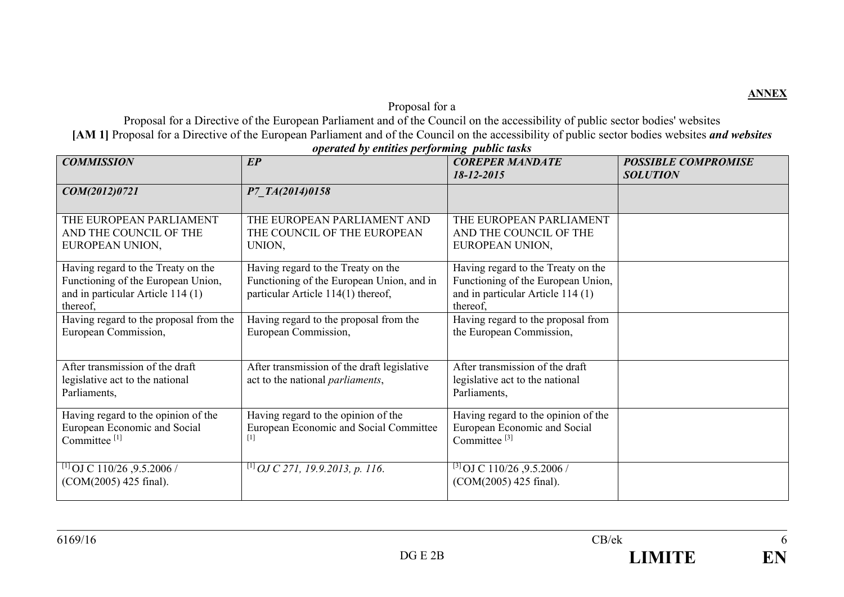## Proposal for a

Proposal for a Directive of the European Parliament and of the Council on the accessibility of public sector bodies' websites **[AM 1]** Proposal for a Directive of the European Parliament and of the Council on the accessibility of public sector bodies websites *and websites* 

| <b>COMMISSION</b>                                                                                                         | E P                                                                                                                   | <b>COREPER MANDATE</b><br>18-12-2015                                                                                      | <b>POSSIBLE COMPROMISE</b><br><b>SOLUTION</b> |
|---------------------------------------------------------------------------------------------------------------------------|-----------------------------------------------------------------------------------------------------------------------|---------------------------------------------------------------------------------------------------------------------------|-----------------------------------------------|
| COM(2012)0721                                                                                                             | P7 TA(2014)0158                                                                                                       |                                                                                                                           |                                               |
| THE EUROPEAN PARLIAMENT<br>AND THE COUNCIL OF THE<br>EUROPEAN UNION,                                                      | THE EUROPEAN PARLIAMENT AND<br>THE COUNCIL OF THE EUROPEAN<br>UNION,                                                  | THE EUROPEAN PARLIAMENT<br>AND THE COUNCIL OF THE<br>EUROPEAN UNION,                                                      |                                               |
| Having regard to the Treaty on the<br>Functioning of the European Union,<br>and in particular Article 114 (1)<br>thereof, | Having regard to the Treaty on the<br>Functioning of the European Union, and in<br>particular Article 114(1) thereof, | Having regard to the Treaty on the<br>Functioning of the European Union,<br>and in particular Article 114 (1)<br>thereof, |                                               |
| Having regard to the proposal from the<br>European Commission,                                                            | Having regard to the proposal from the<br>European Commission,                                                        | Having regard to the proposal from<br>the European Commission,                                                            |                                               |
| After transmission of the draft<br>legislative act to the national<br>Parliaments,                                        | After transmission of the draft legislative<br>act to the national <i>parliaments</i> ,                               | After transmission of the draft<br>legislative act to the national<br>Parliaments,                                        |                                               |
| Having regard to the opinion of the<br>European Economic and Social<br>Committee <sup>[1]</sup>                           | Having regard to the opinion of the<br>European Economic and Social Committee                                         | Having regard to the opinion of the<br>European Economic and Social<br>Committee <sup>[3]</sup>                           |                                               |
| <sup>[1]</sup> OJ C 110/26, 9.5.2006 /<br>(COM(2005) 425 final).                                                          | $^{[1]}$ OJ C 271, 19.9.2013, p. 116.                                                                                 | $^{[3]}$ OJ C 110/26, 9.5.2006 /<br>(COM(2005) 425 final).                                                                |                                               |

*operated by entities performing public tasks* 

**ANNEX**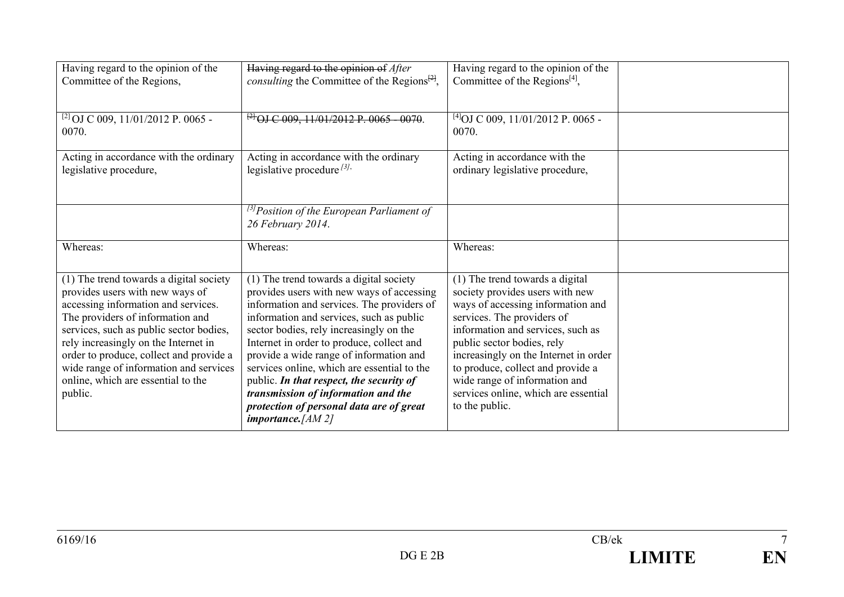| Having regard to the opinion of the<br>Committee of the Regions,                                                                                                                                                                                                                                                                                                               | Having regard to the opinion of After<br><i>consulting</i> the Committee of the Regions <sup><math>[24]</math></sup> ,                                                                                                                                                                                                                                                                                                                                                                                                       | Having regard to the opinion of the<br>Committee of the Regions <sup>[4]</sup> ,                                                                                                                                                                                                                                                                                                  |  |
|--------------------------------------------------------------------------------------------------------------------------------------------------------------------------------------------------------------------------------------------------------------------------------------------------------------------------------------------------------------------------------|------------------------------------------------------------------------------------------------------------------------------------------------------------------------------------------------------------------------------------------------------------------------------------------------------------------------------------------------------------------------------------------------------------------------------------------------------------------------------------------------------------------------------|-----------------------------------------------------------------------------------------------------------------------------------------------------------------------------------------------------------------------------------------------------------------------------------------------------------------------------------------------------------------------------------|--|
| <sup>[2]</sup> OJ C 009, 11/01/2012 P. 0065 -<br>0070.                                                                                                                                                                                                                                                                                                                         | $^{121}$ OJ C 009, 11/01/2012 P. 0065 - 0070.                                                                                                                                                                                                                                                                                                                                                                                                                                                                                | $^{[4]}$ OJ C 009, 11/01/2012 P. 0065 -<br>0070.                                                                                                                                                                                                                                                                                                                                  |  |
| Acting in accordance with the ordinary<br>legislative procedure,                                                                                                                                                                                                                                                                                                               | Acting in accordance with the ordinary<br>legislative procedure $^{[3]}$ .                                                                                                                                                                                                                                                                                                                                                                                                                                                   | Acting in accordance with the<br>ordinary legislative procedure,                                                                                                                                                                                                                                                                                                                  |  |
|                                                                                                                                                                                                                                                                                                                                                                                | <sup>[3]</sup> Position of the European Parliament of<br>26 February 2014.                                                                                                                                                                                                                                                                                                                                                                                                                                                   |                                                                                                                                                                                                                                                                                                                                                                                   |  |
| Whereas:                                                                                                                                                                                                                                                                                                                                                                       | Whereas:                                                                                                                                                                                                                                                                                                                                                                                                                                                                                                                     | Whereas:                                                                                                                                                                                                                                                                                                                                                                          |  |
| (1) The trend towards a digital society<br>provides users with new ways of<br>accessing information and services.<br>The providers of information and<br>services, such as public sector bodies,<br>rely increasingly on the Internet in<br>order to produce, collect and provide a<br>wide range of information and services<br>online, which are essential to the<br>public. | (1) The trend towards a digital society<br>provides users with new ways of accessing<br>information and services. The providers of<br>information and services, such as public<br>sector bodies, rely increasingly on the<br>Internet in order to produce, collect and<br>provide a wide range of information and<br>services online, which are essential to the<br>public. In that respect, the security of<br>transmission of information and the<br>protection of personal data are of great<br><i>importance.</i> [AM 2] | (1) The trend towards a digital<br>society provides users with new<br>ways of accessing information and<br>services. The providers of<br>information and services, such as<br>public sector bodies, rely<br>increasingly on the Internet in order<br>to produce, collect and provide a<br>wide range of information and<br>services online, which are essential<br>to the public. |  |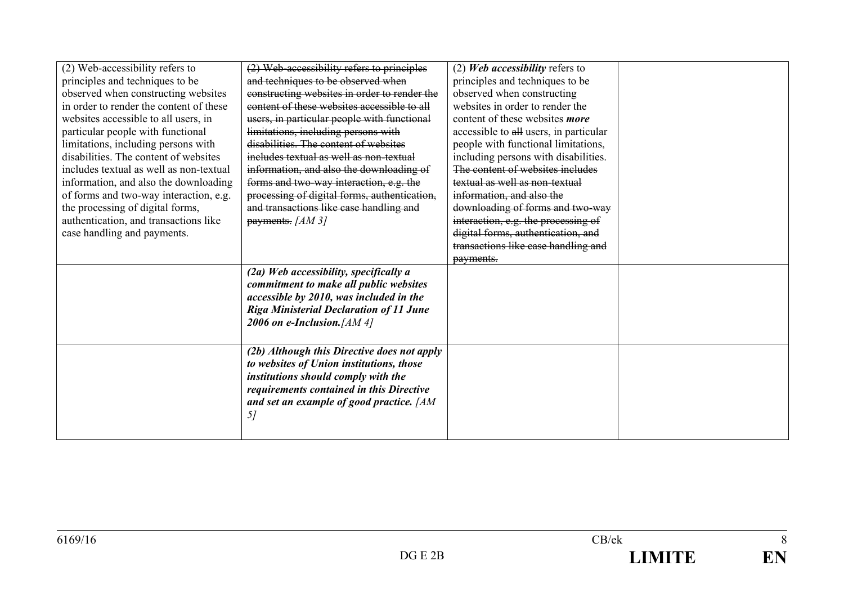| (2) Web-accessibility refers to         | (2) Web-accessibility refers to principles     | (2) Web accessibility refers to        |  |
|-----------------------------------------|------------------------------------------------|----------------------------------------|--|
| principles and techniques to be         | and techniques to be observed when             | principles and techniques to be        |  |
| observed when constructing websites     | constructing websites in order to render the   | observed when constructing             |  |
| in order to render the content of these | content of these websites accessible to all    | websites in order to render the        |  |
| websites accessible to all users, in    | users, in particular people with functional    | content of these websites more         |  |
| particular people with functional       | limitations, including persons with            | accessible to all users, in particular |  |
| limitations, including persons with     | disabilities. The content of websites          | people with functional limitations,    |  |
| disabilities. The content of websites   | includes textual as well as non-textual        | including persons with disabilities.   |  |
| includes textual as well as non-textual | information, and also the downloading of       | The content of websites includes       |  |
| information, and also the downloading   | forms and two-way interaction, e.g. the        | textual as well as non-textual         |  |
| of forms and two-way interaction, e.g.  | processing of digital forms, authentication,   | information, and also the              |  |
| the processing of digital forms,        | and transactions like case handling and        | downloading of forms and two-way       |  |
| authentication, and transactions like   | $p$ ayments. [AM 3]                            | interaction, e.g. the processing of    |  |
| case handling and payments.             |                                                | digital forms, authentication, and     |  |
|                                         |                                                | transactions like case handling and    |  |
|                                         |                                                | payments.                              |  |
|                                         | (2a) Web accessibility, specifically a         |                                        |  |
|                                         | commitment to make all public websites         |                                        |  |
|                                         | accessible by 2010, was included in the        |                                        |  |
|                                         | <b>Riga Ministerial Declaration of 11 June</b> |                                        |  |
|                                         | 2006 on e-Inclusion. $[AM 4]$                  |                                        |  |
|                                         |                                                |                                        |  |
|                                         | (2b) Although this Directive does not apply    |                                        |  |
|                                         | to websites of Union institutions, those       |                                        |  |
|                                         | institutions should comply with the            |                                        |  |
|                                         | requirements contained in this Directive       |                                        |  |
|                                         | and set an example of good practice. [AM       |                                        |  |
|                                         | 5 <sub>l</sub>                                 |                                        |  |
|                                         |                                                |                                        |  |
|                                         |                                                |                                        |  |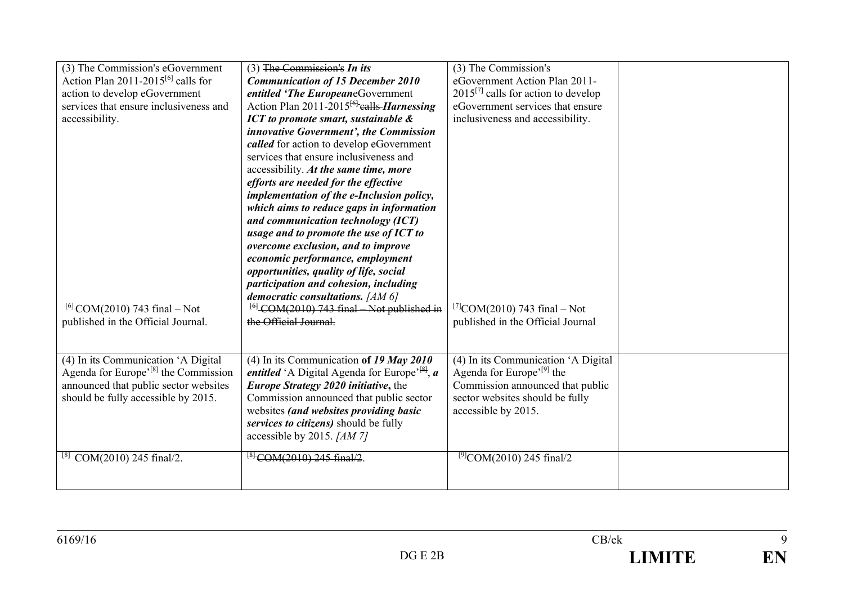| (3) The Commission's eGovernment                         | $(3)$ The Commission's In its                                                            | (3) The Commission's                     |  |
|----------------------------------------------------------|------------------------------------------------------------------------------------------|------------------------------------------|--|
| Action Plan $2011-2015^{[6]}$ calls for                  | <b>Communication of 15 December 2010</b>                                                 | eGovernment Action Plan 2011-            |  |
| action to develop eGovernment                            | entitled 'The EuropeaneGovernment                                                        | $2015^{[7]}$ calls for action to develop |  |
| services that ensure inclusiveness and                   | Action Plan $2011-2015^{6}$ calls <i>Harnessing</i>                                      | eGovernment services that ensure         |  |
| accessibility.                                           | ICT to promote smart, sustainable &                                                      | inclusiveness and accessibility.         |  |
|                                                          | innovative Government', the Commission                                                   |                                          |  |
|                                                          | called for action to develop eGovernment                                                 |                                          |  |
|                                                          | services that ensure inclusiveness and                                                   |                                          |  |
|                                                          | accessibility. At the same time, more                                                    |                                          |  |
|                                                          | efforts are needed for the effective                                                     |                                          |  |
|                                                          | implementation of the e-Inclusion policy,                                                |                                          |  |
|                                                          | which aims to reduce gaps in information                                                 |                                          |  |
|                                                          | and communication technology (ICT)                                                       |                                          |  |
|                                                          | usage and to promote the use of ICT to                                                   |                                          |  |
|                                                          | overcome exclusion, and to improve                                                       |                                          |  |
|                                                          | economic performance, employment                                                         |                                          |  |
|                                                          | opportunities, quality of life, social                                                   |                                          |  |
|                                                          | participation and cohesion, including                                                    |                                          |  |
|                                                          | democratic consultations. [AM 6]                                                         |                                          |  |
| <sup>[6]</sup> COM(2010) 743 final – Not                 | $^{[6]}$ COM(2010) 743 final Not published in                                            | <sup>[7]</sup> COM(2010) 743 final – Not |  |
| published in the Official Journal.                       | the Official Journal.                                                                    | published in the Official Journal        |  |
|                                                          |                                                                                          |                                          |  |
|                                                          |                                                                                          |                                          |  |
| $\overline{(4) \text{ In}}$ its Communication 'A Digital | (4) In its Communication of 19 May 2010                                                  | (4) In its Communication 'A Digital      |  |
| Agenda for Europe <sup>'[8]</sup> the Commission         | <i>entitled</i> 'A Digital Agenda for Europe <sup><math>^{\{8\}}</math></sup> , <i>a</i> | Agenda for Europe' <sup>[9]</sup> the    |  |
| announced that public sector websites                    | Europe Strategy 2020 initiative, the                                                     | Commission announced that public         |  |
| should be fully accessible by 2015.                      | Commission announced that public sector                                                  | sector websites should be fully          |  |
|                                                          | websites (and websites providing basic                                                   | accessible by 2015.                      |  |
|                                                          | services to citizens) should be fully                                                    |                                          |  |
|                                                          | accessible by 2015. [AM 7]                                                               |                                          |  |
| COM(2010) 245 final/2.                                   | $^{8}$ COM(2010) 245 final/2.                                                            | $^{[9]}$ COM(2010) 245 final/2           |  |
|                                                          |                                                                                          |                                          |  |
|                                                          |                                                                                          |                                          |  |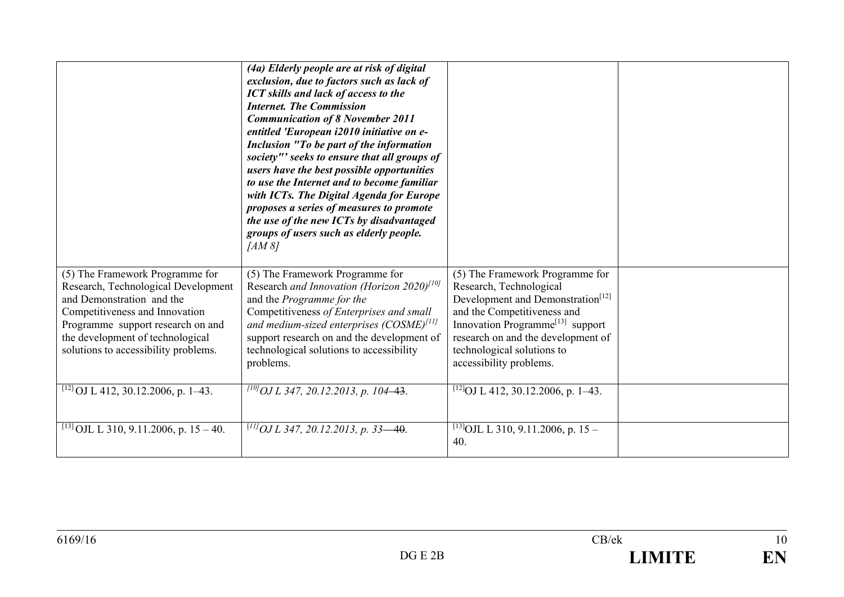|                                                                                                                                                                                                                                                        | (4a) Elderly people are at risk of digital<br>exclusion, due to factors such as lack of<br><b>ICT</b> skills and lack of access to the<br><b>Internet. The Commission</b><br><b>Communication of 8 November 2011</b><br>entitled 'European i2010 initiative on e-<br>Inclusion "To be part of the information<br>society"' seeks to ensure that all groups of<br>users have the best possible opportunities<br>to use the Internet and to become familiar<br>with ICTs. The Digital Agenda for Europe<br>proposes a series of measures to promote<br>the use of the new ICTs by disadvantaged<br>groups of users such as elderly people.<br>[AM 8] |                                                                                                                                                                                                                                                                                           |  |
|--------------------------------------------------------------------------------------------------------------------------------------------------------------------------------------------------------------------------------------------------------|----------------------------------------------------------------------------------------------------------------------------------------------------------------------------------------------------------------------------------------------------------------------------------------------------------------------------------------------------------------------------------------------------------------------------------------------------------------------------------------------------------------------------------------------------------------------------------------------------------------------------------------------------|-------------------------------------------------------------------------------------------------------------------------------------------------------------------------------------------------------------------------------------------------------------------------------------------|--|
| (5) The Framework Programme for<br>Research, Technological Development<br>and Demonstration and the<br>Competitiveness and Innovation<br>Programme support research on and<br>the development of technological<br>solutions to accessibility problems. | (5) The Framework Programme for<br>Research and Innovation (Horizon 2020) <sup>[10]</sup><br>and the Programme for the<br>Competitiveness of Enterprises and small<br>and medium-sized enterprises $(COSME)^{[11]}$<br>support research on and the development of<br>technological solutions to accessibility<br>problems.                                                                                                                                                                                                                                                                                                                         | (5) The Framework Programme for<br>Research, Technological<br>Development and Demonstration <sup>[12]</sup><br>and the Competitiveness and<br>Innovation Programme <sup>[13]</sup> support<br>research on and the development of<br>technological solutions to<br>accessibility problems. |  |
| <sup>[12]</sup> OJ L 412, 30.12.2006, p. 1–43.                                                                                                                                                                                                         | $^{110}$ OJ L 347, 20.12.2013, p. 104–43.                                                                                                                                                                                                                                                                                                                                                                                                                                                                                                                                                                                                          | <sup>[12]</sup> OJ L 412, 30.12.2006, p. 1–43.                                                                                                                                                                                                                                            |  |
| <sup>[13]</sup> OJL L 310, 9.11.2006, p. 15 – 40.                                                                                                                                                                                                      | $^{[11]}$ OJ L 347, 20.12.2013, p. 33—40.                                                                                                                                                                                                                                                                                                                                                                                                                                                                                                                                                                                                          | <sup>[13]</sup> OJL L 310, 9.11.2006, p. 15 –<br>40.                                                                                                                                                                                                                                      |  |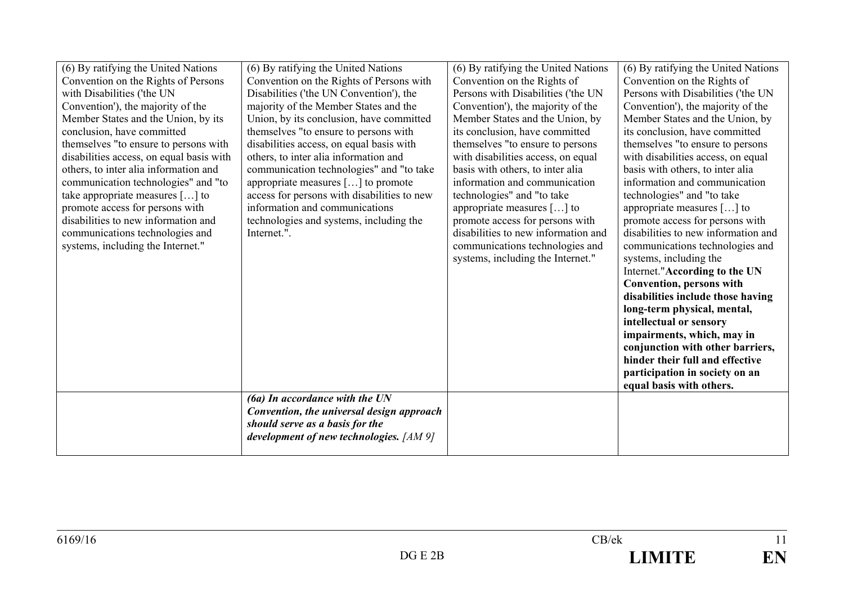| (6) By ratifying the United Nations      | (6) By ratifying the United Nations         | (6) By ratifying the United Nations | (6) By ratifying the United Nations |
|------------------------------------------|---------------------------------------------|-------------------------------------|-------------------------------------|
| Convention on the Rights of Persons      | Convention on the Rights of Persons with    | Convention on the Rights of         | Convention on the Rights of         |
| with Disabilities ('the UN               | Disabilities ('the UN Convention'), the     | Persons with Disabilities ('the UN  | Persons with Disabilities ('the UN  |
| Convention'), the majority of the        | majority of the Member States and the       | Convention'), the majority of the   | Convention'), the majority of the   |
| Member States and the Union, by its      | Union, by its conclusion, have committed    | Member States and the Union, by     | Member States and the Union, by     |
| conclusion, have committed               | themselves "to ensure to persons with       | its conclusion, have committed      | its conclusion, have committed      |
| themselves "to ensure to persons with    | disabilities access, on equal basis with    | themselves "to ensure to persons    | themselves "to ensure to persons    |
| disabilities access, on equal basis with | others, to inter alia information and       | with disabilities access, on equal  | with disabilities access, on equal  |
| others, to inter alia information and    | communication technologies" and "to take    | basis with others, to inter alia    | basis with others, to inter alia    |
| communication technologies" and "to      | appropriate measures $[\dots]$ to promote   | information and communication       | information and communication       |
| take appropriate measures $[]$ to        | access for persons with disabilities to new | technologies" and "to take          | technologies" and "to take          |
| promote access for persons with          | information and communications              | appropriate measures $[\dots]$ to   | appropriate measures [] to          |
| disabilities to new information and      | technologies and systems, including the     | promote access for persons with     | promote access for persons with     |
| communications technologies and          | Internet.".                                 | disabilities to new information and | disabilities to new information and |
| systems, including the Internet."        |                                             | communications technologies and     | communications technologies and     |
|                                          |                                             | systems, including the Internet."   | systems, including the              |
|                                          |                                             |                                     | Internet."According to the UN       |
|                                          |                                             |                                     | <b>Convention, persons with</b>     |
|                                          |                                             |                                     | disabilities include those having   |
|                                          |                                             |                                     | long-term physical, mental,         |
|                                          |                                             |                                     | intellectual or sensory             |
|                                          |                                             |                                     | impairments, which, may in          |
|                                          |                                             |                                     | conjunction with other barriers,    |
|                                          |                                             |                                     | hinder their full and effective     |
|                                          |                                             |                                     | participation in society on an      |
|                                          |                                             |                                     | equal basis with others.            |
|                                          | $(6a)$ In accordance with the UN            |                                     |                                     |
|                                          | Convention, the universal design approach   |                                     |                                     |
|                                          | should serve as a basis for the             |                                     |                                     |
|                                          | development of new technologies. [AM 9]     |                                     |                                     |
|                                          |                                             |                                     |                                     |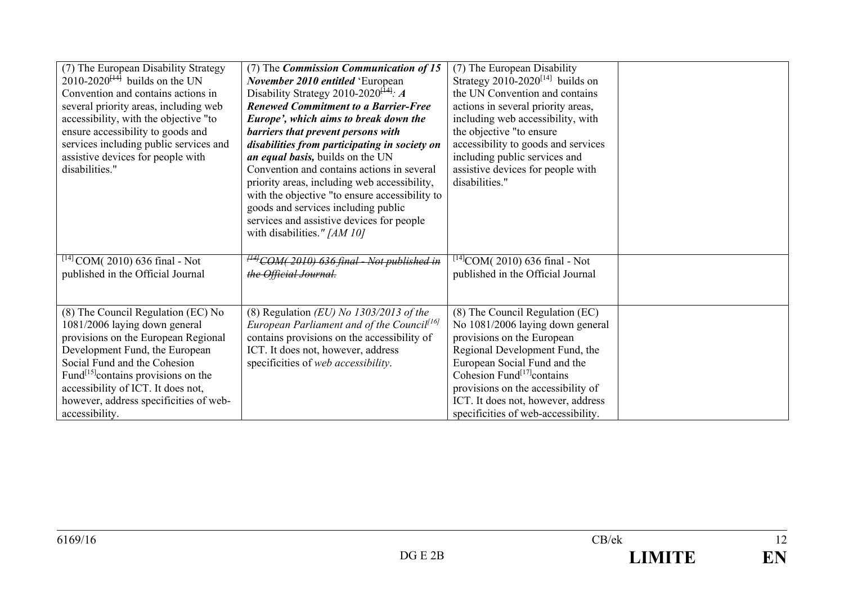| (7) The European Disability Strategy<br>$2010-2020^{[14]}$ builds on the UN<br>Convention and contains actions in<br>several priority areas, including web<br>accessibility, with the objective "to<br>ensure accessibility to goods and<br>services including public services and<br>assistive devices for people with<br>disabilities." | (7) The Commission Communication of 15<br>November 2010 entitled 'European<br>Disability Strategy 2010-2020 <sup><math>[14]</math></sup> : A<br><b>Renewed Commitment to a Barrier-Free</b><br>Europe', which aims to break down the<br>barriers that prevent persons with<br>disabilities from participating in society on<br>an equal basis, builds on the UN<br>Convention and contains actions in several<br>priority areas, including web accessibility,<br>with the objective "to ensure accessibility to<br>goods and services including public | (7) The European Disability<br>Strategy $2010-2020^{[14]}$ builds on<br>the UN Convention and contains<br>actions in several priority areas,<br>including web accessibility, with<br>the objective "to ensure<br>accessibility to goods and services<br>including public services and<br>assistive devices for people with<br>disabilities." |  |
|-------------------------------------------------------------------------------------------------------------------------------------------------------------------------------------------------------------------------------------------------------------------------------------------------------------------------------------------|--------------------------------------------------------------------------------------------------------------------------------------------------------------------------------------------------------------------------------------------------------------------------------------------------------------------------------------------------------------------------------------------------------------------------------------------------------------------------------------------------------------------------------------------------------|----------------------------------------------------------------------------------------------------------------------------------------------------------------------------------------------------------------------------------------------------------------------------------------------------------------------------------------------|--|
|                                                                                                                                                                                                                                                                                                                                           | services and assistive devices for people<br>with disabilities." [AM 10]                                                                                                                                                                                                                                                                                                                                                                                                                                                                               |                                                                                                                                                                                                                                                                                                                                              |  |
| $^{[14]}$ COM(2010) 636 final - Not<br>published in the Official Journal                                                                                                                                                                                                                                                                  | $^{H4}$ COM(2010) 636 final - Not published in<br>the Official Journal.                                                                                                                                                                                                                                                                                                                                                                                                                                                                                | $^{[14]}$ COM(2010) 636 final - Not<br>published in the Official Journal                                                                                                                                                                                                                                                                     |  |
| (8) The Council Regulation (EC) No<br>1081/2006 laying down general<br>provisions on the European Regional<br>Development Fund, the European<br>Social Fund and the Cohesion<br>Fund <sup>[15]</sup> contains provisions on the<br>accessibility of ICT. It does not,<br>however, address specificities of web-<br>accessibility.         | (8) Regulation (EU) No $1303/2013$ of the<br>European Parliament and of the Council <sup>[16]</sup><br>contains provisions on the accessibility of<br>ICT. It does not, however, address<br>specificities of web accessibility.                                                                                                                                                                                                                                                                                                                        | (8) The Council Regulation (EC)<br>No 1081/2006 laying down general<br>provisions on the European<br>Regional Development Fund, the<br>European Social Fund and the<br>Cohesion Fund <sup>[17]</sup> contains<br>provisions on the accessibility of<br>ICT. It does not, however, address<br>specificities of web-accessibility.             |  |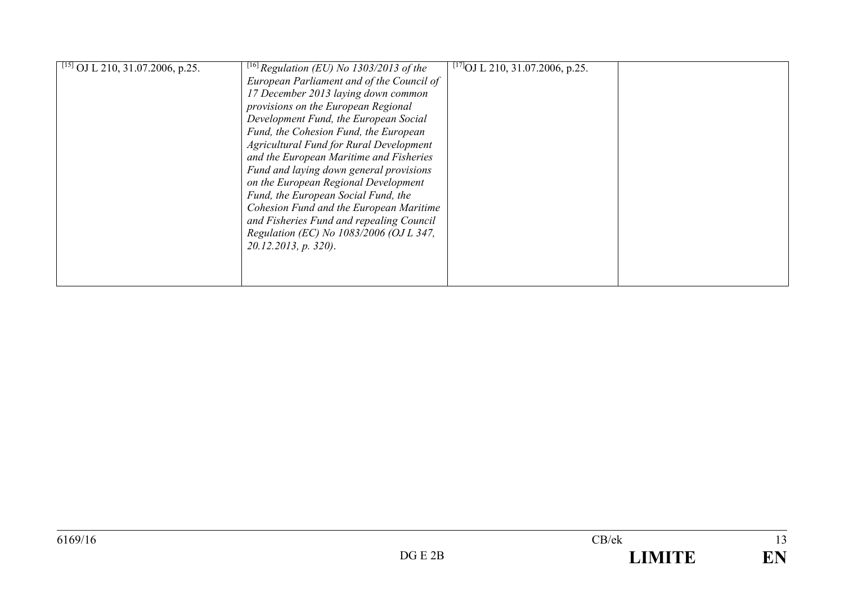| $\sqrt{\frac{[15]}{01}}$ OJ L 210, 31.07.2006, p.25. | <sup>[16]</sup> Regulation (EU) No 1303/2013 of the<br>European Parliament and of the Council of<br>17 December 2013 laying down common<br>provisions on the European Regional<br>Development Fund, the European Social<br>Fund, the Cohesion Fund, the European<br><b>Agricultural Fund for Rural Development</b><br>and the European Maritime and Fisheries<br>Fund and laying down general provisions<br>on the European Regional Development<br>Fund, the European Social Fund, the<br>Cohesion Fund and the European Maritime<br>and Fisheries Fund and repealing Council<br>Regulation (EC) No 1083/2006 (OJ L 347,<br>$20.12.2013$ , p. 320). | <sup>[17]</sup> OJ L 210, 31.07.2006, p.25. |  |
|------------------------------------------------------|------------------------------------------------------------------------------------------------------------------------------------------------------------------------------------------------------------------------------------------------------------------------------------------------------------------------------------------------------------------------------------------------------------------------------------------------------------------------------------------------------------------------------------------------------------------------------------------------------------------------------------------------------|---------------------------------------------|--|
|                                                      |                                                                                                                                                                                                                                                                                                                                                                                                                                                                                                                                                                                                                                                      |                                             |  |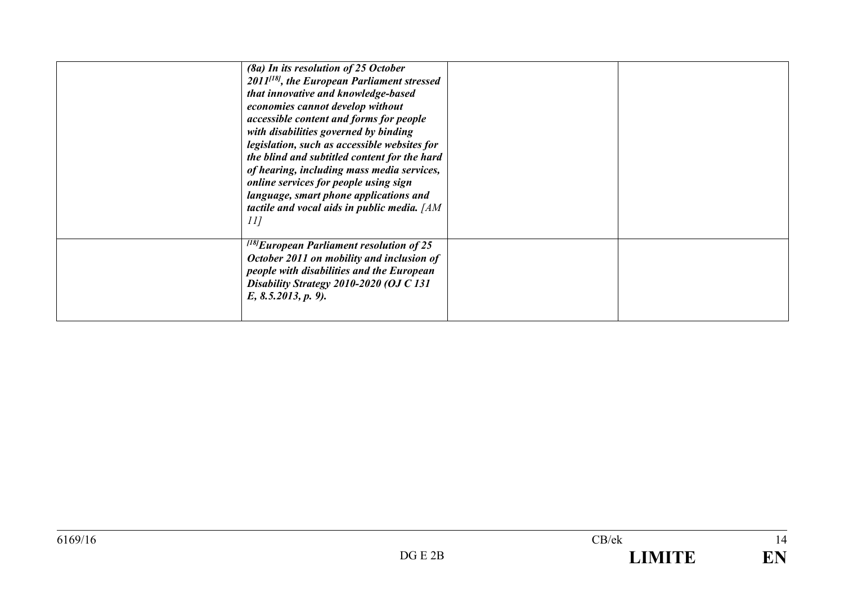| (8a) In its resolution of 25 October<br>$2011^{[18]}$ , the European Parliament stressed<br>that innovative and knowledge-based<br>economies cannot develop without<br>accessible content and forms for people<br>with disabilities governed by binding<br>legislation, such as accessible websites for<br>the blind and subtitled content for the hard<br>of hearing, including mass media services,<br>online services for people using sign<br>language, smart phone applications and<br>tactile and vocal aids in public media. [AM<br>11 |  |
|-----------------------------------------------------------------------------------------------------------------------------------------------------------------------------------------------------------------------------------------------------------------------------------------------------------------------------------------------------------------------------------------------------------------------------------------------------------------------------------------------------------------------------------------------|--|
| $^{[18]}$ European Parliament resolution of 25<br>October 2011 on mobility and inclusion of<br>people with disabilities and the European<br>Disability Strategy 2010-2020 (OJ C 131<br>E, 8.5.2013, p. 9.                                                                                                                                                                                                                                                                                                                                     |  |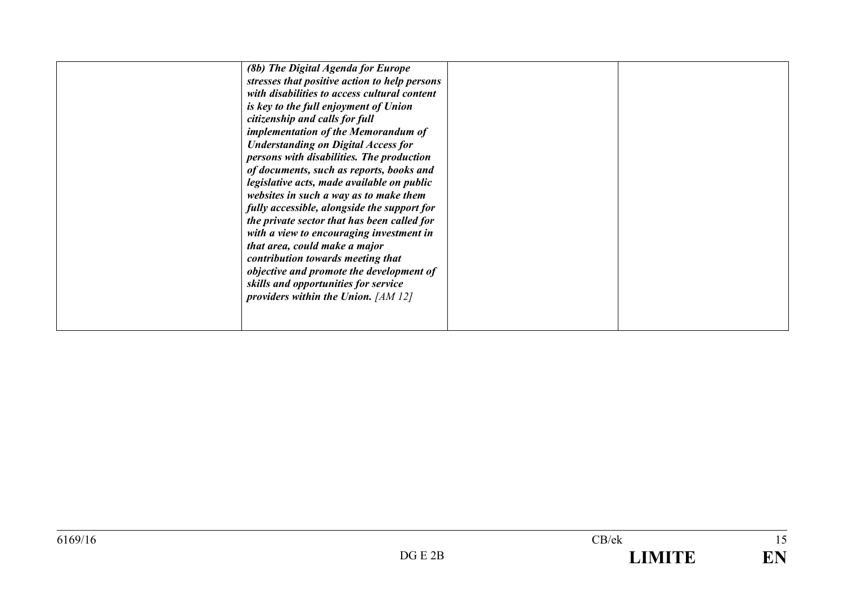|  | (8b) The Digital Agenda for Europe<br>stresses that positive action to help persons<br>with disabilities to access cultural content<br>is key to the full enjoyment of Union<br>citizenship and calls for full<br>implementation of the Memorandum of<br><b>Understanding on Digital Access for</b><br>persons with disabilities. The production<br>of documents, such as reports, books and<br>legislative acts, made available on public<br>websites in such a way as to make them<br>fully accessible, alongside the support for<br>the private sector that has been called for<br>with a view to encouraging investment in<br>that area, could make a major<br>contribution towards meeting that<br>objective and promote the development of<br>skills and opportunities for service<br>providers within the Union. $[AM 12]$ |  |  |
|--|-----------------------------------------------------------------------------------------------------------------------------------------------------------------------------------------------------------------------------------------------------------------------------------------------------------------------------------------------------------------------------------------------------------------------------------------------------------------------------------------------------------------------------------------------------------------------------------------------------------------------------------------------------------------------------------------------------------------------------------------------------------------------------------------------------------------------------------|--|--|
|--|-----------------------------------------------------------------------------------------------------------------------------------------------------------------------------------------------------------------------------------------------------------------------------------------------------------------------------------------------------------------------------------------------------------------------------------------------------------------------------------------------------------------------------------------------------------------------------------------------------------------------------------------------------------------------------------------------------------------------------------------------------------------------------------------------------------------------------------|--|--|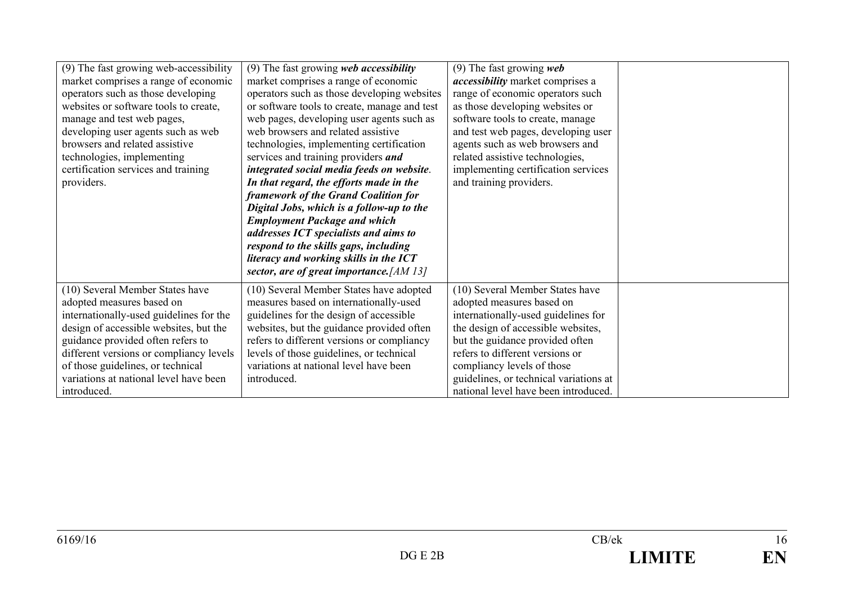| (9) The fast growing web-accessibility<br>market comprises a range of economic<br>operators such as those developing<br>websites or software tools to create,<br>manage and test web pages,<br>developing user agents such as web<br>browsers and related assistive<br>technologies, implementing<br>certification services and training<br>providers. | (9) The fast growing web accessibility<br>market comprises a range of economic<br>operators such as those developing websites<br>or software tools to create, manage and test<br>web pages, developing user agents such as<br>web browsers and related assistive<br>technologies, implementing certification<br>services and training providers and<br>integrated social media feeds on website.<br>In that regard, the efforts made in the<br>framework of the Grand Coalition for<br>Digital Jobs, which is a follow-up to the<br><b>Employment Package and which</b><br>addresses ICT specialists and aims to<br>respond to the skills gaps, including<br>literacy and working skills in the ICT<br>sector, are of great importance. [AM 13] | (9) The fast growing $web$<br><i>accessibility</i> market comprises a<br>range of economic operators such<br>as those developing websites or<br>software tools to create, manage<br>and test web pages, developing user<br>agents such as web browsers and<br>related assistive technologies,<br>implementing certification services<br>and training providers. |  |
|--------------------------------------------------------------------------------------------------------------------------------------------------------------------------------------------------------------------------------------------------------------------------------------------------------------------------------------------------------|-------------------------------------------------------------------------------------------------------------------------------------------------------------------------------------------------------------------------------------------------------------------------------------------------------------------------------------------------------------------------------------------------------------------------------------------------------------------------------------------------------------------------------------------------------------------------------------------------------------------------------------------------------------------------------------------------------------------------------------------------|-----------------------------------------------------------------------------------------------------------------------------------------------------------------------------------------------------------------------------------------------------------------------------------------------------------------------------------------------------------------|--|
| (10) Several Member States have<br>adopted measures based on<br>internationally-used guidelines for the<br>design of accessible websites, but the<br>guidance provided often refers to<br>different versions or compliancy levels<br>of those guidelines, or technical<br>variations at national level have been<br>introduced.                        | (10) Several Member States have adopted<br>measures based on internationally-used<br>guidelines for the design of accessible<br>websites, but the guidance provided often<br>refers to different versions or compliancy<br>levels of those guidelines, or technical<br>variations at national level have been<br>introduced.                                                                                                                                                                                                                                                                                                                                                                                                                    | (10) Several Member States have<br>adopted measures based on<br>internationally-used guidelines for<br>the design of accessible websites,<br>but the guidance provided often<br>refers to different versions or<br>compliancy levels of those<br>guidelines, or technical variations at<br>national level have been introduced.                                 |  |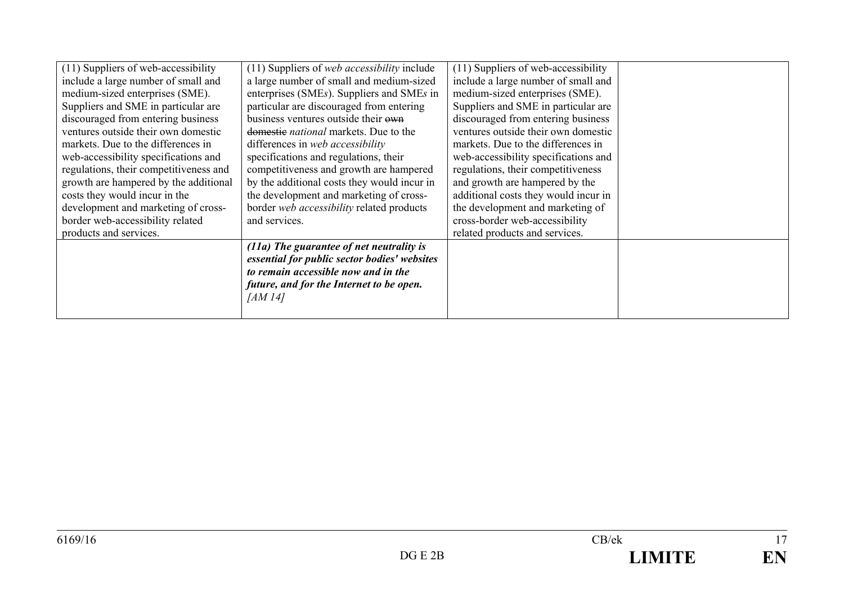| (11) Suppliers of web-accessibility    | (11) Suppliers of web accessibility include  | (11) Suppliers of web-accessibility  |  |
|----------------------------------------|----------------------------------------------|--------------------------------------|--|
| include a large number of small and    | a large number of small and medium-sized     | include a large number of small and  |  |
| medium-sized enterprises (SME).        | enterprises (SMEs). Suppliers and SMEs in    | medium-sized enterprises (SME).      |  |
| Suppliers and SME in particular are    | particular are discouraged from entering     | Suppliers and SME in particular are  |  |
| discouraged from entering business     | business ventures outside their own          | discouraged from entering business   |  |
| ventures outside their own domestic    | domestic <i>national</i> markets. Due to the | ventures outside their own domestic  |  |
| markets. Due to the differences in     | differences in web accessibility             | markets. Due to the differences in   |  |
| web-accessibility specifications and   | specifications and regulations, their        | web-accessibility specifications and |  |
| regulations, their competitiveness and | competitiveness and growth are hampered      | regulations, their competitiveness   |  |
| growth are hampered by the additional  | by the additional costs they would incur in  | and growth are hampered by the       |  |
| costs they would incur in the          | the development and marketing of cross-      | additional costs they would incur in |  |
| development and marketing of cross-    | border web accessibility related products    | the development and marketing of     |  |
| border web-accessibility related       | and services.                                | cross-border web-accessibility       |  |
| products and services.                 |                                              | related products and services.       |  |
|                                        | $(11a)$ The guarantee of net neutrality is   |                                      |  |
|                                        | essential for public sector bodies' websites |                                      |  |
|                                        | to remain accessible now and in the          |                                      |  |
|                                        | future, and for the Internet to be open.     |                                      |  |
|                                        | [AM14]                                       |                                      |  |
|                                        |                                              |                                      |  |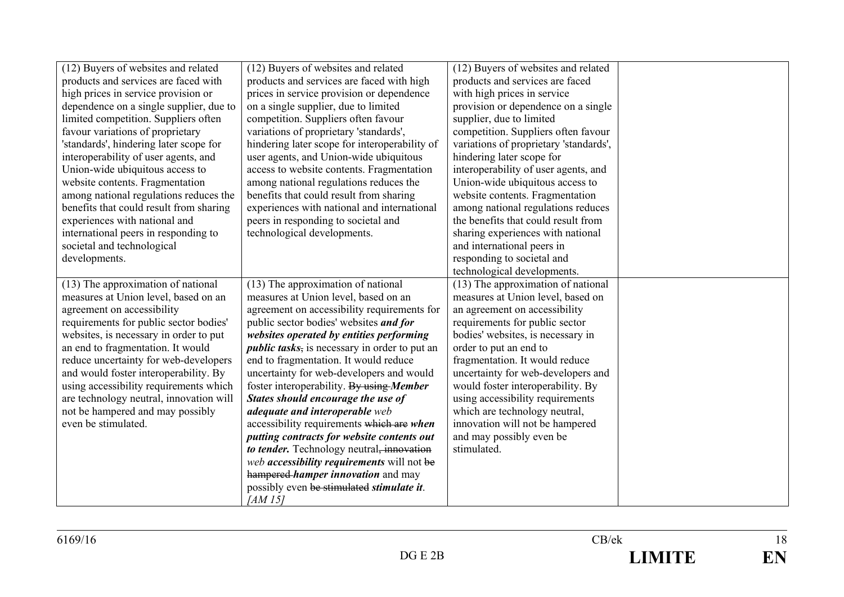| (12) Buyers of websites and related     | (12) Buyers of websites and related                   | (12) Buyers of websites and related    |  |
|-----------------------------------------|-------------------------------------------------------|----------------------------------------|--|
| products and services are faced with    | products and services are faced with high             | products and services are faced        |  |
| high prices in service provision or     | prices in service provision or dependence             | with high prices in service            |  |
| dependence on a single supplier, due to | on a single supplier, due to limited                  | provision or dependence on a single    |  |
| limited competition. Suppliers often    | competition. Suppliers often favour                   | supplier, due to limited               |  |
| favour variations of proprietary        | variations of proprietary 'standards',                | competition. Suppliers often favour    |  |
| 'standards', hindering later scope for  | hindering later scope for interoperability of         | variations of proprietary 'standards', |  |
| interoperability of user agents, and    | user agents, and Union-wide ubiquitous                | hindering later scope for              |  |
| Union-wide ubiquitous access to         | access to website contents. Fragmentation             | interoperability of user agents, and   |  |
| website contents. Fragmentation         | among national regulations reduces the                | Union-wide ubiquitous access to        |  |
| among national regulations reduces the  | benefits that could result from sharing               | website contents. Fragmentation        |  |
| benefits that could result from sharing | experiences with national and international           | among national regulations reduces     |  |
| experiences with national and           | peers in responding to societal and                   | the benefits that could result from    |  |
| international peers in responding to    | technological developments.                           | sharing experiences with national      |  |
| societal and technological              |                                                       | and international peers in             |  |
| developments.                           |                                                       | responding to societal and             |  |
|                                         |                                                       | technological developments.            |  |
| (13) The approximation of national      | (13) The approximation of national                    | (13) The approximation of national     |  |
| measures at Union level, based on an    | measures at Union level, based on an                  | measures at Union level, based on      |  |
| agreement on accessibility              | agreement on accessibility requirements for           | an agreement on accessibility          |  |
| requirements for public sector bodies'  | public sector bodies' websites and for                | requirements for public sector         |  |
| websites, is necessary in order to put  | websites operated by entities performing              | bodies' websites, is necessary in      |  |
| an end to fragmentation. It would       | <i>public tasks</i> , is necessary in order to put an | order to put an end to                 |  |
| reduce uncertainty for web-developers   | end to fragmentation. It would reduce                 | fragmentation. It would reduce         |  |
| and would foster interoperability. By   | uncertainty for web-developers and would              | uncertainty for web-developers and     |  |
| using accessibility requirements which  | foster interoperability. By using Member              | would foster interoperability. By      |  |
| are technology neutral, innovation will | States should encourage the use of                    | using accessibility requirements       |  |
| not be hampered and may possibly        | adequate and interoperable web                        | which are technology neutral,          |  |
| even be stimulated.                     | accessibility requirements which are when             | innovation will not be hampered        |  |
|                                         | putting contracts for website contents out            | and may possibly even be               |  |
|                                         | to tender. Technology neutral, innovation             | stimulated.                            |  |
|                                         | web accessibility requirements will not be            |                                        |  |
|                                         | hampered-hamper innovation and may                    |                                        |  |
|                                         | possibly even be stimulated stimulate it.             |                                        |  |
|                                         | [AM 15]                                               |                                        |  |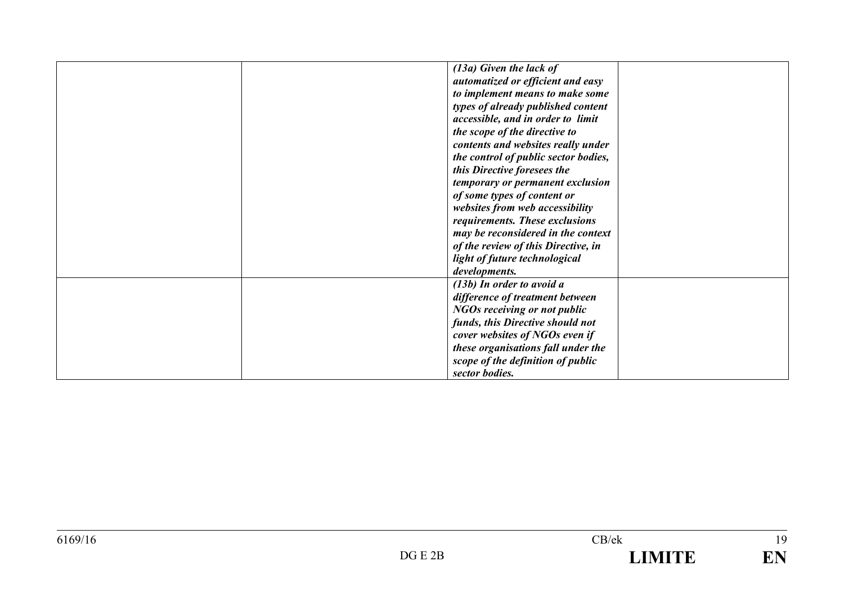| $(13a)$ Given the lack of            |  |
|--------------------------------------|--|
| automatized or efficient and easy    |  |
| to implement means to make some      |  |
| types of already published content   |  |
| accessible, and in order to limit    |  |
| the scope of the directive to        |  |
| contents and websites really under   |  |
| the control of public sector bodies, |  |
| this Directive foresees the          |  |
| temporary or permanent exclusion     |  |
| of some types of content or          |  |
| websites from web accessibility      |  |
| requirements. These exclusions       |  |
| may be reconsidered in the context   |  |
| of the review of this Directive, in  |  |
| light of future technological        |  |
| developments.                        |  |
| $(13b)$ In order to avoid a          |  |
| difference of treatment between      |  |
| NGOs receiving or not public         |  |
| funds, this Directive should not     |  |
|                                      |  |
| cover websites of NGOs even if       |  |
| these organisations fall under the   |  |
| scope of the definition of public    |  |
| sector bodies.                       |  |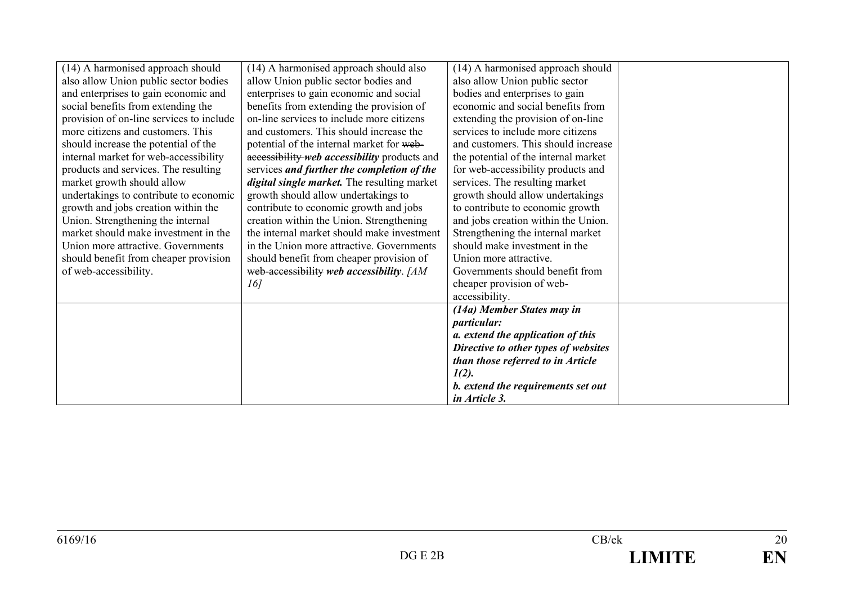| (14) A harmonised approach should        | (14) A harmonised approach should also              | (14) A harmonised approach should    |  |
|------------------------------------------|-----------------------------------------------------|--------------------------------------|--|
| also allow Union public sector bodies    | allow Union public sector bodies and                | also allow Union public sector       |  |
| and enterprises to gain economic and     | enterprises to gain economic and social             | bodies and enterprises to gain       |  |
| social benefits from extending the       | benefits from extending the provision of            | economic and social benefits from    |  |
| provision of on-line services to include | on-line services to include more citizens           | extending the provision of on-line   |  |
| more citizens and customers. This        | and customers. This should increase the             | services to include more citizens    |  |
| should increase the potential of the     | potential of the internal market for web-           | and customers. This should increase  |  |
| internal market for web-accessibility    | accessibility web accessibility products and        | the potential of the internal market |  |
| products and services. The resulting     | services and further the completion of the          | for web-accessibility products and   |  |
| market growth should allow               | <i>digital single market</i> . The resulting market | services. The resulting market       |  |
| undertakings to contribute to economic   | growth should allow undertakings to                 | growth should allow undertakings     |  |
| growth and jobs creation within the      | contribute to economic growth and jobs              | to contribute to economic growth     |  |
| Union. Strengthening the internal        | creation within the Union. Strengthening            | and jobs creation within the Union.  |  |
| market should make investment in the     | the internal market should make investment          | Strengthening the internal market    |  |
| Union more attractive. Governments       | in the Union more attractive. Governments           | should make investment in the        |  |
| should benefit from cheaper provision    | should benefit from cheaper provision of            | Union more attractive.               |  |
| of web-accessibility.                    | web-accessibility web accessibility. [AM            | Governments should benefit from      |  |
|                                          | 16]                                                 | cheaper provision of web-            |  |
|                                          |                                                     | accessibility.                       |  |
|                                          |                                                     | (14a) Member States may in           |  |
|                                          |                                                     | <i>particular:</i>                   |  |
|                                          |                                                     | a. extend the application of this    |  |
|                                          |                                                     | Directive to other types of websites |  |
|                                          |                                                     | than those referred to in Article    |  |
|                                          |                                                     | $1(2)$ .                             |  |
|                                          |                                                     | b. extend the requirements set out   |  |
|                                          |                                                     | in Article 3.                        |  |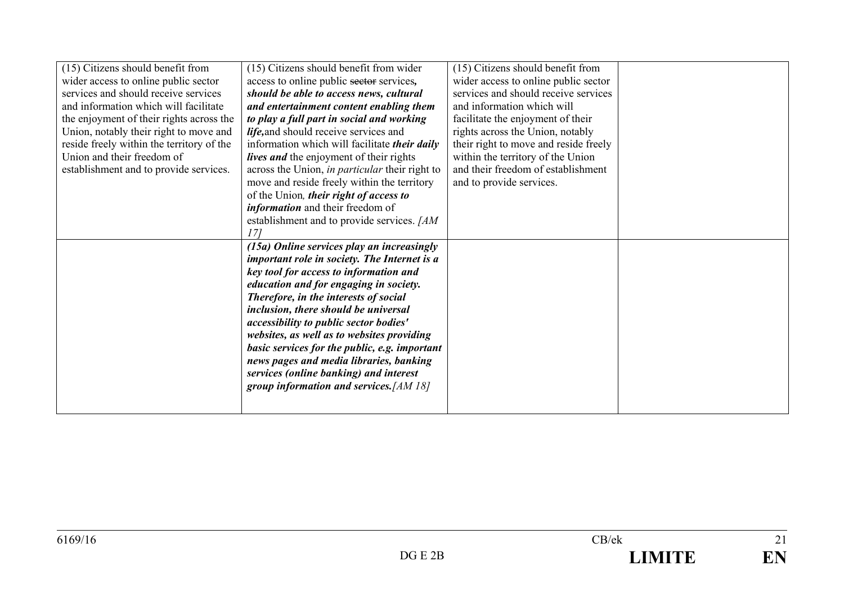| (15) Citizens should benefit from         | (15) Citizens should benefit from wider        | (15) Citizens should benefit from     |  |
|-------------------------------------------|------------------------------------------------|---------------------------------------|--|
| wider access to online public sector      | access to online public sector services,       | wider access to online public sector  |  |
| services and should receive services      | should be able to access news, cultural        | services and should receive services  |  |
| and information which will facilitate     | and entertainment content enabling them        | and information which will            |  |
| the enjoyment of their rights across the  | to play a full part in social and working      | facilitate the enjoyment of their     |  |
| Union, notably their right to move and    | life, and should receive services and          | rights across the Union, notably      |  |
| reside freely within the territory of the | information which will facilitate their daily  | their right to move and reside freely |  |
| Union and their freedom of                | lives and the enjoyment of their rights        | within the territory of the Union     |  |
| establishment and to provide services.    | across the Union, in particular their right to | and their freedom of establishment    |  |
|                                           | move and reside freely within the territory    | and to provide services.              |  |
|                                           | of the Union, their right of access to         |                                       |  |
|                                           | <i>information</i> and their freedom of        |                                       |  |
|                                           | establishment and to provide services. [AM     |                                       |  |
|                                           | 171                                            |                                       |  |
|                                           | (15a) Online services play an increasingly     |                                       |  |
|                                           | important role in society. The Internet is a   |                                       |  |
|                                           | key tool for access to information and         |                                       |  |
|                                           | education and for engaging in society.         |                                       |  |
|                                           | Therefore, in the interests of social          |                                       |  |
|                                           | inclusion, there should be universal           |                                       |  |
|                                           | accessibility to public sector bodies'         |                                       |  |
|                                           | websites, as well as to websites providing     |                                       |  |
|                                           | basic services for the public, e.g. important  |                                       |  |
|                                           | news pages and media libraries, banking        |                                       |  |
|                                           | services (online banking) and interest         |                                       |  |
|                                           | group information and services. $[AM 18]$      |                                       |  |
|                                           |                                                |                                       |  |
|                                           |                                                |                                       |  |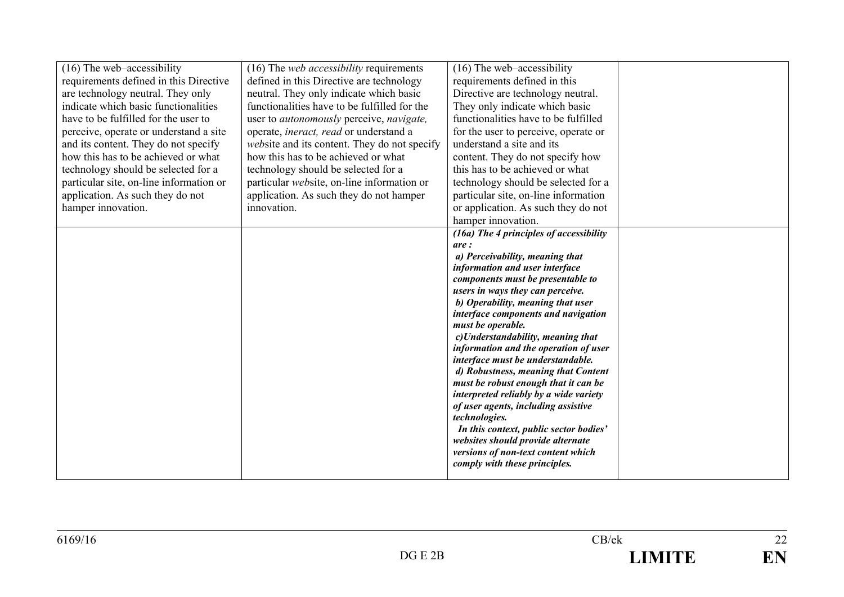| $(16)$ The web-accessibility            | (16) The <i>web accessibility</i> requirements          | $(16)$ The web-accessibility                                          |  |
|-----------------------------------------|---------------------------------------------------------|-----------------------------------------------------------------------|--|
| requirements defined in this Directive  | defined in this Directive are technology                | requirements defined in this                                          |  |
| are technology neutral. They only       | neutral. They only indicate which basic                 | Directive are technology neutral.                                     |  |
| indicate which basic functionalities    | functionalities have to be fulfilled for the            | They only indicate which basic                                        |  |
| have to be fulfilled for the user to    | user to <i>autonomously</i> perceive, <i>navigate</i> , | functionalities have to be fulfilled                                  |  |
| perceive, operate or understand a site  | operate, <i>ineract</i> , <i>read</i> or understand a   | for the user to perceive, operate or                                  |  |
| and its content. They do not specify    | <i>website</i> and its content. They do not specify     | understand a site and its                                             |  |
| how this has to be achieved or what     | how this has to be achieved or what                     | content. They do not specify how                                      |  |
| technology should be selected for a     | technology should be selected for a                     | this has to be achieved or what                                       |  |
| particular site, on-line information or | particular website, on-line information or              | technology should be selected for a                                   |  |
| application. As such they do not        | application. As such they do not hamper                 | particular site, on-line information                                  |  |
| hamper innovation.                      | innovation.                                             | or application. As such they do not                                   |  |
|                                         |                                                         | hamper innovation.                                                    |  |
|                                         |                                                         | (16a) The 4 principles of accessibility                               |  |
|                                         |                                                         | are:                                                                  |  |
|                                         |                                                         | a) Perceivability, meaning that                                       |  |
|                                         |                                                         | information and user interface                                        |  |
|                                         |                                                         | components must be presentable to                                     |  |
|                                         |                                                         | users in ways they can perceive.<br>b) Operability, meaning that user |  |
|                                         |                                                         | interface components and navigation                                   |  |
|                                         |                                                         | must be operable.                                                     |  |
|                                         |                                                         | c)Understandability, meaning that                                     |  |
|                                         |                                                         | information and the operation of user                                 |  |
|                                         |                                                         | interface must be understandable.                                     |  |
|                                         |                                                         | d) Robustness, meaning that Content                                   |  |
|                                         |                                                         | must be robust enough that it can be                                  |  |
|                                         |                                                         | interpreted reliably by a wide variety                                |  |
|                                         |                                                         | of user agents, including assistive                                   |  |
|                                         |                                                         | technologies.<br>In this context, public sector bodies'               |  |
|                                         |                                                         | websites should provide alternate                                     |  |
|                                         |                                                         | versions of non-text content which                                    |  |
|                                         |                                                         | comply with these principles.                                         |  |
|                                         |                                                         |                                                                       |  |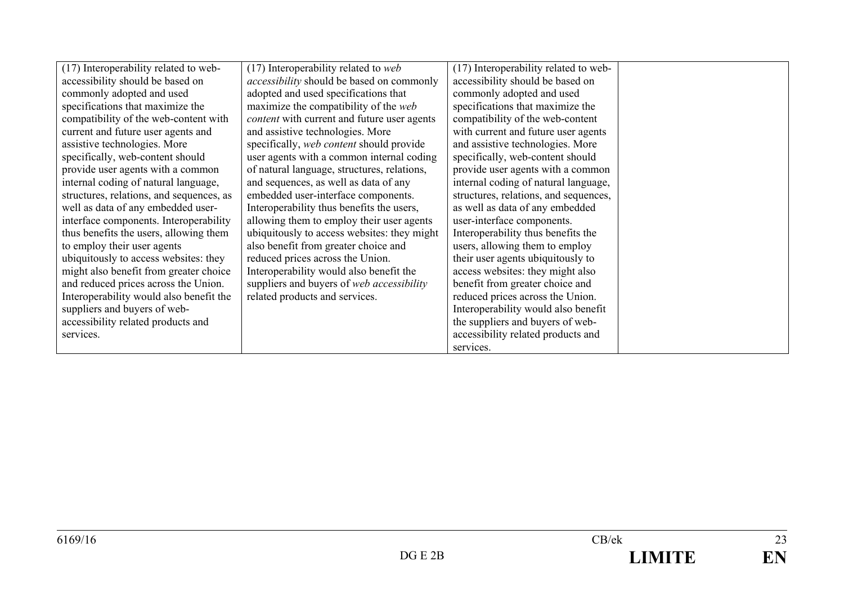| (17) Interoperability related to web-    | $(17)$ Interoperability related to web           | (17) Interoperability related to web- |  |
|------------------------------------------|--------------------------------------------------|---------------------------------------|--|
| accessibility should be based on         | <i>accessibility</i> should be based on commonly | accessibility should be based on      |  |
| commonly adopted and used                | adopted and used specifications that             | commonly adopted and used             |  |
| specifications that maximize the         | maximize the compatibility of the web            | specifications that maximize the      |  |
| compatibility of the web-content with    | content with current and future user agents      | compatibility of the web-content      |  |
| current and future user agents and       | and assistive technologies. More                 | with current and future user agents   |  |
| assistive technologies. More             | specifically, web content should provide         | and assistive technologies. More      |  |
| specifically, web-content should         | user agents with a common internal coding        | specifically, web-content should      |  |
| provide user agents with a common        | of natural language, structures, relations,      | provide user agents with a common     |  |
| internal coding of natural language,     | and sequences, as well as data of any            | internal coding of natural language,  |  |
| structures, relations, and sequences, as | embedded user-interface components.              | structures, relations, and sequences, |  |
| well as data of any embedded user-       | Interoperability thus benefits the users,        | as well as data of any embedded       |  |
| interface components. Interoperability   | allowing them to employ their user agents        | user-interface components.            |  |
| thus benefits the users, allowing them   | ubiquitously to access websites: they might      | Interoperability thus benefits the    |  |
| to employ their user agents              | also benefit from greater choice and             | users, allowing them to employ        |  |
| ubiquitously to access websites: they    | reduced prices across the Union.                 | their user agents ubiquitously to     |  |
| might also benefit from greater choice   | Interoperability would also benefit the          | access websites: they might also      |  |
| and reduced prices across the Union.     | suppliers and buyers of web accessibility        | benefit from greater choice and       |  |
| Interoperability would also benefit the  | related products and services.                   | reduced prices across the Union.      |  |
| suppliers and buyers of web-             |                                                  | Interoperability would also benefit   |  |
| accessibility related products and       |                                                  | the suppliers and buyers of web-      |  |
| services.                                |                                                  | accessibility related products and    |  |
|                                          |                                                  | services.                             |  |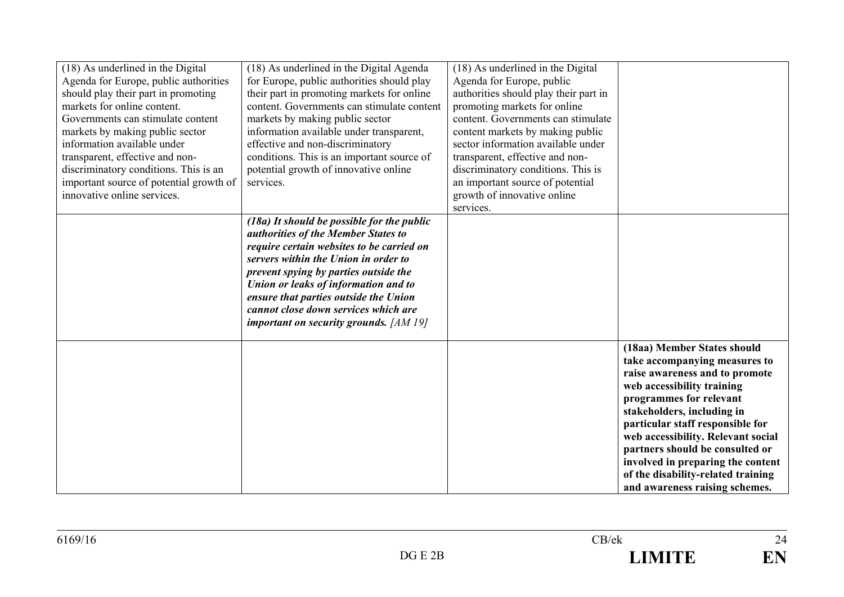| (18) As underlined in the Digital       | (18) As underlined in the Digital Agenda   | (18) As underlined in the Digital     |                                    |
|-----------------------------------------|--------------------------------------------|---------------------------------------|------------------------------------|
| Agenda for Europe, public authorities   | for Europe, public authorities should play | Agenda for Europe, public             |                                    |
| should play their part in promoting     | their part in promoting markets for online | authorities should play their part in |                                    |
| markets for online content.             | content. Governments can stimulate content | promoting markets for online          |                                    |
| Governments can stimulate content       | markets by making public sector            | content. Governments can stimulate    |                                    |
| markets by making public sector         | information available under transparent,   | content markets by making public      |                                    |
| information available under             | effective and non-discriminatory           | sector information available under    |                                    |
| transparent, effective and non-         | conditions. This is an important source of | transparent, effective and non-       |                                    |
| discriminatory conditions. This is an   | potential growth of innovative online      | discriminatory conditions. This is    |                                    |
| important source of potential growth of | services.                                  | an important source of potential      |                                    |
| innovative online services.             |                                            | growth of innovative online           |                                    |
|                                         |                                            | services.                             |                                    |
|                                         |                                            |                                       |                                    |
|                                         | (18a) It should be possible for the public |                                       |                                    |
|                                         | authorities of the Member States to        |                                       |                                    |
|                                         | require certain websites to be carried on  |                                       |                                    |
|                                         | servers within the Union in order to       |                                       |                                    |
|                                         | prevent spying by parties outside the      |                                       |                                    |
|                                         | Union or leaks of information and to       |                                       |                                    |
|                                         | ensure that parties outside the Union      |                                       |                                    |
|                                         | cannot close down services which are       |                                       |                                    |
|                                         | important on security grounds. $[AM 19]$   |                                       |                                    |
|                                         |                                            |                                       | (18aa) Member States should        |
|                                         |                                            |                                       |                                    |
|                                         |                                            |                                       | take accompanying measures to      |
|                                         |                                            |                                       | raise awareness and to promote     |
|                                         |                                            |                                       | web accessibility training         |
|                                         |                                            |                                       | programmes for relevant            |
|                                         |                                            |                                       | stakeholders, including in         |
|                                         |                                            |                                       | particular staff responsible for   |
|                                         |                                            |                                       | web accessibility. Relevant social |
|                                         |                                            |                                       | partners should be consulted or    |
|                                         |                                            |                                       | involved in preparing the content  |
|                                         |                                            |                                       | of the disability-related training |
|                                         |                                            |                                       | and awareness raising schemes.     |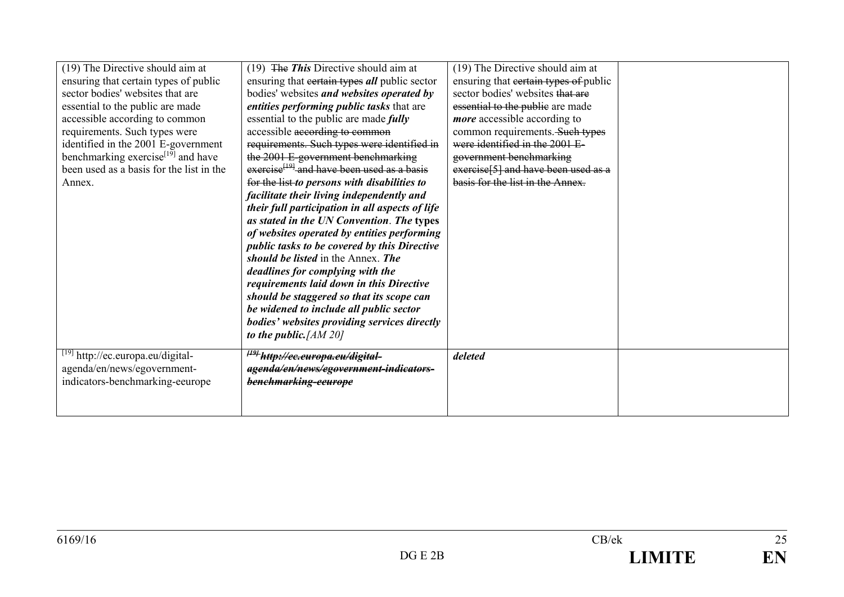| (19) The Directive should aim at<br>ensuring that certain types of public<br>sector bodies' websites that are<br>essential to the public are made<br>accessible according to common<br>requirements. Such types were<br>identified in the 2001 E-government<br>benchmarking exercise <sup>[19]</sup> and have<br>been used as a basis for the list in the<br>Annex. | (19) The This Directive should aim at<br>ensuring that certain types all public sector<br>bodies' websites and websites operated by<br>entities performing public tasks that are<br>essential to the public are made <i>fully</i><br>accessible according to common<br>requirements. Such types were identified in<br>the 2001 E-government benchmarking<br>exercise <sup>[19]</sup> and have been used as a basis<br>for the list-to persons with disabilities to<br>facilitate their living independently and<br>their full participation in all aspects of life<br>as stated in the UN Convention. The types<br>of websites operated by entities performing<br>public tasks to be covered by this Directive<br>should be listed in the Annex. The<br>deadlines for complying with the | (19) The Directive should aim at<br>ensuring that eertain types of public<br>sector bodies' websites that are<br>essential to the public are made<br><i>more</i> accessible according to<br>common requirements. Such types<br>were identified in the 2001 E-<br>government benchmarking<br>exercise <sup>[5]</sup> and have been used as a<br>basis for the list in the Annex. |  |
|---------------------------------------------------------------------------------------------------------------------------------------------------------------------------------------------------------------------------------------------------------------------------------------------------------------------------------------------------------------------|------------------------------------------------------------------------------------------------------------------------------------------------------------------------------------------------------------------------------------------------------------------------------------------------------------------------------------------------------------------------------------------------------------------------------------------------------------------------------------------------------------------------------------------------------------------------------------------------------------------------------------------------------------------------------------------------------------------------------------------------------------------------------------------|---------------------------------------------------------------------------------------------------------------------------------------------------------------------------------------------------------------------------------------------------------------------------------------------------------------------------------------------------------------------------------|--|
|                                                                                                                                                                                                                                                                                                                                                                     | requirements laid down in this Directive                                                                                                                                                                                                                                                                                                                                                                                                                                                                                                                                                                                                                                                                                                                                                 |                                                                                                                                                                                                                                                                                                                                                                                 |  |
|                                                                                                                                                                                                                                                                                                                                                                     | should be staggered so that its scope can<br>be widened to include all public sector                                                                                                                                                                                                                                                                                                                                                                                                                                                                                                                                                                                                                                                                                                     |                                                                                                                                                                                                                                                                                                                                                                                 |  |
|                                                                                                                                                                                                                                                                                                                                                                     | bodies' websites providing services directly<br>to the public. $[AM 20]$                                                                                                                                                                                                                                                                                                                                                                                                                                                                                                                                                                                                                                                                                                                 |                                                                                                                                                                                                                                                                                                                                                                                 |  |
| [19] http://ec.europa.eu/digital-<br>agenda/en/news/egovernment-<br>indicators-benchmarking-eeurope                                                                                                                                                                                                                                                                 | <sup>†19†</sup> http://ec.europa.eu/digital-<br>agenda/en/news/egovernment-indicators-<br>benchmarking-eeurope                                                                                                                                                                                                                                                                                                                                                                                                                                                                                                                                                                                                                                                                           | deleted                                                                                                                                                                                                                                                                                                                                                                         |  |
|                                                                                                                                                                                                                                                                                                                                                                     |                                                                                                                                                                                                                                                                                                                                                                                                                                                                                                                                                                                                                                                                                                                                                                                          |                                                                                                                                                                                                                                                                                                                                                                                 |  |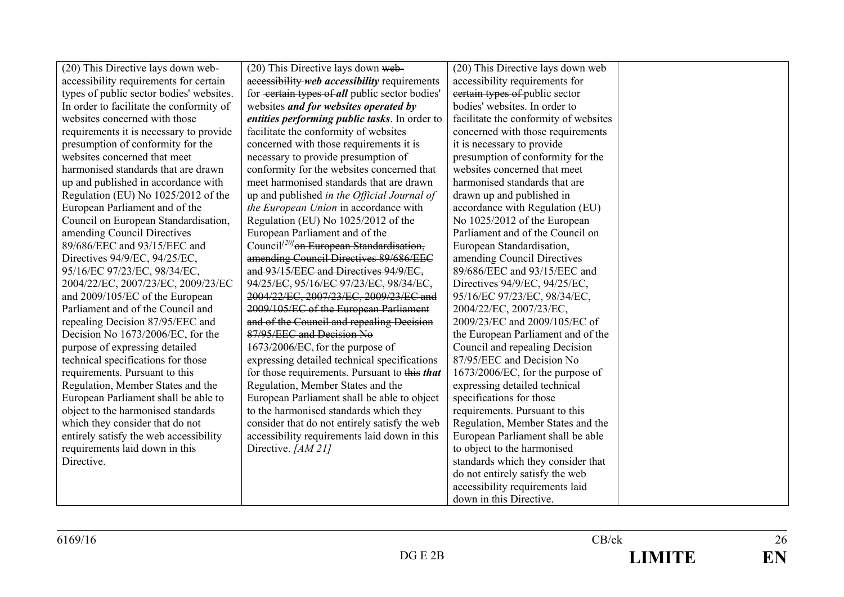| (20) This Directive lays down web-       | (20) This Directive lays down web-                   | (20) This Directive lays down web     |  |
|------------------------------------------|------------------------------------------------------|---------------------------------------|--|
| accessibility requirements for certain   | accessibility web accessibility requirements         | accessibility requirements for        |  |
| types of public sector bodies' websites. | for certain types of all public sector bodies'       | eertain types of public sector        |  |
| In order to facilitate the conformity of | websites and for websites operated by                | bodies' websites. In order to         |  |
| websites concerned with those            | entities performing public tasks. In order to        | facilitate the conformity of websites |  |
| requirements it is necessary to provide  | facilitate the conformity of websites                | concerned with those requirements     |  |
| presumption of conformity for the        | concerned with those requirements it is              | it is necessary to provide            |  |
| websites concerned that meet             | necessary to provide presumption of                  | presumption of conformity for the     |  |
| harmonised standards that are drawn      | conformity for the websites concerned that           | websites concerned that meet          |  |
| up and published in accordance with      | meet harmonised standards that are drawn             | harmonised standards that are         |  |
| Regulation (EU) No 1025/2012 of the      | up and published in the Official Journal of          | drawn up and published in             |  |
| European Parliament and of the           | the European Union in accordance with                | accordance with Regulation (EU)       |  |
| Council on European Standardisation,     | Regulation (EU) No 1025/2012 of the                  | No 1025/2012 of the European          |  |
| amending Council Directives              | European Parliament and of the                       | Parliament and of the Council on      |  |
| 89/686/EEC and 93/15/EEC and             | Council <sup>[20]</sup> on European Standardisation, | European Standardisation,             |  |
| Directives 94/9/EC, 94/25/EC,            | amending Council Directives 89/686/EEC               | amending Council Directives           |  |
| 95/16/EC 97/23/EC, 98/34/EC,             | and 93/15/EEC and Directives 94/9/EC.                | 89/686/EEC and 93/15/EEC and          |  |
| 2004/22/EC, 2007/23/EC, 2009/23/EC       | 94/25/EC, 95/16/EC 97/23/EC, 98/34/EC,               | Directives 94/9/EC, 94/25/EC,         |  |
| and 2009/105/EC of the European          | 2004/22/EC, 2007/23/EC, 2009/23/EC and               | 95/16/EC 97/23/EC, 98/34/EC,          |  |
| Parliament and of the Council and        | 2009/105/EC of the European Parliament               | 2004/22/EC, 2007/23/EC,               |  |
| repealing Decision 87/95/EEC and         | and of the Council and repealing Decision            | 2009/23/EC and 2009/105/EC of         |  |
| Decision No 1673/2006/EC, for the        | 87/95/EEC and Decision No                            | the European Parliament and of the    |  |
| purpose of expressing detailed           | 1673/2006/EC, for the purpose of                     | Council and repealing Decision        |  |
| technical specifications for those       | expressing detailed technical specifications         | 87/95/EEC and Decision No             |  |
| requirements. Pursuant to this           | for those requirements. Pursuant to this that        | $1673/2006/EC$ , for the purpose of   |  |
| Regulation, Member States and the        | Regulation, Member States and the                    | expressing detailed technical         |  |
| European Parliament shall be able to     | European Parliament shall be able to object          | specifications for those              |  |
| object to the harmonised standards       | to the harmonised standards which they               | requirements. Pursuant to this        |  |
| which they consider that do not          | consider that do not entirely satisfy the web        | Regulation, Member States and the     |  |
| entirely satisfy the web accessibility   | accessibility requirements laid down in this         | European Parliament shall be able     |  |
| requirements laid down in this           | Directive. [AM 21]                                   | to object to the harmonised           |  |
| Directive.                               |                                                      | standards which they consider that    |  |
|                                          |                                                      | do not entirely satisfy the web       |  |
|                                          |                                                      | accessibility requirements laid       |  |
|                                          |                                                      | down in this Directive.               |  |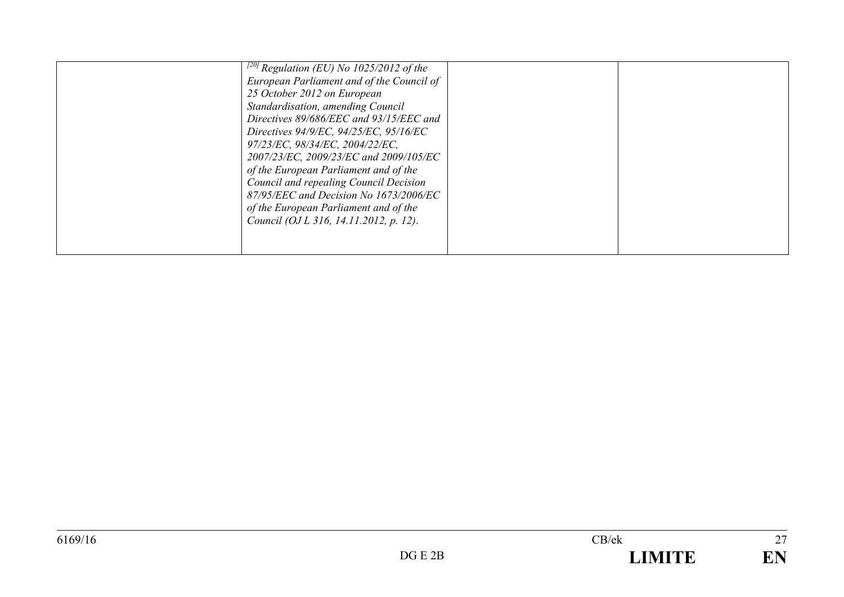| Directives 94/9/EC, 94/25/EC, 95/16/EC<br>97/23/EC, 98/34/EC, 2004/22/EC,<br>2007/23/EC, 2009/23/EC and 2009/105/EC<br>of the European Parliament and of the<br>Council and repealing Council Decision<br>87/95/EEC and Decision No 1673/2006/EC<br>of the European Parliament and of the<br>Council (OJ L 316, 14.11.2012, p. 12). |
|-------------------------------------------------------------------------------------------------------------------------------------------------------------------------------------------------------------------------------------------------------------------------------------------------------------------------------------|
|-------------------------------------------------------------------------------------------------------------------------------------------------------------------------------------------------------------------------------------------------------------------------------------------------------------------------------------|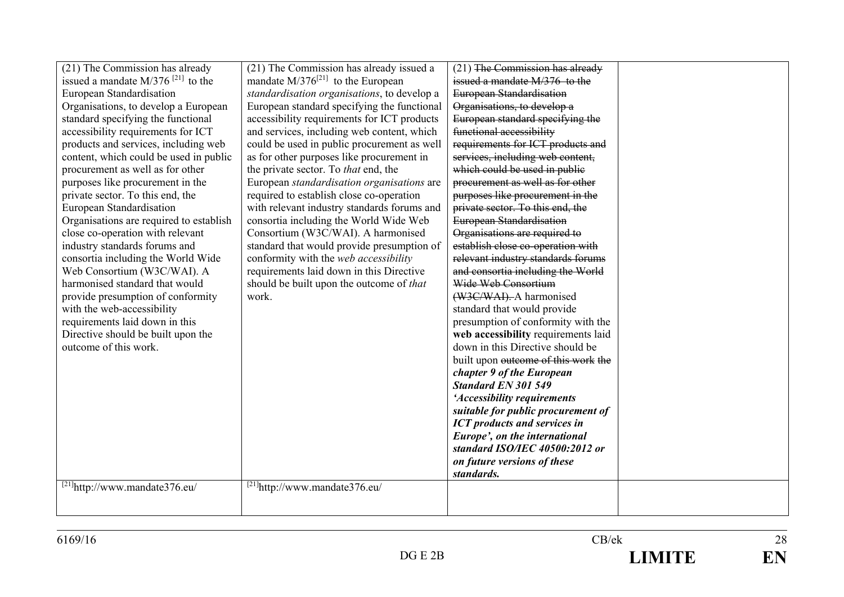| (21) The Commission has already                 | (21) The Commission has already issued a    | $(21)$ The Commission has already   |  |
|-------------------------------------------------|---------------------------------------------|-------------------------------------|--|
| issued a mandate $M/376$ <sup>[21]</sup> to the | mandate $M/376^{[21]}$ to the European      | issued a mandate M/376 to the       |  |
| European Standardisation                        | standardisation organisations, to develop a | European Standardisation            |  |
| Organisations, to develop a European            | European standard specifying the functional | Organisations, to develop a         |  |
| standard specifying the functional              | accessibility requirements for ICT products | European standard specifying the    |  |
| accessibility requirements for ICT              | and services, including web content, which  | functional accessibility            |  |
| products and services, including web            | could be used in public procurement as well | requirements for ICT products and   |  |
| content, which could be used in public          | as for other purposes like procurement in   | services, including web content,    |  |
| procurement as well as for other                | the private sector. To <i>that</i> end, the | which could be used in public       |  |
| purposes like procurement in the                | European standardisation organisations are  | procurement as well as for other    |  |
| private sector. To this end, the                | required to establish close co-operation    | purposes like procurement in the    |  |
| European Standardisation                        | with relevant industry standards forums and | private sector. To this end, the    |  |
| Organisations are required to establish         | consortia including the World Wide Web      | European Standardisation            |  |
| close co-operation with relevant                | Consortium (W3C/WAI). A harmonised          | Organisations are required to       |  |
| industry standards forums and                   | standard that would provide presumption of  | establish close co-operation with   |  |
| consortia including the World Wide              | conformity with the web accessibility       | relevant industry standards forums  |  |
| Web Consortium (W3C/WAI). A                     | requirements laid down in this Directive    | and consortia including the World   |  |
| harmonised standard that would                  | should be built upon the outcome of that    | Wide Web Consortium                 |  |
| provide presumption of conformity               | work.                                       | (W3C/WAI). A harmonised             |  |
| with the web-accessibility                      |                                             | standard that would provide         |  |
| requirements laid down in this                  |                                             | presumption of conformity with the  |  |
| Directive should be built upon the              |                                             | web accessibility requirements laid |  |
| outcome of this work.                           |                                             | down in this Directive should be    |  |
|                                                 |                                             | built upon outcome of this work the |  |
|                                                 |                                             | chapter 9 of the European           |  |
|                                                 |                                             | <b>Standard EN 301 549</b>          |  |
|                                                 |                                             | 'Accessibility requirements         |  |
|                                                 |                                             | suitable for public procurement of  |  |
|                                                 |                                             | <b>ICT</b> products and services in |  |
|                                                 |                                             | Europe', on the international       |  |
|                                                 |                                             | standard ISO/IEC 40500:2012 or      |  |
|                                                 |                                             | on future versions of these         |  |
|                                                 |                                             | standards.                          |  |
| $[21]$ http://www.mandate376.eu/                | $^{[21]}$ http://www.mandate376.eu/         |                                     |  |
|                                                 |                                             |                                     |  |
|                                                 |                                             |                                     |  |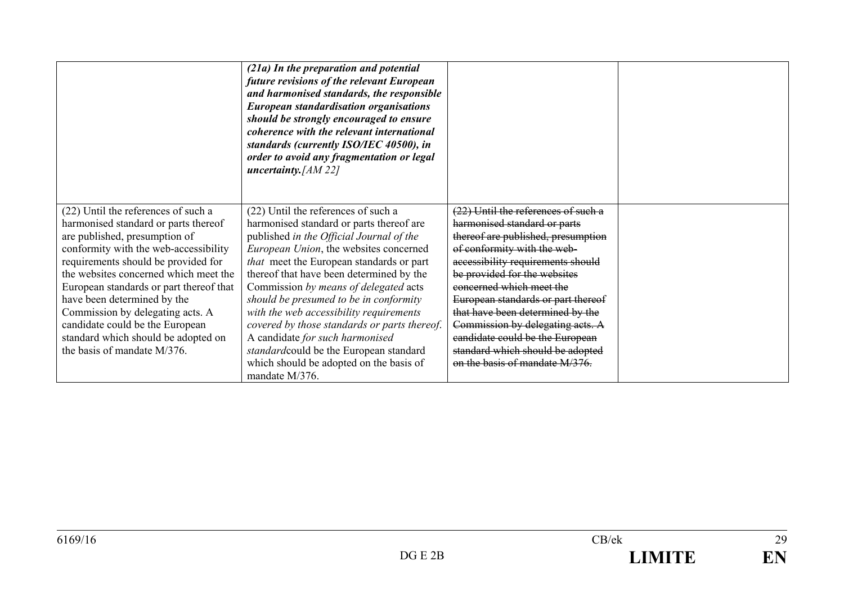|                                         | (21a) In the preparation and potential<br>future revisions of the relevant European<br>and harmonised standards, the responsible<br><b>European standardisation organisations</b><br>should be strongly encouraged to ensure<br>coherence with the relevant international<br>standards (currently ISO/IEC 40500), in<br>order to avoid any fragmentation or legal<br>uncertainty. [AM 22] |                                     |  |
|-----------------------------------------|-------------------------------------------------------------------------------------------------------------------------------------------------------------------------------------------------------------------------------------------------------------------------------------------------------------------------------------------------------------------------------------------|-------------------------------------|--|
| (22) Until the references of such a     | (22) Until the references of such a                                                                                                                                                                                                                                                                                                                                                       | (22) Until the references of such a |  |
| harmonised standard or parts thereof    | harmonised standard or parts thereof are                                                                                                                                                                                                                                                                                                                                                  | harmonised standard or parts        |  |
| are published, presumption of           | published in the Official Journal of the                                                                                                                                                                                                                                                                                                                                                  | thereof are published, presumption  |  |
| conformity with the web-accessibility   | European Union, the websites concerned                                                                                                                                                                                                                                                                                                                                                    | of conformity with the web-         |  |
| requirements should be provided for     | that meet the European standards or part                                                                                                                                                                                                                                                                                                                                                  | accessibility requirements should   |  |
| the websites concerned which meet the   | thereof that have been determined by the                                                                                                                                                                                                                                                                                                                                                  | be provided for the websites        |  |
| European standards or part thereof that | Commission by means of delegated acts                                                                                                                                                                                                                                                                                                                                                     | concerned which meet the            |  |
| have been determined by the             | should be presumed to be in conformity                                                                                                                                                                                                                                                                                                                                                    | European standards or part thereof  |  |
| Commission by delegating acts. A        | with the web accessibility requirements                                                                                                                                                                                                                                                                                                                                                   | that have been determined by the    |  |
| candidate could be the European         | covered by those standards or parts thereof.                                                                                                                                                                                                                                                                                                                                              | Commission by delegating acts. A    |  |
| standard which should be adopted on     | A candidate for such harmonised                                                                                                                                                                                                                                                                                                                                                           | candidate could be the European     |  |
| the basis of mandate M/376.             | standardcould be the European standard                                                                                                                                                                                                                                                                                                                                                    | standard which should be adopted    |  |
|                                         | which should be adopted on the basis of                                                                                                                                                                                                                                                                                                                                                   | on the basis of mandate M/376.      |  |
|                                         | mandate M/376.                                                                                                                                                                                                                                                                                                                                                                            |                                     |  |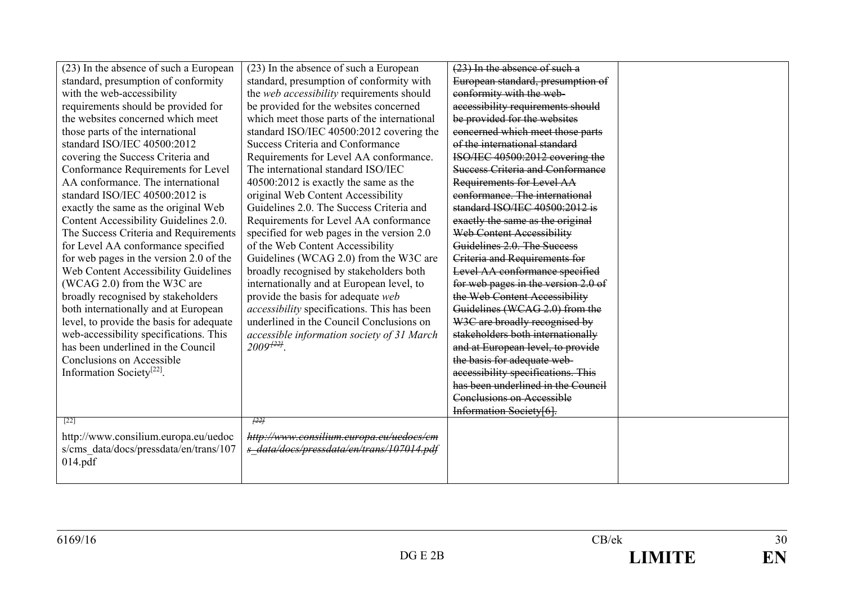| (23) In the absence of such a European      | (23) In the absence of such a European             | (23) In the absence of such a           |  |
|---------------------------------------------|----------------------------------------------------|-----------------------------------------|--|
| standard, presumption of conformity         | standard, presumption of conformity with           | European standard, presumption of       |  |
| with the web-accessibility                  | the web accessibility requirements should          | conformity with the web-                |  |
| requirements should be provided for         | be provided for the websites concerned             | accessibility requirements should       |  |
| the websites concerned which meet           | which meet those parts of the international        | be provided for the websites            |  |
| those parts of the international            | standard ISO/IEC 40500:2012 covering the           | concerned which meet those parts        |  |
| standard ISO/IEC 40500:2012                 | <b>Success Criteria and Conformance</b>            | of the international standard           |  |
| covering the Success Criteria and           | Requirements for Level AA conformance.             | ISO/IEC 40500:2012 covering the         |  |
| Conformance Requirements for Level          | The international standard ISO/IEC                 | <b>Success Criteria and Conformance</b> |  |
| AA conformance. The international           | 40500:2012 is exactly the same as the              | Requirements for Level AA               |  |
| standard ISO/IEC 40500:2012 is              | original Web Content Accessibility                 | conformance. The international          |  |
| exactly the same as the original Web        | Guidelines 2.0. The Success Criteria and           | standard ISO/IEC 40500:2012 is          |  |
| Content Accessibility Guidelines 2.0.       | Requirements for Level AA conformance              | exactly the same as the original        |  |
| The Success Criteria and Requirements       | specified for web pages in the version 2.0         | Web Content Accessibility               |  |
| for Level AA conformance specified          | of the Web Content Accessibility                   | Guidelines 2.0. The Success             |  |
| for web pages in the version 2.0 of the     | Guidelines (WCAG 2.0) from the W3C are             | Criteria and Requirements for           |  |
| <b>Web Content Accessibility Guidelines</b> | broadly recognised by stakeholders both            | Level AA conformance specified          |  |
| (WCAG 2.0) from the W3C are                 | internationally and at European level, to          | for web pages in the version 2.0 of     |  |
| broadly recognised by stakeholders          | provide the basis for adequate web                 | the Web Content Accessibility           |  |
| both internationally and at European        | <i>accessibility</i> specifications. This has been | Guidelines (WCAG 2.0) from the          |  |
| level, to provide the basis for adequate    | underlined in the Council Conclusions on           | W3C are broadly recognised by           |  |
| web-accessibility specifications. This      | accessible information society of 31 March         | stakeholders both internationally       |  |
| has been underlined in the Council          | $2009^{+22}$ .                                     | and at European level, to provide       |  |
| Conclusions on Accessible                   |                                                    | the basis for adequate web-             |  |
| Information Society <sup>[22]</sup> .       |                                                    | accessibility specifications. This      |  |
|                                             |                                                    | has been underlined in the Council      |  |
|                                             |                                                    | <b>Conclusions on Accessible</b>        |  |
|                                             |                                                    | Information Society[6].                 |  |
| $[22]$                                      | f22f                                               |                                         |  |
| http://www.consilium.europa.eu/uedoc        | http://www.consilium.europa.eu/uedocs/cm           |                                         |  |
| s/cms data/docs/pressdata/en/trans/107      | s data/docs/pressdata/en/trans/107014.pdf          |                                         |  |
| 014.pdf                                     |                                                    |                                         |  |
|                                             |                                                    |                                         |  |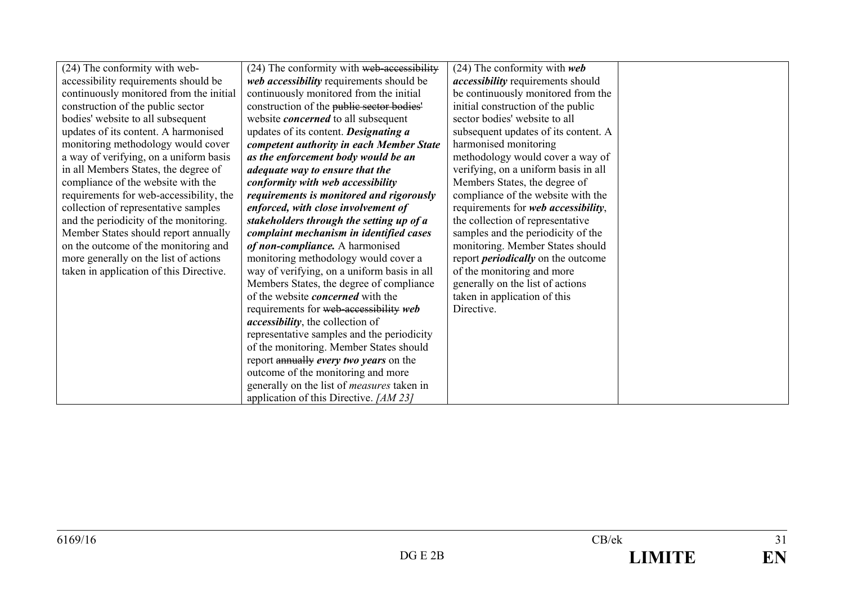| (24) The conformity with web-           | (24) The conformity with web-accessibility        | $(24)$ The conformity with web            |  |
|-----------------------------------------|---------------------------------------------------|-------------------------------------------|--|
| accessibility requirements should be    | web accessibility requirements should be          | <i>accessibility</i> requirements should  |  |
| continuously monitored from the initial | continuously monitored from the initial           | be continuously monitored from the        |  |
| construction of the public sector       | construction of the public sector bodies'         | initial construction of the public        |  |
| bodies' website to all subsequent       | website <i>concerned</i> to all subsequent        | sector bodies' website to all             |  |
| updates of its content. A harmonised    | updates of its content. Designating a             | subsequent updates of its content. A      |  |
| monitoring methodology would cover      | competent authority in each Member State          | harmonised monitoring                     |  |
| a way of verifying, on a uniform basis  | as the enforcement body would be an               | methodology would cover a way of          |  |
| in all Members States, the degree of    | adequate way to ensure that the                   | verifying, on a uniform basis in all      |  |
| compliance of the website with the      | conformity with web accessibility                 | Members States, the degree of             |  |
| requirements for web-accessibility, the | requirements is monitored and rigorously          | compliance of the website with the        |  |
| collection of representative samples    | enforced, with close involvement of               | requirements for web accessibility,       |  |
| and the periodicity of the monitoring.  | stakeholders through the setting up of a          | the collection of representative          |  |
| Member States should report annually    | complaint mechanism in identified cases           | samples and the periodicity of the        |  |
| on the outcome of the monitoring and    | of non-compliance. A harmonised                   | monitoring. Member States should          |  |
| more generally on the list of actions   | monitoring methodology would cover a              | report <i>periodically</i> on the outcome |  |
| taken in application of this Directive. | way of verifying, on a uniform basis in all       | of the monitoring and more                |  |
|                                         | Members States, the degree of compliance          | generally on the list of actions          |  |
|                                         | of the website <i>concerned</i> with the          | taken in application of this              |  |
|                                         | requirements for web-accessibility web            | Directive.                                |  |
|                                         | <i>accessibility</i> , the collection of          |                                           |  |
|                                         | representative samples and the periodicity        |                                           |  |
|                                         | of the monitoring. Member States should           |                                           |  |
|                                         | report annually every two years on the            |                                           |  |
|                                         | outcome of the monitoring and more                |                                           |  |
|                                         | generally on the list of <i>measures</i> taken in |                                           |  |
|                                         | application of this Directive. [AM 23]            |                                           |  |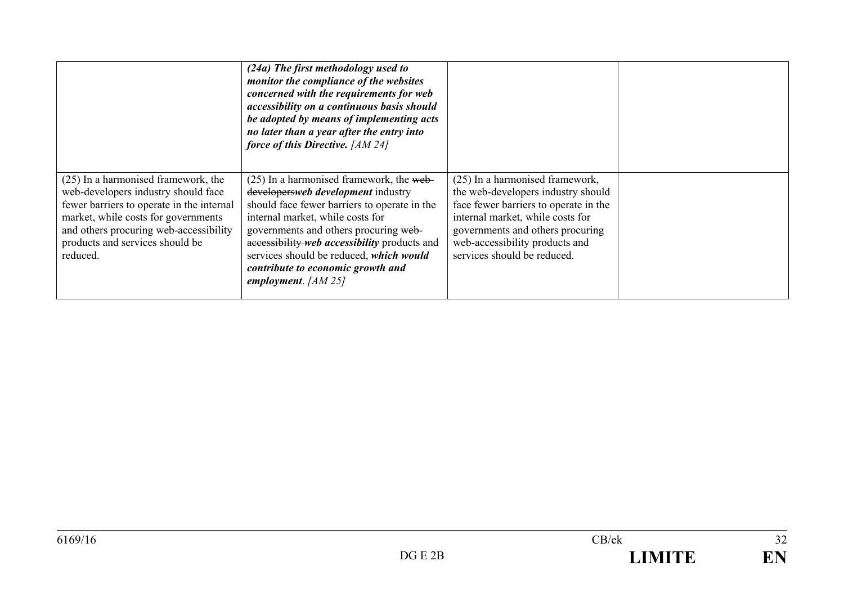|                                                                                                                                                                                                                                                         | (24a) The first methodology used to<br>monitor the compliance of the websites<br>concerned with the requirements for web<br>accessibility on a continuous basis should<br>be adopted by means of implementing acts<br>no later than a year after the entry into<br>force of this Directive. [AM 24]                                                                    |                                                                                                                                                                                                                                                         |  |
|---------------------------------------------------------------------------------------------------------------------------------------------------------------------------------------------------------------------------------------------------------|------------------------------------------------------------------------------------------------------------------------------------------------------------------------------------------------------------------------------------------------------------------------------------------------------------------------------------------------------------------------|---------------------------------------------------------------------------------------------------------------------------------------------------------------------------------------------------------------------------------------------------------|--|
| (25) In a harmonised framework, the<br>web-developers industry should face<br>fewer barriers to operate in the internal<br>market, while costs for governments<br>and others procuring web-accessibility<br>products and services should be<br>reduced. | $(25)$ In a harmonised framework, the web-<br>developersweb development industry<br>should face fewer barriers to operate in the<br>internal market, while costs for<br>governments and others procuring web-<br>accessibility web accessibility products and<br>services should be reduced, which would<br>contribute to economic growth and<br>employment. $[AM 25]$ | (25) In a harmonised framework,<br>the web-developers industry should<br>face fewer barriers to operate in the<br>internal market, while costs for<br>governments and others procuring<br>web-accessibility products and<br>services should be reduced. |  |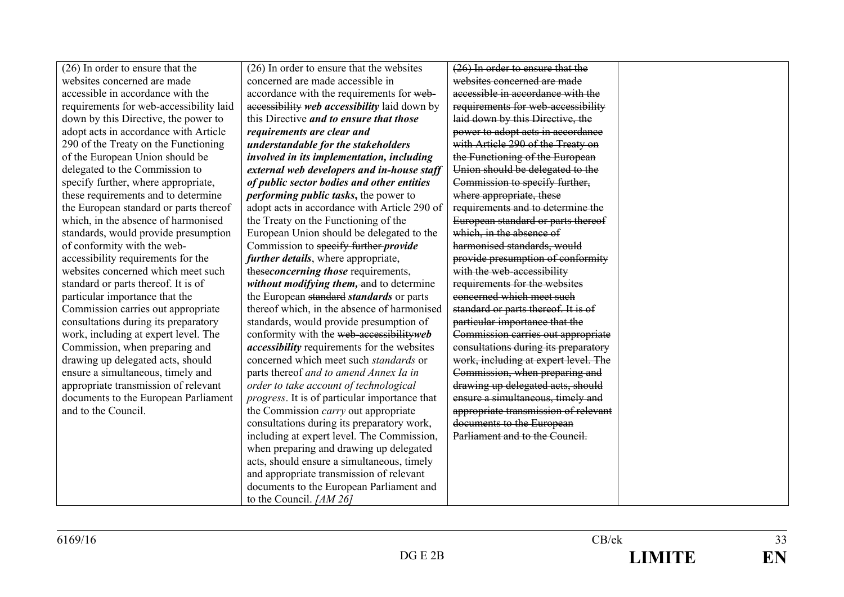| $(26)$ In order to ensure that the      | (26) In order to ensure that the websites             | (26) In order to ensure that the     |  |
|-----------------------------------------|-------------------------------------------------------|--------------------------------------|--|
| websites concerned are made             | concerned are made accessible in                      | websites concerned are made          |  |
| accessible in accordance with the       | accordance with the requirements for web-             | accessible in accordance with the    |  |
| requirements for web-accessibility laid | accessibility web accessibility laid down by          | requirements for web-accessibility   |  |
| down by this Directive, the power to    | this Directive and to ensure that those               | laid down by this Directive, the     |  |
| adopt acts in accordance with Article   | requirements are clear and                            | power to adopt acts in accordance    |  |
| 290 of the Treaty on the Functioning    | understandable for the stakeholders                   | with Article 290 of the Treaty on    |  |
| of the European Union should be         | involved in its implementation, including             | the Functioning of the European      |  |
| delegated to the Commission to          | external web developers and in-house staff            | Union should be delegated to the     |  |
| specify further, where appropriate,     | of public sector bodies and other entities            | Commission to specify further,       |  |
| these requirements and to determine     | <i>performing public tasks</i> , the power to         | where appropriate, these             |  |
| the European standard or parts thereof  | adopt acts in accordance with Article 290 of          | requirements and to determine the    |  |
| which, in the absence of harmonised     | the Treaty on the Functioning of the                  | European standard or parts thereof   |  |
| standards, would provide presumption    | European Union should be delegated to the             | which, in the absence of             |  |
| of conformity with the web-             | Commission to specify further <i>provide</i>          | harmonised standards, would          |  |
| accessibility requirements for the      | <i>further details</i> , where appropriate,           | provide presumption of conformity    |  |
| websites concerned which meet such      | theseconcerning those requirements,                   | with the web-accessibility           |  |
| standard or parts thereof. It is of     | without modifying them, and to determine              | requirements for the websites        |  |
| particular importance that the          | the European standard standards or parts              | concerned which meet such            |  |
| Commission carries out appropriate      | thereof which, in the absence of harmonised           | standard or parts thereof. It is of  |  |
| consultations during its preparatory    | standards, would provide presumption of               | particular importance that the       |  |
| work, including at expert level. The    | conformity with the web-accessibility web             | Commission carries out appropriate   |  |
| Commission, when preparing and          | <i>accessibility</i> requirements for the websites    | consultations during its preparatory |  |
| drawing up delegated acts, should       | concerned which meet such <i>standards</i> or         | work, including at expert level. The |  |
| ensure a simultaneous, timely and       | parts thereof and to amend Annex Ia in                | Commission, when preparing and       |  |
| appropriate transmission of relevant    | order to take account of technological                | drawing up delegated acts, should    |  |
| documents to the European Parliament    | <i>progress</i> . It is of particular importance that | ensure a simultaneous, timely and    |  |
| and to the Council.                     | the Commission <i>carry</i> out appropriate           | appropriate transmission of relevant |  |
|                                         | consultations during its preparatory work,            | documents to the European            |  |
|                                         | including at expert level. The Commission,            | Parliament and to the Council.       |  |
|                                         | when preparing and drawing up delegated               |                                      |  |
|                                         | acts, should ensure a simultaneous, timely            |                                      |  |
|                                         | and appropriate transmission of relevant              |                                      |  |
|                                         | documents to the European Parliament and              |                                      |  |
|                                         | to the Council. [AM 26]                               |                                      |  |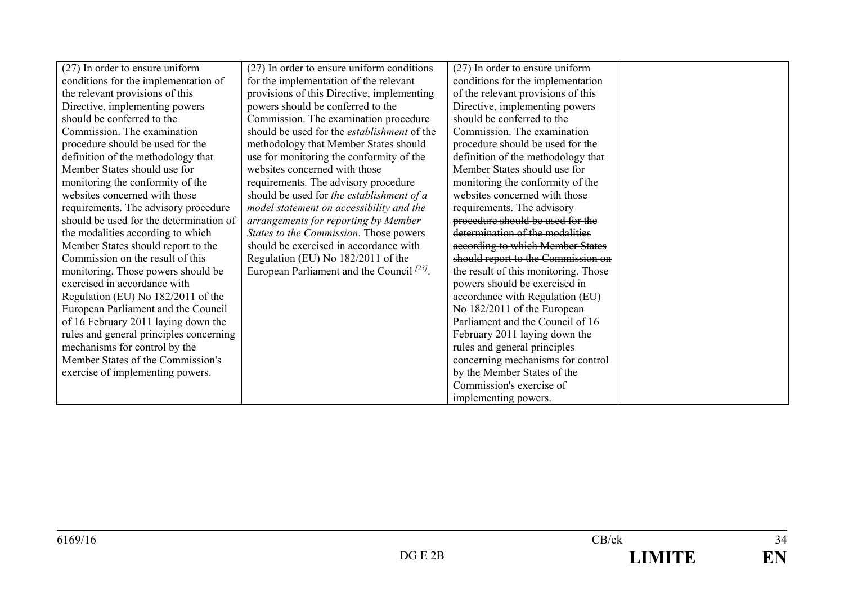| (27) In order to ensure uniform         | (27) In order to ensure uniform conditions         | $(27)$ In order to ensure uniform    |  |
|-----------------------------------------|----------------------------------------------------|--------------------------------------|--|
| conditions for the implementation of    | for the implementation of the relevant             | conditions for the implementation    |  |
| the relevant provisions of this         | provisions of this Directive, implementing         | of the relevant provisions of this   |  |
| Directive, implementing powers          | powers should be conferred to the                  | Directive, implementing powers       |  |
| should be conferred to the              | Commission. The examination procedure              | should be conferred to the           |  |
| Commission. The examination             | should be used for the <i>establishment</i> of the | Commission. The examination          |  |
| procedure should be used for the        | methodology that Member States should              | procedure should be used for the     |  |
| definition of the methodology that      | use for monitoring the conformity of the           | definition of the methodology that   |  |
| Member States should use for            | websites concerned with those                      | Member States should use for         |  |
| monitoring the conformity of the        | requirements. The advisory procedure               | monitoring the conformity of the     |  |
| websites concerned with those           | should be used for the establishment of a          | websites concerned with those        |  |
| requirements. The advisory procedure    | model statement on accessibility and the           | requirements. The advisory           |  |
| should be used for the determination of | arrangements for reporting by Member               | procedure should be used for the     |  |
| the modalities according to which       | States to the Commission. Those powers             | determination of the modalities      |  |
| Member States should report to the      | should be exercised in accordance with             | according to which Member States     |  |
| Commission on the result of this        | Regulation (EU) No 182/2011 of the                 | should report to the Commission on   |  |
| monitoring. Those powers should be      | European Parliament and the Council $^{123}$ .     | the result of this monitoring. Those |  |
| exercised in accordance with            |                                                    | powers should be exercised in        |  |
| Regulation (EU) No 182/2011 of the      |                                                    | accordance with Regulation (EU)      |  |
| European Parliament and the Council     |                                                    | No 182/2011 of the European          |  |
| of 16 February 2011 laying down the     |                                                    | Parliament and the Council of 16     |  |
| rules and general principles concerning |                                                    | February 2011 laying down the        |  |
| mechanisms for control by the           |                                                    | rules and general principles         |  |
| Member States of the Commission's       |                                                    | concerning mechanisms for control    |  |
| exercise of implementing powers.        |                                                    | by the Member States of the          |  |
|                                         |                                                    | Commission's exercise of             |  |
|                                         |                                                    | implementing powers.                 |  |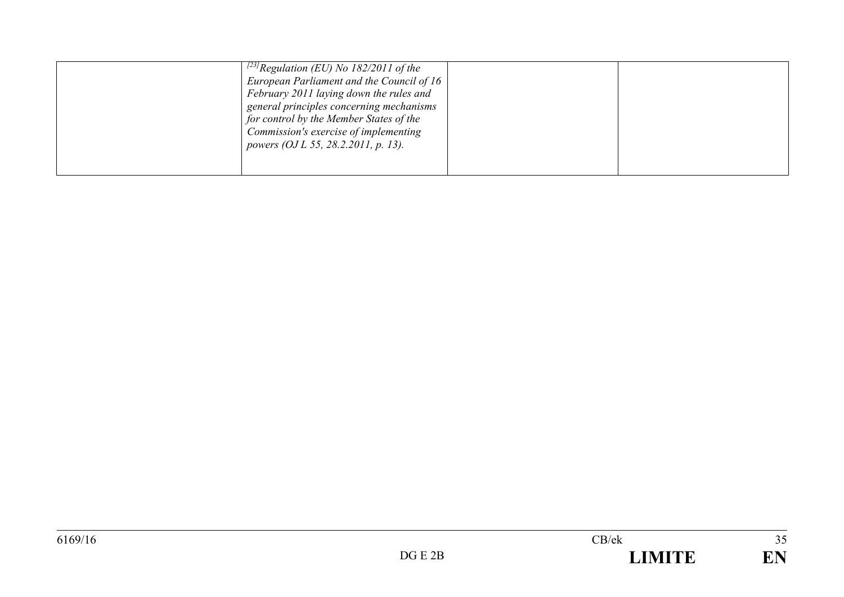| <sup>[23]</sup> Regulation (EU) No 182/2011 of the<br>European Parliament and the Council of $16$<br>February 2011 laying down the rules and<br>general principles concerning mechanisms<br>for control by the Member States of the<br>Commission's exercise of implementing<br>powers (OJ L 55, 28.2.2011, p. 13). |  |  |
|---------------------------------------------------------------------------------------------------------------------------------------------------------------------------------------------------------------------------------------------------------------------------------------------------------------------|--|--|
|---------------------------------------------------------------------------------------------------------------------------------------------------------------------------------------------------------------------------------------------------------------------------------------------------------------------|--|--|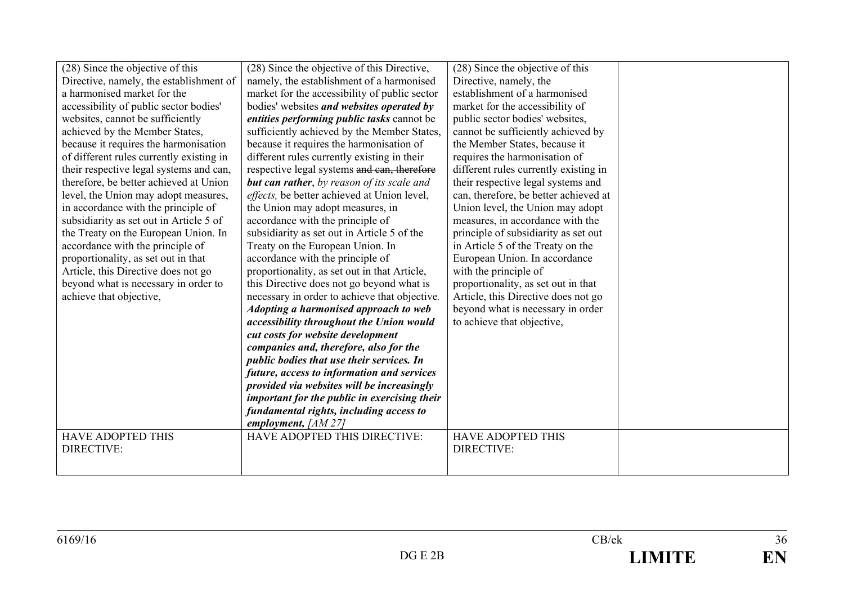| (28) Since the objective of this         | (28) Since the objective of this Directive,        | (28) Since the objective of this      |  |
|------------------------------------------|----------------------------------------------------|---------------------------------------|--|
| Directive, namely, the establishment of  | namely, the establishment of a harmonised          | Directive, namely, the                |  |
| a harmonised market for the              | market for the accessibility of public sector      | establishment of a harmonised         |  |
| accessibility of public sector bodies'   | bodies' websites and websites operated by          | market for the accessibility of       |  |
| websites, cannot be sufficiently         | entities performing public tasks cannot be         | public sector bodies' websites,       |  |
| achieved by the Member States,           | sufficiently achieved by the Member States,        | cannot be sufficiently achieved by    |  |
| because it requires the harmonisation    | because it requires the harmonisation of           | the Member States, because it         |  |
| of different rules currently existing in | different rules currently existing in their        | requires the harmonisation of         |  |
| their respective legal systems and can,  | respective legal systems and can, therefore        | different rules currently existing in |  |
| therefore, be better achieved at Union   | <b>but can rather</b> , by reason of its scale and | their respective legal systems and    |  |
| level, the Union may adopt measures,     | effects, be better achieved at Union level,        | can, therefore, be better achieved at |  |
| in accordance with the principle of      | the Union may adopt measures, in                   | Union level, the Union may adopt      |  |
| subsidiarity as set out in Article 5 of  | accordance with the principle of                   | measures, in accordance with the      |  |
| the Treaty on the European Union. In     | subsidiarity as set out in Article 5 of the        | principle of subsidiarity as set out  |  |
| accordance with the principle of         | Treaty on the European Union. In                   | in Article 5 of the Treaty on the     |  |
| proportionality, as set out in that      | accordance with the principle of                   | European Union. In accordance         |  |
| Article, this Directive does not go      | proportionality, as set out in that Article,       | with the principle of                 |  |
| beyond what is necessary in order to     | this Directive does not go beyond what is          | proportionality, as set out in that   |  |
| achieve that objective,                  | necessary in order to achieve that objective.      | Article, this Directive does not go   |  |
|                                          | Adopting a harmonised approach to web              | beyond what is necessary in order     |  |
|                                          | accessibility throughout the Union would           | to achieve that objective,            |  |
|                                          | cut costs for website development                  |                                       |  |
|                                          | companies and, therefore, also for the             |                                       |  |
|                                          | public bodies that use their services. In          |                                       |  |
|                                          | future, access to information and services         |                                       |  |
|                                          | provided via websites will be increasingly         |                                       |  |
|                                          | important for the public in exercising their       |                                       |  |
|                                          | fundamental rights, including access to            |                                       |  |
|                                          | employment, $[AM 27]$                              |                                       |  |
| <b>HAVE ADOPTED THIS</b>                 | HAVE ADOPTED THIS DIRECTIVE:                       | <b>HAVE ADOPTED THIS</b>              |  |
| <b>DIRECTIVE:</b>                        |                                                    | DIRECTIVE:                            |  |
|                                          |                                                    |                                       |  |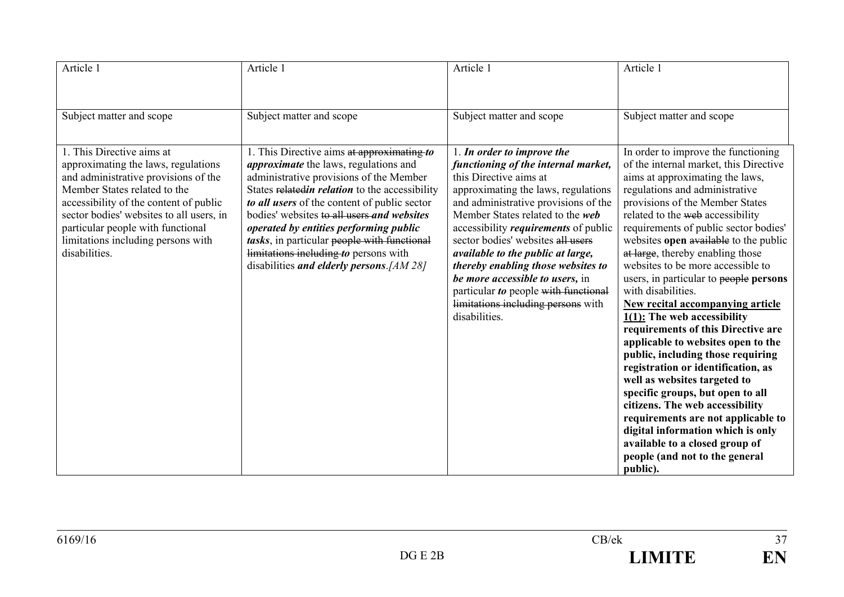| Article 1                                                                                                                                                                                                                                                                                                                  | Article 1                                                                                                                                                                                                                                                                                                                                                                                                                                                            | Article 1                                                                                                                                                                                                                                                                                                                                                                                                                                                                                                       | Article 1                                                                                                                                                                                                                                                                                                                                                                                                                                                                                                                                                                                                                                                                                                                                                                                                                                                                                                                                                  |
|----------------------------------------------------------------------------------------------------------------------------------------------------------------------------------------------------------------------------------------------------------------------------------------------------------------------------|----------------------------------------------------------------------------------------------------------------------------------------------------------------------------------------------------------------------------------------------------------------------------------------------------------------------------------------------------------------------------------------------------------------------------------------------------------------------|-----------------------------------------------------------------------------------------------------------------------------------------------------------------------------------------------------------------------------------------------------------------------------------------------------------------------------------------------------------------------------------------------------------------------------------------------------------------------------------------------------------------|------------------------------------------------------------------------------------------------------------------------------------------------------------------------------------------------------------------------------------------------------------------------------------------------------------------------------------------------------------------------------------------------------------------------------------------------------------------------------------------------------------------------------------------------------------------------------------------------------------------------------------------------------------------------------------------------------------------------------------------------------------------------------------------------------------------------------------------------------------------------------------------------------------------------------------------------------------|
| Subject matter and scope                                                                                                                                                                                                                                                                                                   | Subject matter and scope                                                                                                                                                                                                                                                                                                                                                                                                                                             | Subject matter and scope                                                                                                                                                                                                                                                                                                                                                                                                                                                                                        | Subject matter and scope                                                                                                                                                                                                                                                                                                                                                                                                                                                                                                                                                                                                                                                                                                                                                                                                                                                                                                                                   |
| 1. This Directive aims at<br>approximating the laws, regulations<br>and administrative provisions of the<br>Member States related to the<br>accessibility of the content of public<br>sector bodies' websites to all users, in<br>particular people with functional<br>limitations including persons with<br>disabilities. | 1. This Directive aims at approximating to<br><i>approximate</i> the laws, regulations and<br>administrative provisions of the Member<br>States relatedin relation to the accessibility<br>to all users of the content of public sector<br>bodies' websites to all users and websites<br>operated by entities performing public<br>tasks, in particular people with functional<br>limitations including to persons with<br>disabilities and elderly persons. [AM 28] | 1. In order to improve the<br>functioning of the internal market,<br>this Directive aims at<br>approximating the laws, regulations<br>and administrative provisions of the<br>Member States related to the web<br>accessibility <i>requirements</i> of public<br>sector bodies' websites all users<br>available to the public at large,<br>thereby enabling those websites to<br>be more accessible to users, in<br>particular to people with functional<br>limitations including persons with<br>disabilities. | In order to improve the functioning<br>of the internal market, this Directive<br>aims at approximating the laws,<br>regulations and administrative<br>provisions of the Member States<br>related to the web accessibility<br>requirements of public sector bodies'<br>websites open available to the public<br>at large, thereby enabling those<br>websites to be more accessible to<br>users, in particular to people persons<br>with disabilities.<br><b>New recital accompanying article</b><br>$1(1)$ : The web accessibility<br>requirements of this Directive are<br>applicable to websites open to the<br>public, including those requiring<br>registration or identification, as<br>well as websites targeted to<br>specific groups, but open to all<br>citizens. The web accessibility<br>requirements are not applicable to<br>digital information which is only<br>available to a closed group of<br>people (and not to the general<br>public). |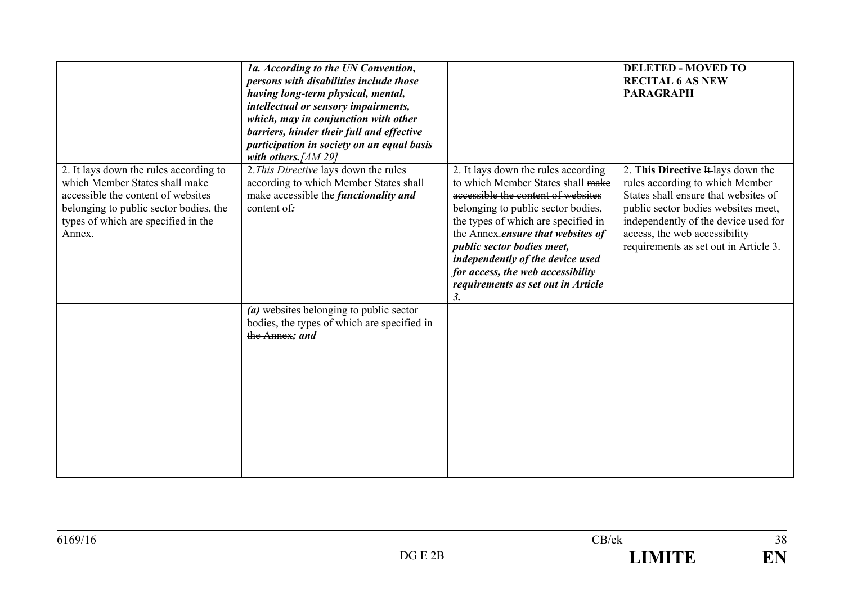|                                                                                                                                                                                                           | 1a. According to the UN Convention,<br>persons with disabilities include those<br>having long-term physical, mental,<br>intellectual or sensory impairments,<br>which, may in conjunction with other<br>barriers, hinder their full and effective<br>participation in society on an equal basis<br>with others. [AM 29] |                                                                                                                                                                                                                                                                                                                                                                                                            | <b>DELETED - MOVED TO</b><br><b>RECITAL 6 AS NEW</b><br><b>PARAGRAPH</b>                                                                                                                                                                                               |
|-----------------------------------------------------------------------------------------------------------------------------------------------------------------------------------------------------------|-------------------------------------------------------------------------------------------------------------------------------------------------------------------------------------------------------------------------------------------------------------------------------------------------------------------------|------------------------------------------------------------------------------------------------------------------------------------------------------------------------------------------------------------------------------------------------------------------------------------------------------------------------------------------------------------------------------------------------------------|------------------------------------------------------------------------------------------------------------------------------------------------------------------------------------------------------------------------------------------------------------------------|
| 2. It lays down the rules according to<br>which Member States shall make<br>accessible the content of websites<br>belonging to public sector bodies, the<br>types of which are specified in the<br>Annex. | 2. This Directive lays down the rules<br>according to which Member States shall<br>make accessible the <i>functionality and</i><br>content of:                                                                                                                                                                          | 2. It lays down the rules according<br>to which Member States shall make<br>accessible the content of websites<br>belonging to public sector bodies,<br>the types of which are specified in<br>the Annex.ensure that websites of<br>public sector bodies meet,<br>independently of the device used<br>for access, the web accessibility<br>requirements as set out in Article<br>$\overline{\mathbf{3}}$ . | 2. This Directive It lays down the<br>rules according to which Member<br>States shall ensure that websites of<br>public sector bodies websites meet,<br>independently of the device used for<br>access, the web accessibility<br>requirements as set out in Article 3. |
|                                                                                                                                                                                                           | (a) websites belonging to public sector<br>bodies, the types of which are specified in<br>the Annex; and                                                                                                                                                                                                                |                                                                                                                                                                                                                                                                                                                                                                                                            |                                                                                                                                                                                                                                                                        |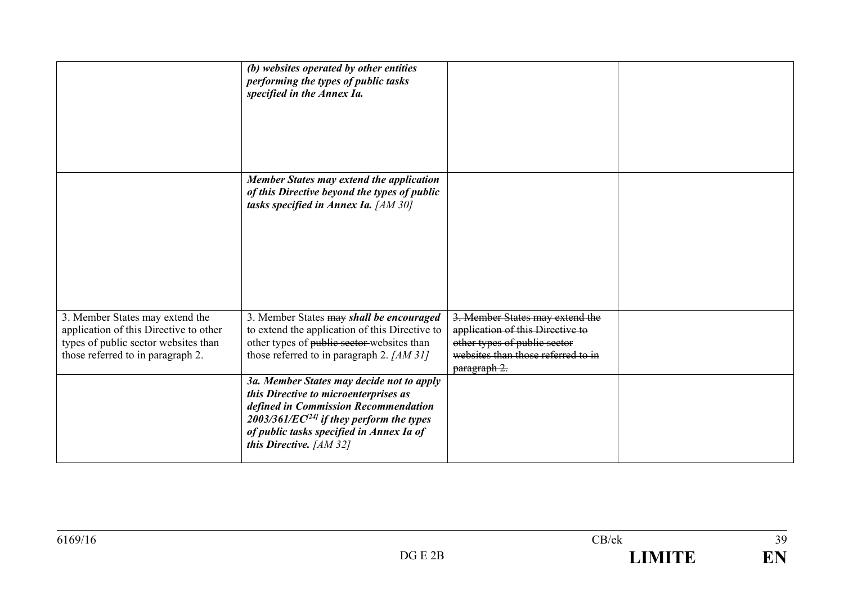|                                                                                                                                                        | (b) websites operated by other entities<br>performing the types of public tasks<br>specified in the Annex Ia.                                                                                                                                                |                                                                                                                                                           |  |
|--------------------------------------------------------------------------------------------------------------------------------------------------------|--------------------------------------------------------------------------------------------------------------------------------------------------------------------------------------------------------------------------------------------------------------|-----------------------------------------------------------------------------------------------------------------------------------------------------------|--|
|                                                                                                                                                        | <b>Member States may extend the application</b><br>of this Directive beyond the types of public<br>tasks specified in Annex Ia. [AM 30]                                                                                                                      |                                                                                                                                                           |  |
| 3. Member States may extend the<br>application of this Directive to other<br>types of public sector websites than<br>those referred to in paragraph 2. | 3. Member States may shall be encouraged<br>to extend the application of this Directive to<br>other types of public sector-websites than<br>those referred to in paragraph 2. $[AM 31]$                                                                      | 3. Member States may extend the<br>application of this Directive to<br>other types of public sector<br>websites than those referred to in<br>paragraph 2. |  |
|                                                                                                                                                        | 3a. Member States may decide not to apply<br>this Directive to microenterprises as<br>defined in Commission Recommendation<br>2003/361/EC <sup>[24]</sup> if they perform the types<br>of public tasks specified in Annex Ia of<br>this Directive. $[AM 32]$ |                                                                                                                                                           |  |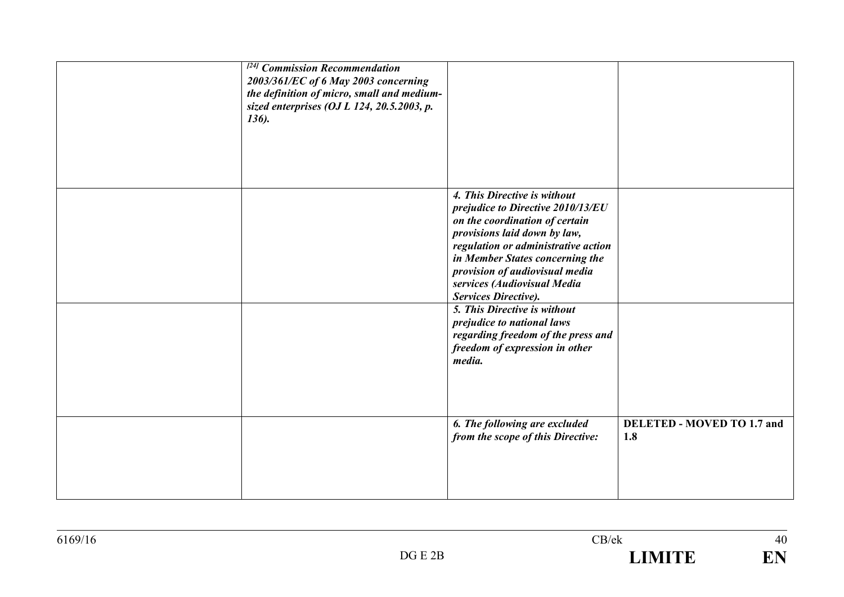| <sup>[24]</sup> Commission Recommendation<br>2003/361/EC of 6 May 2003 concerning<br>the definition of micro, small and medium-<br>sized enterprises (OJ L 124, 20.5.2003, p.<br>136). |                                                                                                                                                                                                                                                                                                        |                                          |
|----------------------------------------------------------------------------------------------------------------------------------------------------------------------------------------|--------------------------------------------------------------------------------------------------------------------------------------------------------------------------------------------------------------------------------------------------------------------------------------------------------|------------------------------------------|
|                                                                                                                                                                                        | 4. This Directive is without<br>prejudice to Directive 2010/13/EU<br>on the coordination of certain<br>provisions laid down by law,<br>regulation or administrative action<br>in Member States concerning the<br>provision of audiovisual media<br>services (Audiovisual Media<br>Services Directive). |                                          |
|                                                                                                                                                                                        | 5. This Directive is without<br>prejudice to national laws<br>regarding freedom of the press and<br>freedom of expression in other<br>media.                                                                                                                                                           |                                          |
|                                                                                                                                                                                        | 6. The following are excluded<br>from the scope of this Directive:                                                                                                                                                                                                                                     | <b>DELETED - MOVED TO 1.7 and</b><br>1.8 |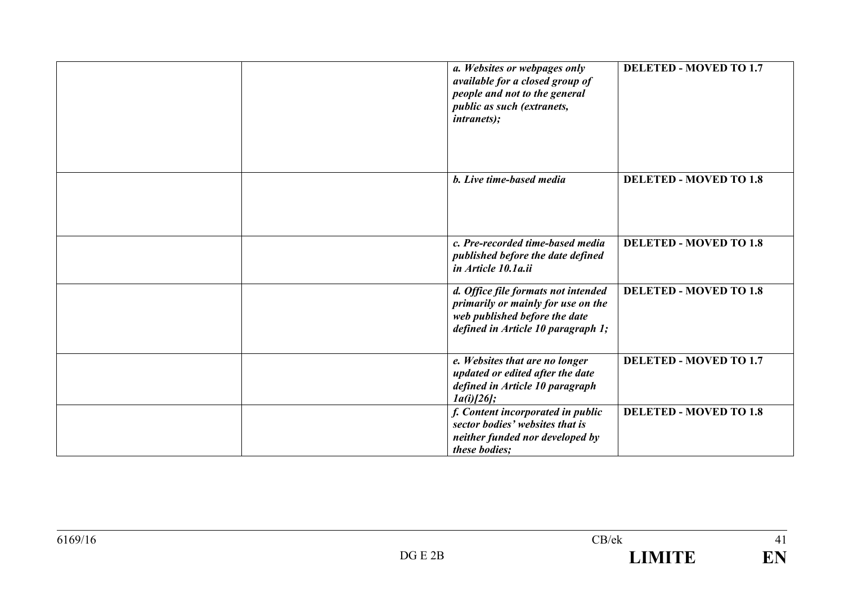| a. Websites or webpages only<br>available for a closed group of<br>people and not to the general<br>public as such (extranets,<br><i>intranets);</i> | <b>DELETED - MOVED TO 1.7</b> |
|------------------------------------------------------------------------------------------------------------------------------------------------------|-------------------------------|
| b. Live time-based media                                                                                                                             | <b>DELETED - MOVED TO 1.8</b> |
| c. Pre-recorded time-based media<br>published before the date defined<br>in Article 10.1a.ii                                                         | <b>DELETED - MOVED TO 1.8</b> |
| d. Office file formats not intended<br>primarily or mainly for use on the<br>web published before the date<br>defined in Article 10 paragraph 1;     | <b>DELETED - MOVED TO 1.8</b> |
| e. Websites that are no longer<br>updated or edited after the date<br>defined in Article 10 paragraph<br>$1a(i)/26$ ;                                | <b>DELETED - MOVED TO 1.7</b> |
| f. Content incorporated in public<br>sector bodies' websites that is<br>neither funded nor developed by<br>these bodies:                             | <b>DELETED - MOVED TO 1.8</b> |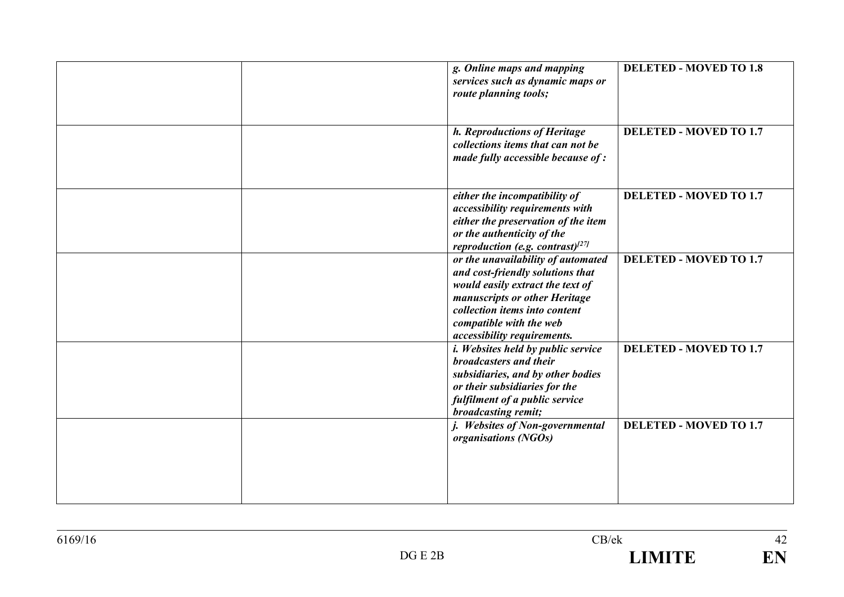| g. Online maps and mapping<br>services such as dynamic maps or<br>route planning tools;                                                                                                                                                | <b>DELETED - MOVED TO 1.8</b> |
|----------------------------------------------------------------------------------------------------------------------------------------------------------------------------------------------------------------------------------------|-------------------------------|
| h. Reproductions of Heritage<br>collections items that can not be<br>made fully accessible because of:                                                                                                                                 | <b>DELETED - MOVED TO 1.7</b> |
| either the incompatibility of<br>accessibility requirements with<br>either the preservation of the item<br>or the authenticity of the<br>reproduction (e.g. contrast) $^{[27]}$                                                        | <b>DELETED - MOVED TO 1.7</b> |
| or the unavailability of automated<br>and cost-friendly solutions that<br>would easily extract the text of<br>manuscripts or other Heritage<br>collection items into content<br>compatible with the web<br>accessibility requirements. | <b>DELETED - MOVED TO 1.7</b> |
| <i>i. Websites held by public service</i><br>broadcasters and their<br>subsidiaries, and by other bodies<br>or their subsidiaries for the<br>fulfilment of a public service<br>broadcasting remit;                                     | <b>DELETED - MOVED TO 1.7</b> |
| j. Websites of Non-governmental<br>organisations (NGOs)                                                                                                                                                                                | <b>DELETED - MOVED TO 1.7</b> |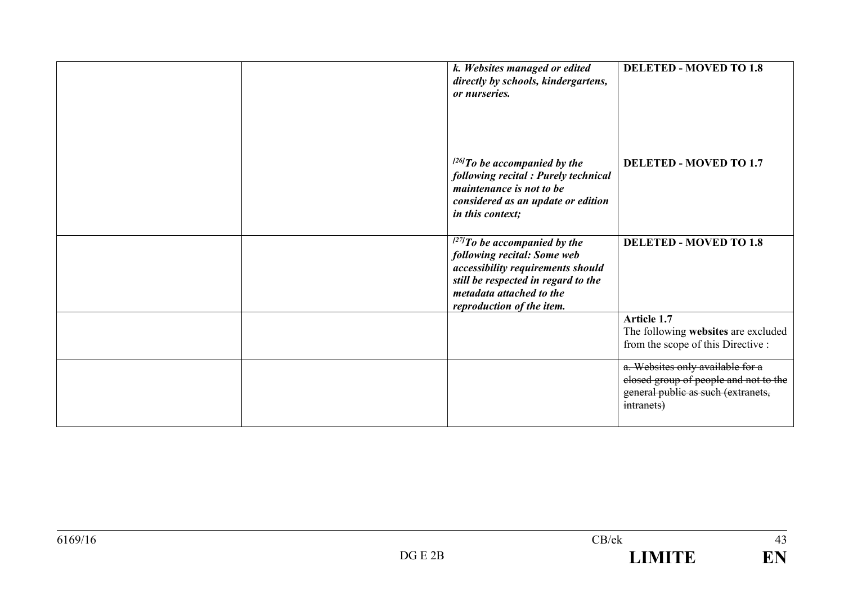|  | k. Websites managed or edited<br>directly by schools, kindergartens,<br>or nurseries.                                                                                                                  | <b>DELETED - MOVED TO 1.8</b>                                                                                                 |
|--|--------------------------------------------------------------------------------------------------------------------------------------------------------------------------------------------------------|-------------------------------------------------------------------------------------------------------------------------------|
|  | $^{126}$ To be accompanied by the<br>following recital : Purely technical<br>maintenance is not to be<br>considered as an update or edition<br>in this context;                                        | <b>DELETED - MOVED TO 1.7</b>                                                                                                 |
|  | $^{[27]}$ To be accompanied by the<br>following recital: Some web<br>accessibility requirements should<br>still be respected in regard to the<br>metadata attached to the<br>reproduction of the item. | <b>DELETED - MOVED TO 1.8</b>                                                                                                 |
|  |                                                                                                                                                                                                        | Article 1.7<br>The following websites are excluded<br>from the scope of this Directive :                                      |
|  |                                                                                                                                                                                                        | a. Websites only available for a<br>closed group of people and not to the<br>general public as such (extranets,<br>intranets) |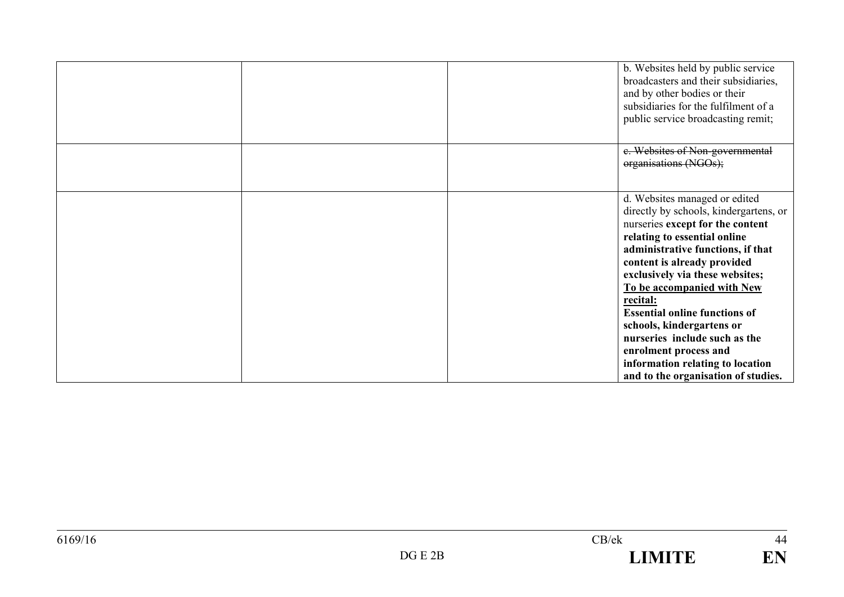|  | b. Websites held by public service<br>broadcasters and their subsidiaries,<br>and by other bodies or their<br>subsidiaries for the fulfilment of a<br>public service broadcasting remit;                                                                                                                                                                                                                                                                                                               |
|--|--------------------------------------------------------------------------------------------------------------------------------------------------------------------------------------------------------------------------------------------------------------------------------------------------------------------------------------------------------------------------------------------------------------------------------------------------------------------------------------------------------|
|  | e. Websites of Non-governmental<br>organisations (NGOs);                                                                                                                                                                                                                                                                                                                                                                                                                                               |
|  | d. Websites managed or edited<br>directly by schools, kindergartens, or<br>nurseries except for the content<br>relating to essential online<br>administrative functions, if that<br>content is already provided<br>exclusively via these websites;<br>To be accompanied with New<br>recital:<br><b>Essential online functions of</b><br>schools, kindergartens or<br>nurseries include such as the<br>enrolment process and<br>information relating to location<br>and to the organisation of studies. |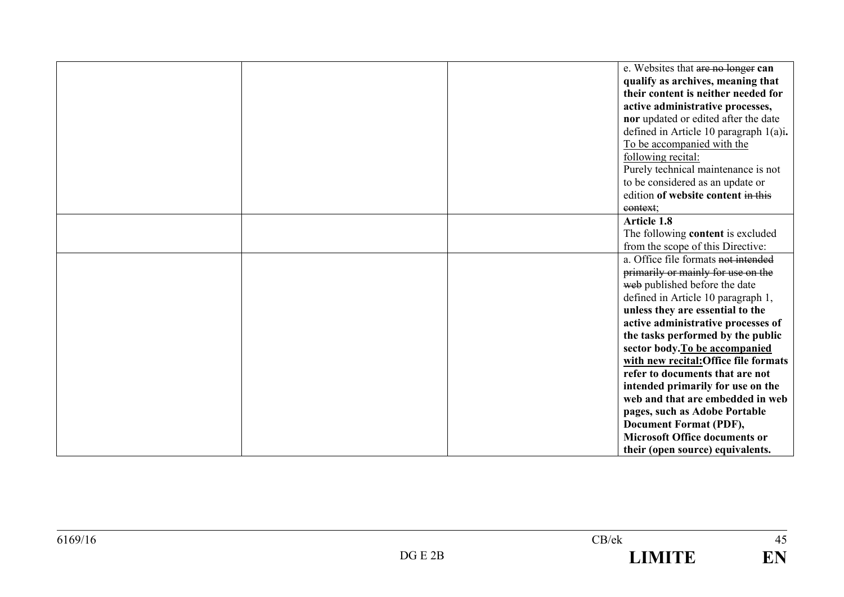|  | e. Websites that are no longer can<br>qualify as archives, meaning that<br>their content is neither needed for<br>active administrative processes,<br>nor updated or edited after the date<br>defined in Article 10 paragraph 1(a)i.<br>To be accompanied with the<br>following recital:<br>Purely technical maintenance is not<br>to be considered as an update or<br>edition of website content in this |
|--|-----------------------------------------------------------------------------------------------------------------------------------------------------------------------------------------------------------------------------------------------------------------------------------------------------------------------------------------------------------------------------------------------------------|
|  | context;                                                                                                                                                                                                                                                                                                                                                                                                  |
|  | <b>Article 1.8</b><br>The following content is excluded<br>from the scope of this Directive:                                                                                                                                                                                                                                                                                                              |
|  | a. Office file formats not intended<br>primarily or mainly for use on the<br>web published before the date<br>defined in Article 10 paragraph 1,                                                                                                                                                                                                                                                          |
|  | unless they are essential to the<br>active administrative processes of<br>the tasks performed by the public<br>sector body. To be accompanied<br>with new recital: Office file formats                                                                                                                                                                                                                    |
|  | refer to documents that are not<br>intended primarily for use on the<br>web and that are embedded in web<br>pages, such as Adobe Portable                                                                                                                                                                                                                                                                 |
|  | <b>Document Format (PDF),</b><br><b>Microsoft Office documents or</b><br>their (open source) equivalents.                                                                                                                                                                                                                                                                                                 |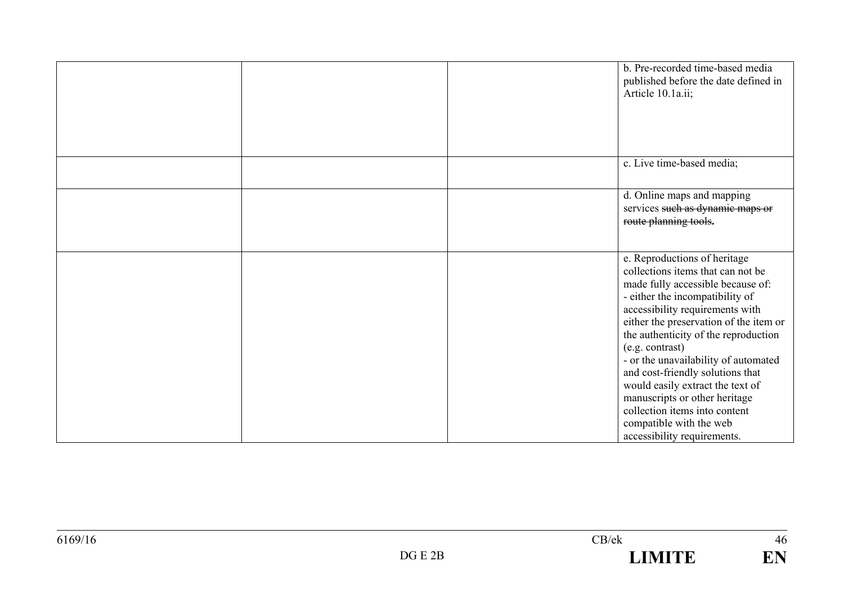|  | b. Pre-recorded time-based media<br>published before the date defined in<br>Article 10.1a.ii;                                                                                                                                                                                                                                                                                                                                      |
|--|------------------------------------------------------------------------------------------------------------------------------------------------------------------------------------------------------------------------------------------------------------------------------------------------------------------------------------------------------------------------------------------------------------------------------------|
|  |                                                                                                                                                                                                                                                                                                                                                                                                                                    |
|  | c. Live time-based media;                                                                                                                                                                                                                                                                                                                                                                                                          |
|  | d. Online maps and mapping<br>services such as dynamic maps or<br>route planning tools.                                                                                                                                                                                                                                                                                                                                            |
|  | e. Reproductions of heritage<br>collections items that can not be<br>made fully accessible because of:<br>- either the incompatibility of<br>accessibility requirements with<br>either the preservation of the item or<br>the authenticity of the reproduction<br>(e.g. contrast)<br>- or the unavailability of automated<br>and cost-friendly solutions that<br>would easily extract the text of<br>manuscripts or other heritage |
|  | collection items into content<br>compatible with the web<br>accessibility requirements.                                                                                                                                                                                                                                                                                                                                            |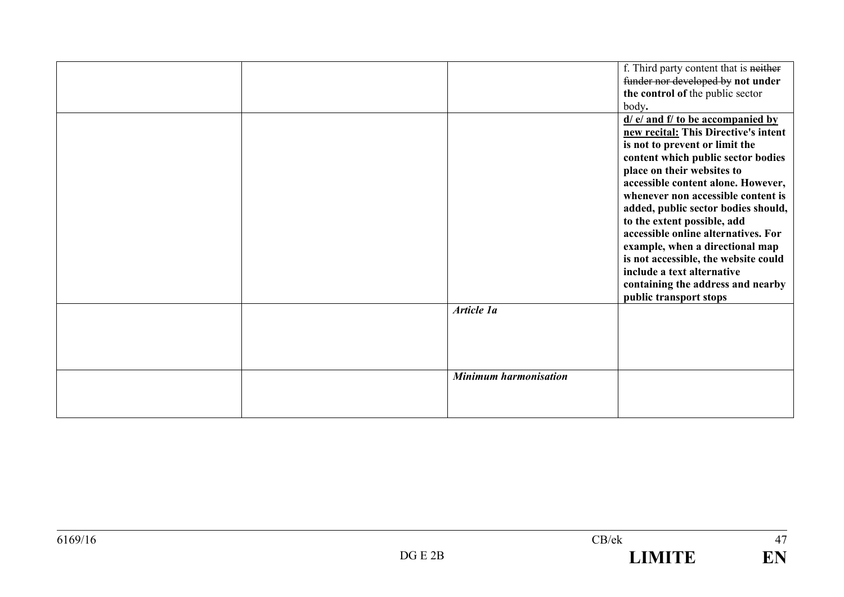|  |                              | f. Third party content that is neither |
|--|------------------------------|----------------------------------------|
|  |                              | funder nor developed by not under      |
|  |                              | the control of the public sector       |
|  |                              | body.                                  |
|  |                              | $d/d$ e/ and f/ to be accompanied by   |
|  |                              | new recital: This Directive's intent   |
|  |                              | is not to prevent or limit the         |
|  |                              | content which public sector bodies     |
|  |                              | place on their websites to             |
|  |                              | accessible content alone. However,     |
|  |                              | whenever non accessible content is     |
|  |                              | added, public sector bodies should,    |
|  |                              | to the extent possible, add            |
|  |                              | accessible online alternatives. For    |
|  |                              | example, when a directional map        |
|  |                              | is not accessible, the website could   |
|  |                              | include a text alternative             |
|  |                              | containing the address and nearby      |
|  |                              | public transport stops                 |
|  | Article 1a                   |                                        |
|  |                              |                                        |
|  |                              |                                        |
|  |                              |                                        |
|  |                              |                                        |
|  | <b>Minimum harmonisation</b> |                                        |
|  |                              |                                        |
|  |                              |                                        |
|  |                              |                                        |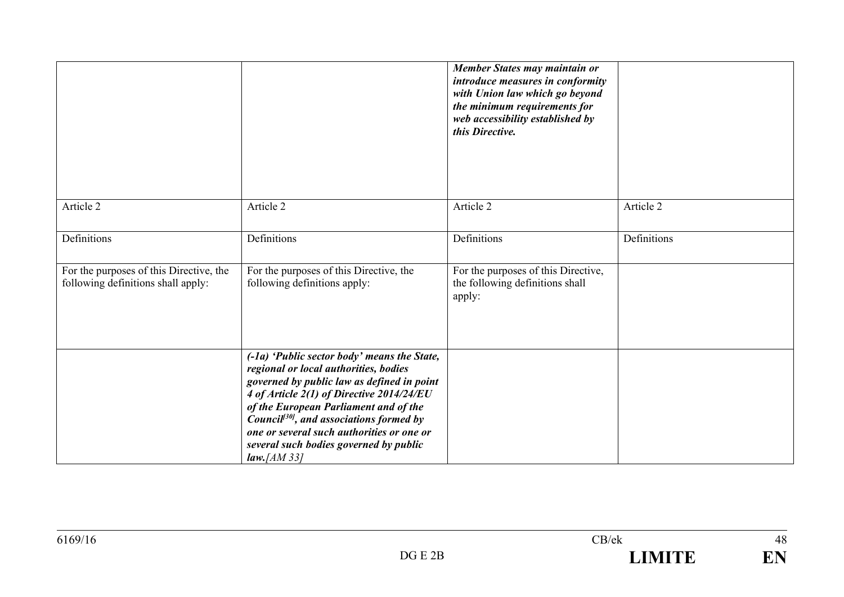|                                                                               |                                                                                                                                                                                                                                                                                                                                                                                            | Member States may maintain or<br>introduce measures in conformity<br>with Union law which go beyond<br>the minimum requirements for<br>web accessibility established by<br>this Directive. |             |
|-------------------------------------------------------------------------------|--------------------------------------------------------------------------------------------------------------------------------------------------------------------------------------------------------------------------------------------------------------------------------------------------------------------------------------------------------------------------------------------|--------------------------------------------------------------------------------------------------------------------------------------------------------------------------------------------|-------------|
| Article 2                                                                     | Article 2                                                                                                                                                                                                                                                                                                                                                                                  | Article 2                                                                                                                                                                                  | Article 2   |
| Definitions                                                                   | Definitions                                                                                                                                                                                                                                                                                                                                                                                | Definitions                                                                                                                                                                                | Definitions |
| For the purposes of this Directive, the<br>following definitions shall apply: | For the purposes of this Directive, the<br>following definitions apply:                                                                                                                                                                                                                                                                                                                    | For the purposes of this Directive,<br>the following definitions shall<br>apply:                                                                                                           |             |
|                                                                               | (-1a) 'Public sector body' means the State,<br>regional or local authorities, bodies<br>governed by public law as defined in point<br>4 of Article 2(1) of Directive 2014/24/EU<br>of the European Parliament and of the<br>Council <sup>[30]</sup> , and associations formed by<br>one or several such authorities or one or<br>several such bodies governed by public<br>$law$ , [AM 33] |                                                                                                                                                                                            |             |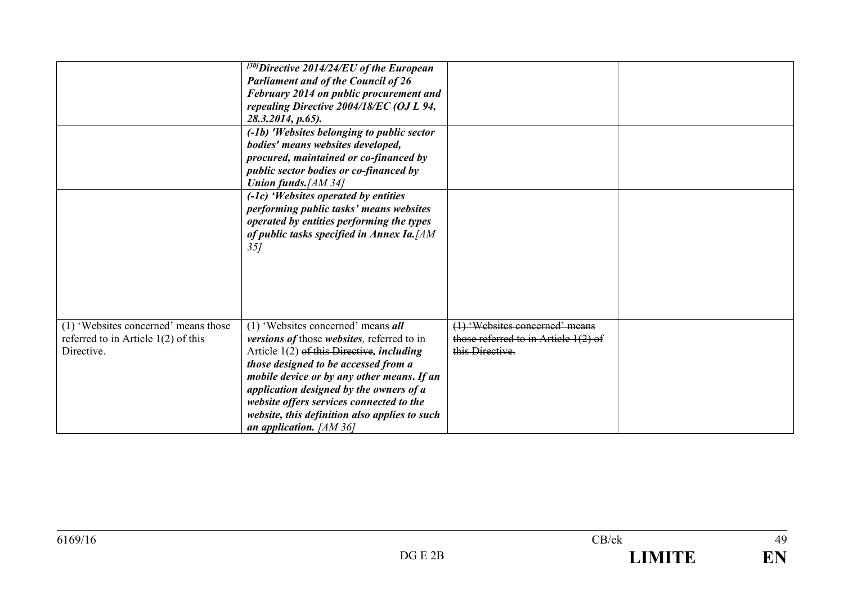|                                                                                             | $^{[30]}$ Directive 2014/24/EU of the European<br><b>Parliament and of the Council of 26</b><br>February 2014 on public procurement and<br>repealing Directive 2004/18/EC (OJ L 94,<br>28.3.2014, p.65).<br>(-1b) 'Websites belonging to public sector<br>bodies' means websites developed,<br>procured, maintained or co-financed by<br>public sector bodies or co-financed by<br><b>Union funds.</b> [AM 34]<br>$(-1c)$ 'Websites operated by entities<br>performing public tasks' means websites<br>operated by entities performing the types<br>of public tasks specified in Annex Ia. [AM<br>35j |                                                                                             |  |
|---------------------------------------------------------------------------------------------|-------------------------------------------------------------------------------------------------------------------------------------------------------------------------------------------------------------------------------------------------------------------------------------------------------------------------------------------------------------------------------------------------------------------------------------------------------------------------------------------------------------------------------------------------------------------------------------------------------|---------------------------------------------------------------------------------------------|--|
| (1) 'Websites concerned' means those<br>referred to in Article $1(2)$ of this<br>Directive. | (1) 'Websites concerned' means $all$<br>versions of those websites, referred to in<br>Article $1(2)$ of this Directive, including<br>those designed to be accessed from a<br>mobile device or by any other means. If an<br>application designed by the owners of a<br>website offers services connected to the<br>website, this definition also applies to such<br>an application. $[AM 36]$                                                                                                                                                                                                          | (1) 'Websites concerned' means<br>those referred to in Article $1(2)$ of<br>this Directive. |  |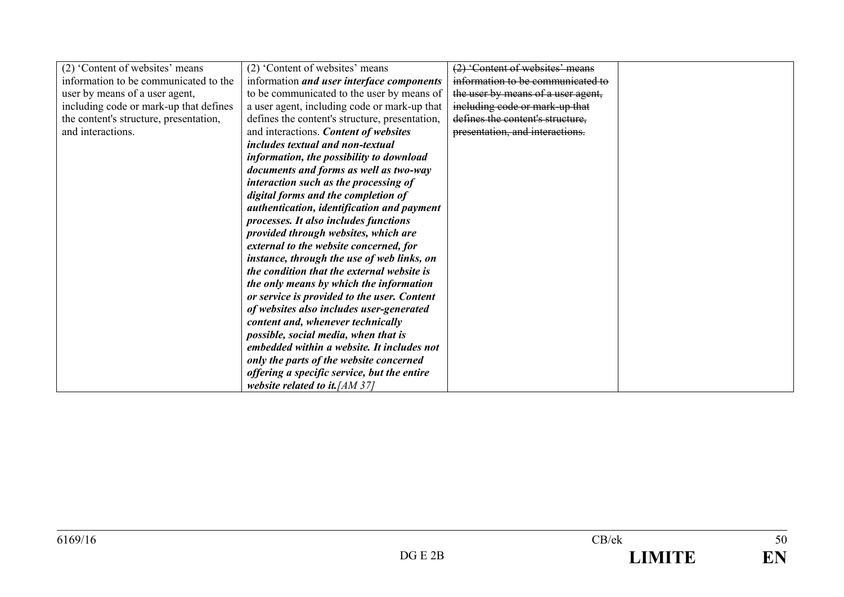| (2) 'Content of websites' means        | (2) 'Content of websites' means                | (2) 'Content of websites' means    |  |
|----------------------------------------|------------------------------------------------|------------------------------------|--|
| information to be communicated to the  | information and user interface components      | information to be communicated to  |  |
| user by means of a user agent,         | to be communicated to the user by means of     | the user by means of a user agent, |  |
| including code or mark-up that defines | a user agent, including code or mark-up that   | including code or mark-up that     |  |
| the content's structure, presentation, | defines the content's structure, presentation, | defines the content's structure.   |  |
| and interactions.                      | and interactions. Content of websites          | presentation, and interactions.    |  |
|                                        | includes textual and non-textual               |                                    |  |
|                                        | information, the possibility to download       |                                    |  |
|                                        | documents and forms as well as two-way         |                                    |  |
|                                        | interaction such as the processing of          |                                    |  |
|                                        | digital forms and the completion of            |                                    |  |
|                                        | authentication, identification and payment     |                                    |  |
|                                        | processes. It also includes functions          |                                    |  |
|                                        | provided through websites, which are           |                                    |  |
|                                        | external to the website concerned, for         |                                    |  |
|                                        | instance, through the use of web links, on     |                                    |  |
|                                        | the condition that the external website is     |                                    |  |
|                                        | the only means by which the information        |                                    |  |
|                                        | or service is provided to the user. Content    |                                    |  |
|                                        | of websites also includes user-generated       |                                    |  |
|                                        | content and, whenever technically              |                                    |  |
|                                        | possible, social media, when that is           |                                    |  |
|                                        | embedded within a website. It includes not     |                                    |  |
|                                        | only the parts of the website concerned        |                                    |  |
|                                        | offering a specific service, but the entire    |                                    |  |
|                                        | website related to it. $[AM 37]$               |                                    |  |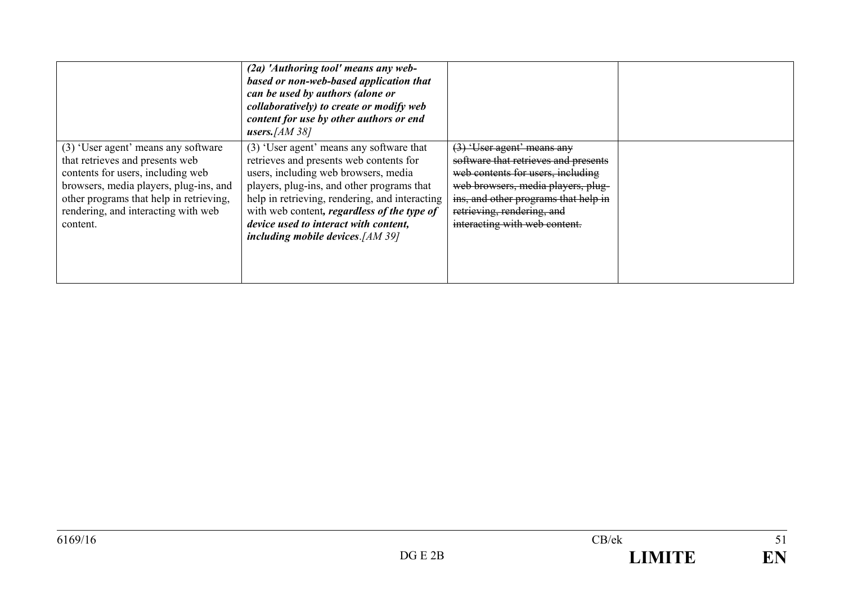|                                                                                                                                                                                                                                                     | $(2a)$ 'Authoring tool' means any web-<br>based or non-web-based application that<br>can be used by authors (alone or<br>collaboratively) to create or modify web<br>content for use by other authors or end<br>users. $[AM 38]$                                                                                                                           |                                                                                                                                                                                                                                                                 |  |
|-----------------------------------------------------------------------------------------------------------------------------------------------------------------------------------------------------------------------------------------------------|------------------------------------------------------------------------------------------------------------------------------------------------------------------------------------------------------------------------------------------------------------------------------------------------------------------------------------------------------------|-----------------------------------------------------------------------------------------------------------------------------------------------------------------------------------------------------------------------------------------------------------------|--|
| (3) 'User agent' means any software<br>that retrieves and presents web<br>contents for users, including web<br>browsers, media players, plug-ins, and<br>other programs that help in retrieving,<br>rendering, and interacting with web<br>content. | (3) 'User agent' means any software that<br>retrieves and presents web contents for<br>users, including web browsers, media<br>players, plug-ins, and other programs that<br>help in retrieving, rendering, and interacting<br>with web content, regardless of the type of<br>device used to interact with content,<br>including mobile devices. $[AM 39]$ | <del>(3) 'User agent' means any</del><br>software that retrieves and presents<br>web contents for users, including<br>web browsers, media players, plug-<br>ins, and other programs that help in<br>retrieving, rendering, and<br>interacting with web content. |  |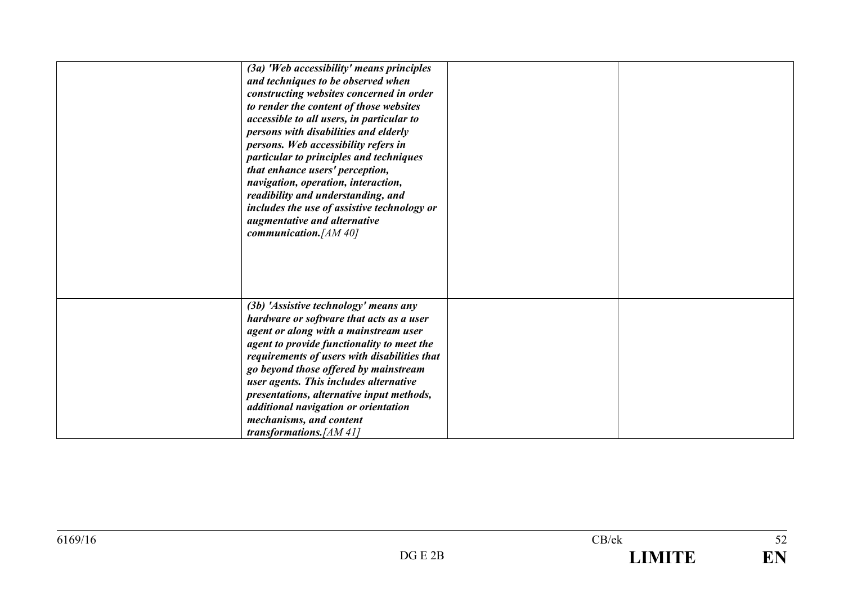| (3a) 'Web accessibility' means principles<br>and techniques to be observed when<br>constructing websites concerned in order |  |
|-----------------------------------------------------------------------------------------------------------------------------|--|
| to render the content of those websites<br>accessible to all users, in particular to                                        |  |
| persons with disabilities and elderly                                                                                       |  |
| persons. Web accessibility refers in<br>particular to principles and techniques                                             |  |
| that enhance users' perception,                                                                                             |  |
| navigation, operation, interaction,                                                                                         |  |
| readibility and understanding, and<br>includes the use of assistive technology or                                           |  |
| augmentative and alternative                                                                                                |  |
| communication. [AM 40]                                                                                                      |  |
|                                                                                                                             |  |
|                                                                                                                             |  |
|                                                                                                                             |  |
| (3b) 'Assistive technology' means any<br>hardware or software that acts as a user                                           |  |
| agent or along with a mainstream user                                                                                       |  |
| agent to provide functionality to meet the                                                                                  |  |
| requirements of users with disabilities that                                                                                |  |
| go beyond those offered by mainstream<br>user agents. This includes alternative                                             |  |
| presentations, alternative input methods,                                                                                   |  |
| additional navigation or orientation                                                                                        |  |
| mechanisms, and content                                                                                                     |  |
| transformations. $[AM 41]$                                                                                                  |  |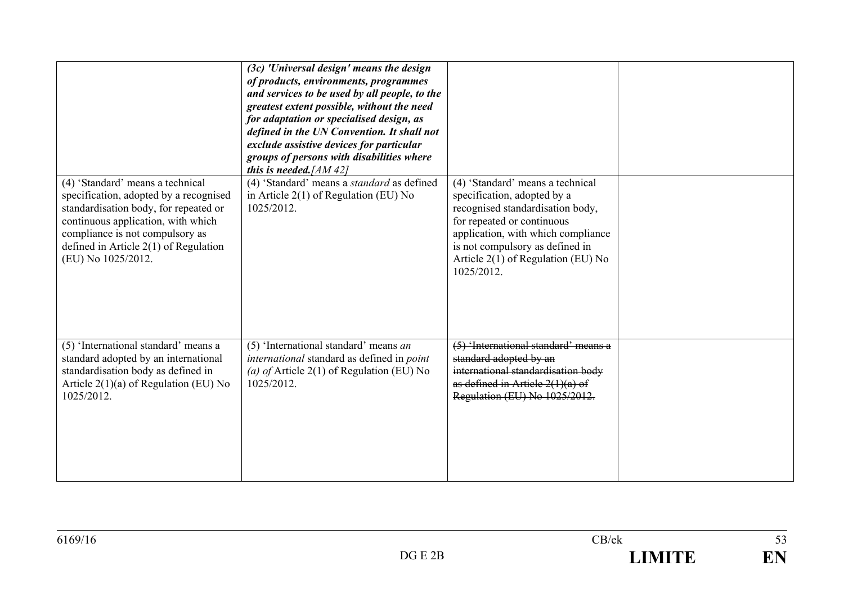|                                                                                                                                                                                                                                                               | (3c) 'Universal design' means the design<br>of products, environments, programmes<br>and services to be used by all people, to the<br>greatest extent possible, without the need<br>for adaptation or specialised design, as<br>defined in the UN Convention. It shall not<br>exclude assistive devices for particular<br>groups of persons with disabilities where<br>this is needed. [AM 42] |                                                                                                                                                                                                                                                                |  |
|---------------------------------------------------------------------------------------------------------------------------------------------------------------------------------------------------------------------------------------------------------------|------------------------------------------------------------------------------------------------------------------------------------------------------------------------------------------------------------------------------------------------------------------------------------------------------------------------------------------------------------------------------------------------|----------------------------------------------------------------------------------------------------------------------------------------------------------------------------------------------------------------------------------------------------------------|--|
| (4) 'Standard' means a technical<br>specification, adopted by a recognised<br>standardisation body, for repeated or<br>continuous application, with which<br>compliance is not compulsory as<br>defined in Article $2(1)$ of Regulation<br>(EU) No 1025/2012. | (4) 'Standard' means a <i>standard</i> as defined<br>in Article $2(1)$ of Regulation (EU) No<br>1025/2012.                                                                                                                                                                                                                                                                                     | (4) 'Standard' means a technical<br>specification, adopted by a<br>recognised standardisation body,<br>for repeated or continuous<br>application, with which compliance<br>is not compulsory as defined in<br>Article 2(1) of Regulation (EU) No<br>1025/2012. |  |
| (5) 'International standard' means a<br>standard adopted by an international<br>standardisation body as defined in<br>Article $2(1)(a)$ of Regulation (EU) No<br>1025/2012.                                                                                   | (5) 'International standard' means an<br>international standard as defined in point<br>(a) of Article $2(1)$ of Regulation (EU) No<br>1025/2012.                                                                                                                                                                                                                                               | (5) 'International standard' means a<br>standard adopted by an<br>international standardisation body<br>as defined in Article $2(1)(a)$ of<br>Regulation (EU) No 1025/2012.                                                                                    |  |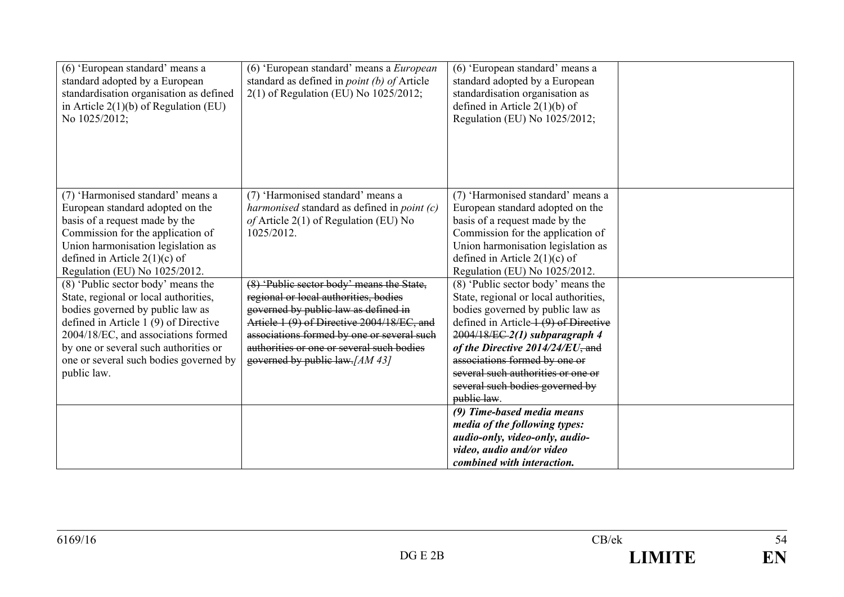| (6) 'European standard' means a<br>standard adopted by a European<br>standardisation organisation as defined<br>in Article $2(1)(b)$ of Regulation (EU)<br>No 1025/2012;                                                                                                                           | (6) 'European standard' means a European<br>standard as defined in <i>point</i> (b) of Article<br>2(1) of Regulation (EU) No 1025/2012;                                                                                                                                                                | (6) 'European standard' means a<br>standard adopted by a European<br>standardisation organisation as<br>defined in Article $2(1)(b)$ of<br>Regulation (EU) No 1025/2012;                                                                                                                                                                                     |  |
|----------------------------------------------------------------------------------------------------------------------------------------------------------------------------------------------------------------------------------------------------------------------------------------------------|--------------------------------------------------------------------------------------------------------------------------------------------------------------------------------------------------------------------------------------------------------------------------------------------------------|--------------------------------------------------------------------------------------------------------------------------------------------------------------------------------------------------------------------------------------------------------------------------------------------------------------------------------------------------------------|--|
| (7) 'Harmonised standard' means a<br>European standard adopted on the<br>basis of a request made by the<br>Commission for the application of<br>Union harmonisation legislation as<br>defined in Article $2(1)(c)$ of<br>Regulation (EU) No 1025/2012.                                             | (7) 'Harmonised standard' means a<br>harmonised standard as defined in point (c)<br>of Article $2(1)$ of Regulation (EU) No<br>1025/2012.                                                                                                                                                              | (7) 'Harmonised standard' means a<br>European standard adopted on the<br>basis of a request made by the<br>Commission for the application of<br>Union harmonisation legislation as<br>defined in Article $2(1)(c)$ of<br>Regulation (EU) No 1025/2012.                                                                                                       |  |
| (8) 'Public sector body' means the<br>State, regional or local authorities,<br>bodies governed by public law as<br>defined in Article $1(9)$ of Directive<br>2004/18/EC, and associations formed<br>by one or several such authorities or<br>one or several such bodies governed by<br>public law. | (8) 'Public sector body' means the State,<br>regional or local authorities, bodies<br>governed by public law as defined in<br>Article 1 (9) of Directive 2004/18/EC, and<br>associations formed by one or several such<br>authorities or one or several such bodies<br>governed by public law. [AM 43] | (8) 'Public sector body' means the<br>State, regional or local authorities,<br>bodies governed by public law as<br>defined in Article 1 (9) of Directive<br>$2004/18/EC-2(1)$ subparagraph 4<br>of the Directive $2014/24/EU$ , and<br>associations formed by one or<br>several such authorities or one or<br>several such bodies governed by<br>public law. |  |
|                                                                                                                                                                                                                                                                                                    |                                                                                                                                                                                                                                                                                                        | (9) Time-based media means<br>media of the following types:<br>audio-only, video-only, audio-<br>video, audio and/or video<br>combined with interaction.                                                                                                                                                                                                     |  |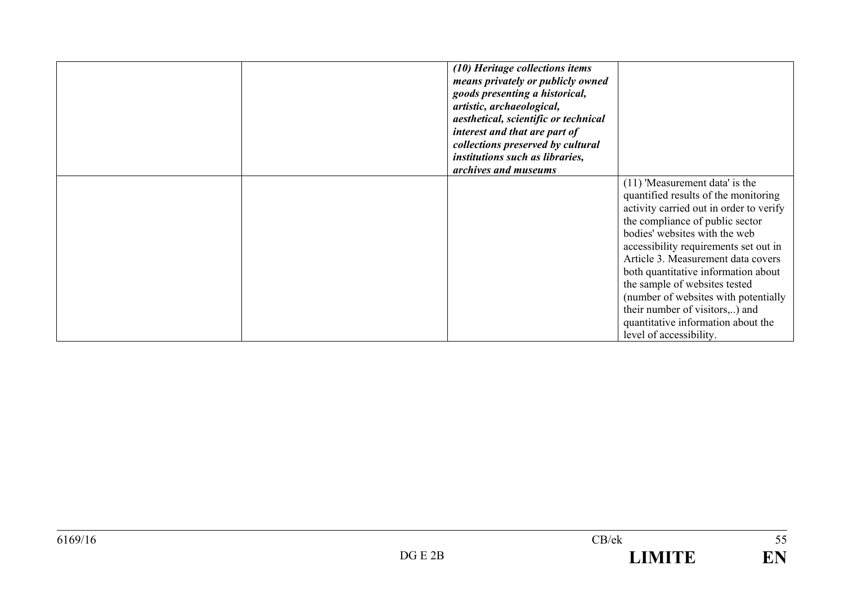|  | (10) Heritage collections items<br>means privately or publicly owned<br>goods presenting a historical,<br>artistic, archaeological,<br>aesthetical, scientific or technical<br>interest and that are part of<br>collections preserved by cultural<br>institutions such as libraries,<br>archives and museums |                                                                                                                                                                                                                                                                                                                                                                                                                                                                                           |
|--|--------------------------------------------------------------------------------------------------------------------------------------------------------------------------------------------------------------------------------------------------------------------------------------------------------------|-------------------------------------------------------------------------------------------------------------------------------------------------------------------------------------------------------------------------------------------------------------------------------------------------------------------------------------------------------------------------------------------------------------------------------------------------------------------------------------------|
|  |                                                                                                                                                                                                                                                                                                              | $(11)$ 'Measurement data' is the<br>quantified results of the monitoring<br>activity carried out in order to verify<br>the compliance of public sector<br>bodies' websites with the web<br>accessibility requirements set out in<br>Article 3. Measurement data covers<br>both quantitative information about<br>the sample of websites tested<br>(number of websites with potentially<br>their number of visitors,) and<br>quantitative information about the<br>level of accessibility. |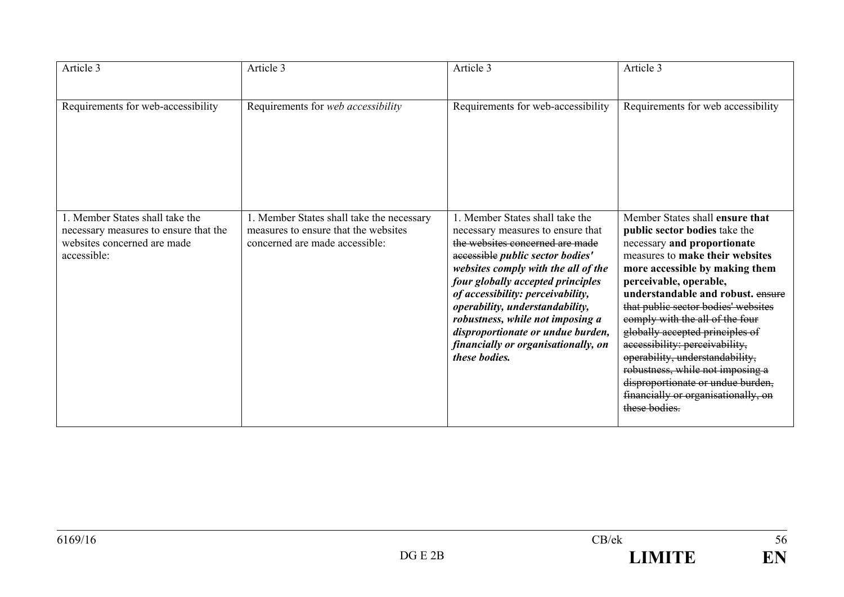| Article 3                                                                                                              | Article 3                                                                                                           | Article 3                                                                                                                                                                                                                                                                                                                                                                                                                        | Article 3                                                                                                                                                                                                                                                                                                                                                                                                                                                                                                                                              |
|------------------------------------------------------------------------------------------------------------------------|---------------------------------------------------------------------------------------------------------------------|----------------------------------------------------------------------------------------------------------------------------------------------------------------------------------------------------------------------------------------------------------------------------------------------------------------------------------------------------------------------------------------------------------------------------------|--------------------------------------------------------------------------------------------------------------------------------------------------------------------------------------------------------------------------------------------------------------------------------------------------------------------------------------------------------------------------------------------------------------------------------------------------------------------------------------------------------------------------------------------------------|
| Requirements for web-accessibility                                                                                     | Requirements for web accessibility                                                                                  | Requirements for web-accessibility                                                                                                                                                                                                                                                                                                                                                                                               | Requirements for web accessibility                                                                                                                                                                                                                                                                                                                                                                                                                                                                                                                     |
| 1. Member States shall take the<br>necessary measures to ensure that the<br>websites concerned are made<br>accessible: | 1. Member States shall take the necessary<br>measures to ensure that the websites<br>concerned are made accessible: | 1. Member States shall take the<br>necessary measures to ensure that<br>the websites concerned are made<br>accessible public sector bodies'<br>websites comply with the all of the<br>four globally accepted principles<br>of accessibility: perceivability,<br>operability, understandability,<br>robustness, while not imposing a<br>disproportionate or undue burden,<br>financially or organisationally, on<br>these bodies. | Member States shall ensure that<br>public sector bodies take the<br>necessary and proportionate<br>measures to make their websites<br>more accessible by making them<br>perceivable, operable,<br>understandable and robust. ensure<br>that public sector bodies' websites<br>comply with the all of the four<br>globally accepted principles of<br>accessibility: perceivability,<br>operability, understandability,<br>robustness, while not imposing a<br>disproportionate or undue burden,<br>financially or organisationally, on<br>these bodies. |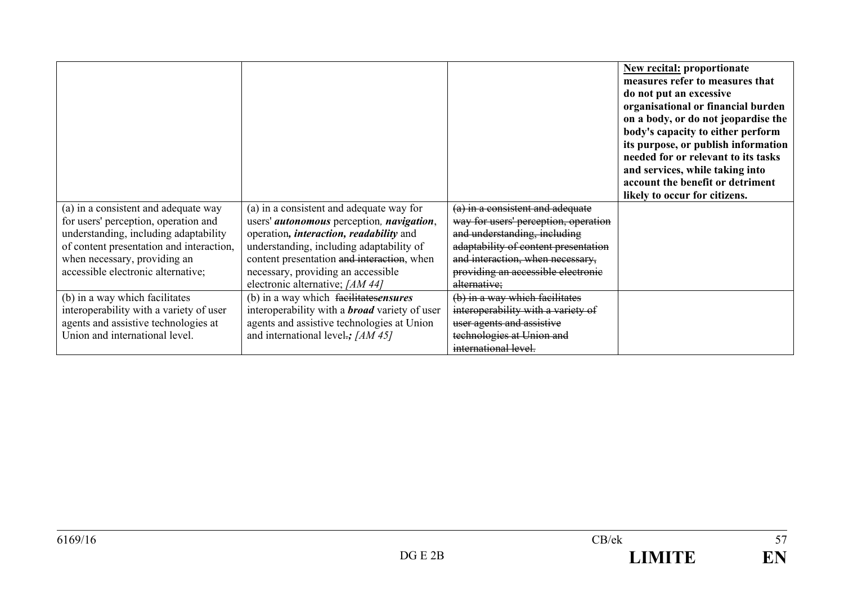|                                          |                                                          |                                      | <b>New recital: proportionate</b><br>measures refer to measures that<br>do not put an excessive<br>organisational or financial burden<br>on a body, or do not jeopardise the<br>body's capacity to either perform<br>its purpose, or publish information<br>needed for or relevant to its tasks<br>and services, while taking into<br>account the benefit or detriment<br>likely to occur for citizens. |
|------------------------------------------|----------------------------------------------------------|--------------------------------------|---------------------------------------------------------------------------------------------------------------------------------------------------------------------------------------------------------------------------------------------------------------------------------------------------------------------------------------------------------------------------------------------------------|
| (a) in a consistent and adequate way     | (a) in a consistent and adequate way for                 | (a) in a consistent and adequate     |                                                                                                                                                                                                                                                                                                                                                                                                         |
| for users' perception, operation and     | users' <i>autonomous</i> perception, <i>navigation</i> , | way for users' perception, operation |                                                                                                                                                                                                                                                                                                                                                                                                         |
| understanding, including adaptability    | operation, <i>interaction</i> , <i>readability</i> and   | and understanding, including         |                                                                                                                                                                                                                                                                                                                                                                                                         |
| of content presentation and interaction, | understanding, including adaptability of                 | adaptability of content presentation |                                                                                                                                                                                                                                                                                                                                                                                                         |
| when necessary, providing an             | content presentation and interaction, when               | and interaction, when necessary,     |                                                                                                                                                                                                                                                                                                                                                                                                         |
| accessible electronic alternative;       | necessary, providing an accessible                       | providing an accessible electronic   |                                                                                                                                                                                                                                                                                                                                                                                                         |
|                                          | electronic alternative; [AM 44]                          | alternative;                         |                                                                                                                                                                                                                                                                                                                                                                                                         |
| (b) in a way which facilitates           | (b) in a way which facilitate sensures                   | (b) in a way which facilitates       |                                                                                                                                                                                                                                                                                                                                                                                                         |
| interoperability with a variety of user  | interoperability with a <b>broad</b> variety of user     | interoperability with a variety of   |                                                                                                                                                                                                                                                                                                                                                                                                         |
| agents and assistive technologies at     | agents and assistive technologies at Union               | user agents and assistive            |                                                                                                                                                                                                                                                                                                                                                                                                         |
| Union and international level.           | and international level.; [AM 45]                        | technologies at Union and            |                                                                                                                                                                                                                                                                                                                                                                                                         |
|                                          |                                                          | international level.                 |                                                                                                                                                                                                                                                                                                                                                                                                         |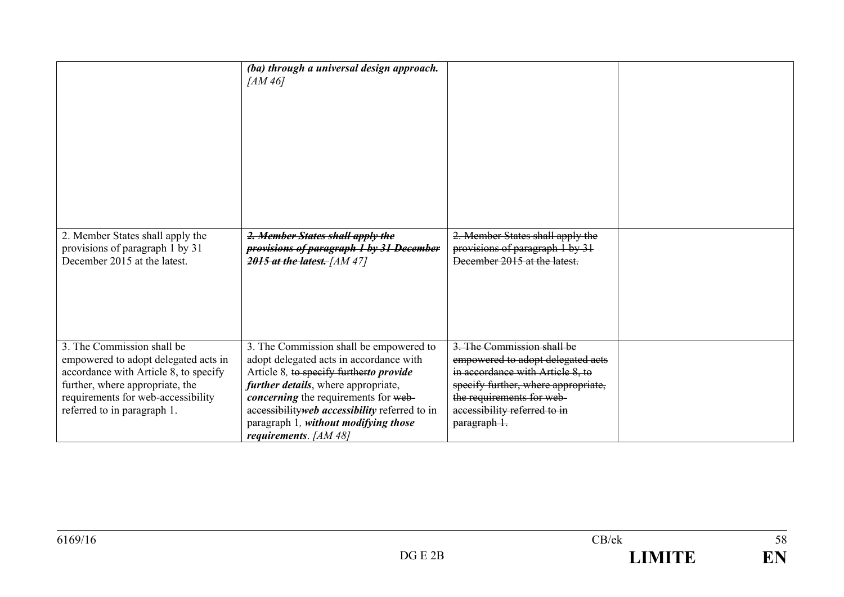|                                                                                                                                                                                                                     | (ba) through a universal design approach.<br>[AM 46]                                                                                                                                                                                                                                                                                              |                                                                                                                                                                                                                         |  |
|---------------------------------------------------------------------------------------------------------------------------------------------------------------------------------------------------------------------|---------------------------------------------------------------------------------------------------------------------------------------------------------------------------------------------------------------------------------------------------------------------------------------------------------------------------------------------------|-------------------------------------------------------------------------------------------------------------------------------------------------------------------------------------------------------------------------|--|
| 2. Member States shall apply the<br>provisions of paragraph 1 by 31<br>December 2015 at the latest.                                                                                                                 | 2. Member States shall apply the<br>provisions of paragraph 1 by 31 December<br>2015 at the latest. $[AM 47]$                                                                                                                                                                                                                                     | 2. Member States shall apply the<br>provisions of paragraph 1 by 31<br>December 2015 at the latest.                                                                                                                     |  |
| 3. The Commission shall be<br>empowered to adopt delegated acts in<br>accordance with Article 8, to specify<br>further, where appropriate, the<br>requirements for web-accessibility<br>referred to in paragraph 1. | 3. The Commission shall be empowered to<br>adopt delegated acts in accordance with<br>Article 8, to specify further to provide<br><i>further details</i> , where appropriate,<br><i>concerning</i> the requirements for web-<br>accessibility web accessibility referred to in<br>paragraph 1, without modifying those<br>requirements. $[AM 48]$ | 3. The Commission shall be<br>empowered to adopt delegated acts<br>in accordance with Article 8, to<br>specify further, where appropriate,<br>the requirements for web-<br>accessibility referred to in<br>paragraph 1. |  |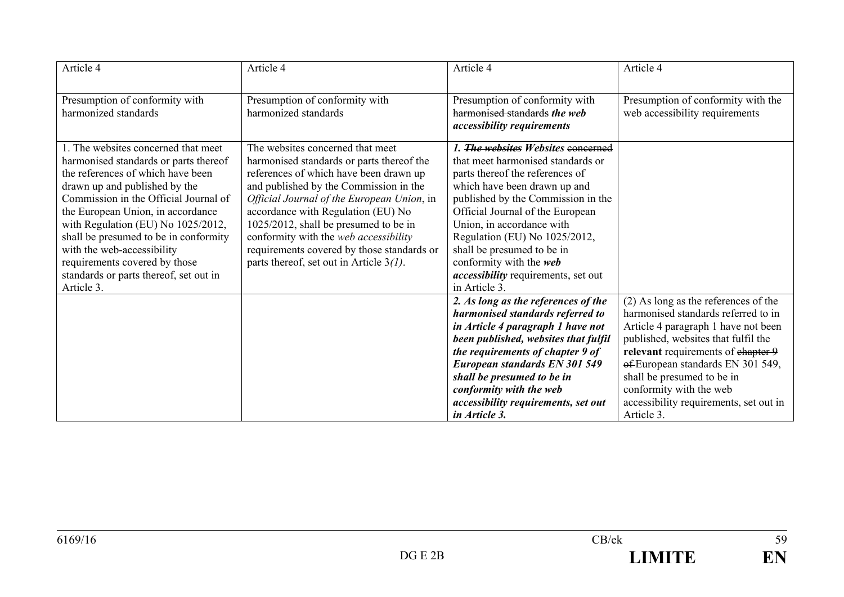| Article 4                                                                                                                                                                                                                                                                                                                                                                                                                              | Article 4                                                                                                                                                                                                                                                                                                                                                                                                                           | Article 4                                                                                                                                                                                                                                                                                                                                                                                                  | Article 4                                                                                                                                                                                                                                                                                                                                               |
|----------------------------------------------------------------------------------------------------------------------------------------------------------------------------------------------------------------------------------------------------------------------------------------------------------------------------------------------------------------------------------------------------------------------------------------|-------------------------------------------------------------------------------------------------------------------------------------------------------------------------------------------------------------------------------------------------------------------------------------------------------------------------------------------------------------------------------------------------------------------------------------|------------------------------------------------------------------------------------------------------------------------------------------------------------------------------------------------------------------------------------------------------------------------------------------------------------------------------------------------------------------------------------------------------------|---------------------------------------------------------------------------------------------------------------------------------------------------------------------------------------------------------------------------------------------------------------------------------------------------------------------------------------------------------|
| Presumption of conformity with<br>harmonized standards                                                                                                                                                                                                                                                                                                                                                                                 | Presumption of conformity with<br>harmonized standards                                                                                                                                                                                                                                                                                                                                                                              | Presumption of conformity with<br>harmonised standards the web<br><i>accessibility requirements</i>                                                                                                                                                                                                                                                                                                        | Presumption of conformity with the<br>web accessibility requirements                                                                                                                                                                                                                                                                                    |
| 1. The websites concerned that meet<br>harmonised standards or parts thereof<br>the references of which have been<br>drawn up and published by the<br>Commission in the Official Journal of<br>the European Union, in accordance<br>with Regulation (EU) No 1025/2012,<br>shall be presumed to be in conformity<br>with the web-accessibility<br>requirements covered by those<br>standards or parts thereof, set out in<br>Article 3. | The websites concerned that meet<br>harmonised standards or parts thereof the<br>references of which have been drawn up<br>and published by the Commission in the<br>Official Journal of the European Union, in<br>accordance with Regulation (EU) No<br>1025/2012, shall be presumed to be in<br>conformity with the web accessibility<br>requirements covered by those standards or<br>parts thereof, set out in Article $3(l)$ . | 1. The websites Websites concerned<br>that meet harmonised standards or<br>parts thereof the references of<br>which have been drawn up and<br>published by the Commission in the<br>Official Journal of the European<br>Union, in accordance with<br>Regulation (EU) No 1025/2012,<br>shall be presumed to be in<br>conformity with the web<br><i>accessibility</i> requirements, set out<br>in Article 3. |                                                                                                                                                                                                                                                                                                                                                         |
|                                                                                                                                                                                                                                                                                                                                                                                                                                        |                                                                                                                                                                                                                                                                                                                                                                                                                                     | 2. As long as the references of the<br>harmonised standards referred to<br>in Article 4 paragraph 1 have not<br>been published, websites that fulfil<br>the requirements of chapter 9 of<br>European standards EN 301 549<br>shall be presumed to be in<br>conformity with the web<br>accessibility requirements, set out<br>in Article 3.                                                                 | $(2)$ As long as the references of the<br>harmonised standards referred to in<br>Article 4 paragraph 1 have not been<br>published, websites that fulfil the<br>relevant requirements of chapter 9<br>of-European standards EN 301 549,<br>shall be presumed to be in<br>conformity with the web<br>accessibility requirements, set out in<br>Article 3. |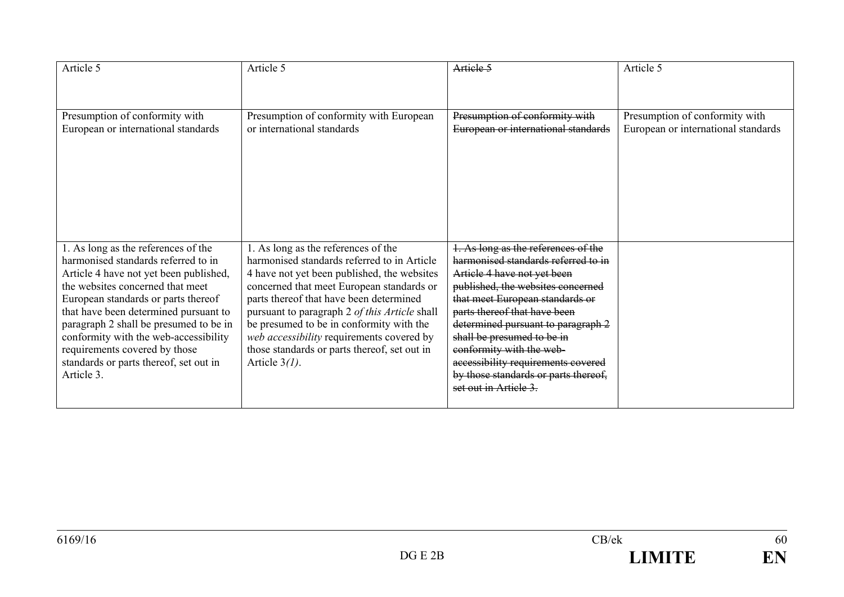| Article 5                                                                                                                                                                                                                                                                                                                                                                                                            | Article 5                                                                                                                                                                                                                                                                                                                                                                                                                               | Artiele 5                                                                                                                                                                                                                                                                                                                                                                                                                | Article 5                                                             |
|----------------------------------------------------------------------------------------------------------------------------------------------------------------------------------------------------------------------------------------------------------------------------------------------------------------------------------------------------------------------------------------------------------------------|-----------------------------------------------------------------------------------------------------------------------------------------------------------------------------------------------------------------------------------------------------------------------------------------------------------------------------------------------------------------------------------------------------------------------------------------|--------------------------------------------------------------------------------------------------------------------------------------------------------------------------------------------------------------------------------------------------------------------------------------------------------------------------------------------------------------------------------------------------------------------------|-----------------------------------------------------------------------|
| Presumption of conformity with<br>European or international standards                                                                                                                                                                                                                                                                                                                                                | Presumption of conformity with European<br>or international standards                                                                                                                                                                                                                                                                                                                                                                   | Presumption of conformity with<br>European or international standards                                                                                                                                                                                                                                                                                                                                                    | Presumption of conformity with<br>European or international standards |
| 1. As long as the references of the<br>harmonised standards referred to in<br>Article 4 have not yet been published,<br>the websites concerned that meet<br>European standards or parts thereof<br>that have been determined pursuant to<br>paragraph 2 shall be presumed to be in<br>conformity with the web-accessibility<br>requirements covered by those<br>standards or parts thereof, set out in<br>Article 3. | 1. As long as the references of the<br>harmonised standards referred to in Article<br>4 have not yet been published, the websites<br>concerned that meet European standards or<br>parts thereof that have been determined<br>pursuant to paragraph 2 of this Article shall<br>be presumed to be in conformity with the<br>web accessibility requirements covered by<br>those standards or parts thereof, set out in<br>Article $3(l)$ . | 1. As long as the references of the<br>harmonised standards referred to in<br>Article 4 have not yet been<br>published, the websites concerned<br>that meet European standards or<br>parts thereof that have been<br>determined pursuant to paragraph 2<br>shall be presumed to be in<br>conformity with the web-<br>accessibility requirements covered<br>by those standards or parts thereof,<br>set out in Article 3. |                                                                       |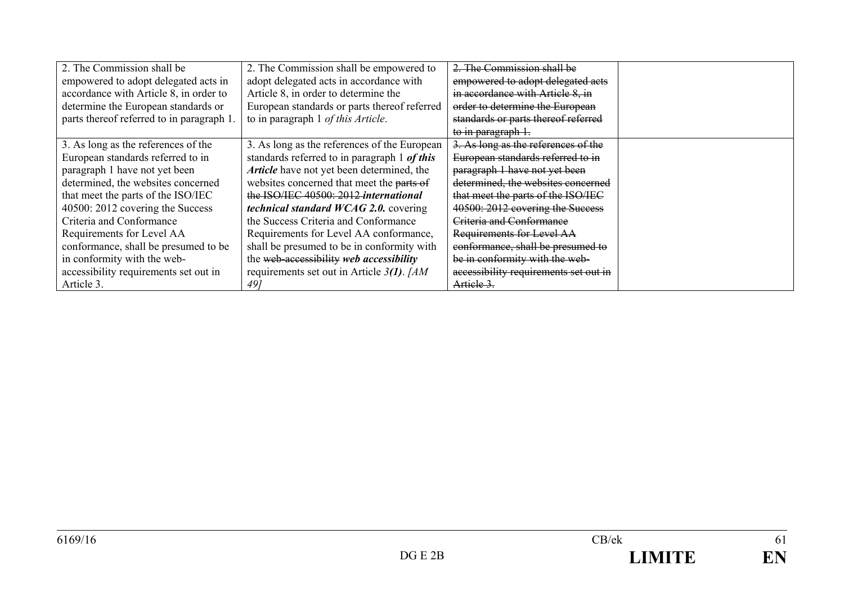| 2. The Commission shall be               | 2. The Commission shall be empowered to       | 2. The Commission shall be            |  |
|------------------------------------------|-----------------------------------------------|---------------------------------------|--|
| empowered to adopt delegated acts in     | adopt delegated acts in accordance with       | empowered to adopt delegated acts     |  |
| accordance with Article 8, in order to   | Article 8, in order to determine the          | in accordance with Article 8, in      |  |
| determine the European standards or      | European standards or parts thereof referred  | order to determine the European       |  |
| parts thereof referred to in paragraph 1 | to in paragraph 1 of this Article.            | standards or parts thereof referred   |  |
|                                          |                                               | to in paragraph 1.                    |  |
| 3. As long as the references of the      | 3. As long as the references of the European  | 3. As long as the references of the   |  |
| European standards referred to in        | standards referred to in paragraph 1 of this  | European standards referred to in     |  |
| paragraph 1 have not yet been            | Article have not yet been determined, the     | paragraph 1 have not yet been         |  |
| determined, the websites concerned       | websites concerned that meet the parts of     | determined, the websites concerned    |  |
| that meet the parts of the ISO/IEC       | the ISO/IEC 40500: 2012 international         | that meet the parts of the ISO/IEC    |  |
| 40500: 2012 covering the Success         | <i>technical standard WCAG 2.0.</i> covering  | 40500: 2012 covering the Success      |  |
| Criteria and Conformance                 | the Success Criteria and Conformance          | Criteria and Conformance              |  |
| Requirements for Level AA                | Requirements for Level AA conformance,        | Requirements for Level AA             |  |
| conformance, shall be presumed to be     | shall be presumed to be in conformity with    | conformance, shall be presumed to     |  |
| in conformity with the web-              | the web-accessibility web accessibility       | be in conformity with the web-        |  |
| accessibility requirements set out in    | requirements set out in Article $3(1)$ . [AM] | accessibility requirements set out in |  |
| Article 3.                               | 491                                           | Artiele 3.                            |  |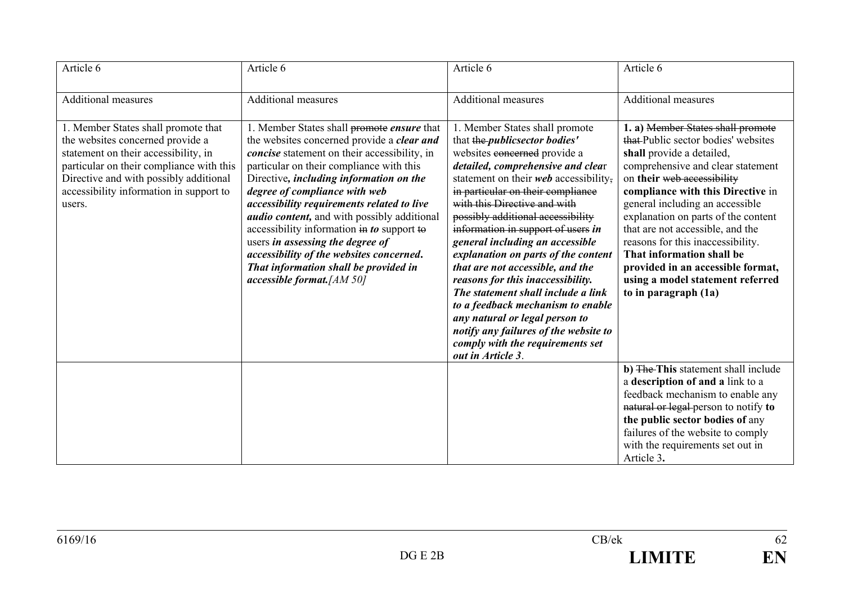| Article 6                                                                                                                                                                                                                                                  | Article 6                                                                                                                                                                                                                                                                                                                                                                                                                                                                                                                                                                    | Article 6                                                                                                                                                                                                                                                                                                                                                                                                                                                                                                                                                                                                                                                                                              | Article 6                                                                                                                                                                                                                                                                                                                                                                                                                                                                                        |
|------------------------------------------------------------------------------------------------------------------------------------------------------------------------------------------------------------------------------------------------------------|------------------------------------------------------------------------------------------------------------------------------------------------------------------------------------------------------------------------------------------------------------------------------------------------------------------------------------------------------------------------------------------------------------------------------------------------------------------------------------------------------------------------------------------------------------------------------|--------------------------------------------------------------------------------------------------------------------------------------------------------------------------------------------------------------------------------------------------------------------------------------------------------------------------------------------------------------------------------------------------------------------------------------------------------------------------------------------------------------------------------------------------------------------------------------------------------------------------------------------------------------------------------------------------------|--------------------------------------------------------------------------------------------------------------------------------------------------------------------------------------------------------------------------------------------------------------------------------------------------------------------------------------------------------------------------------------------------------------------------------------------------------------------------------------------------|
| <b>Additional measures</b>                                                                                                                                                                                                                                 | <b>Additional measures</b>                                                                                                                                                                                                                                                                                                                                                                                                                                                                                                                                                   | <b>Additional measures</b>                                                                                                                                                                                                                                                                                                                                                                                                                                                                                                                                                                                                                                                                             | <b>Additional measures</b>                                                                                                                                                                                                                                                                                                                                                                                                                                                                       |
| 1. Member States shall promote that<br>the websites concerned provide a<br>statement on their accessibility, in<br>particular on their compliance with this<br>Directive and with possibly additional<br>accessibility information in support to<br>users. | 1. Member States shall promote ensure that<br>the websites concerned provide a clear and<br>concise statement on their accessibility, in<br>particular on their compliance with this<br>Directive, including information on the<br>degree of compliance with web<br>accessibility requirements related to live<br><i>audio content</i> , and with possibly additional<br>accessibility information in to support to<br>users in assessing the degree of<br>accessibility of the websites concerned.<br>That information shall be provided in<br>$accessible$ format. [AM 50] | 1. Member States shall promote<br>that the <i>publicsector bodies'</i><br>websites eoncerned provide a<br>detailed, comprehensive and clear<br>statement on their web accessibility,<br>in particular on their compliance<br>with this Directive and with<br>possibly additional accessibility<br>information in support of users in<br>general including an accessible<br>explanation on parts of the content<br>that are not accessible, and the<br>reasons for this inaccessibility.<br>The statement shall include a link<br>to a feedback mechanism to enable<br>any natural or legal person to<br>notify any failures of the website to<br>comply with the requirements set<br>out in Article 3. | 1. a) Member States shall promote<br>that-Public sector bodies' websites<br>shall provide a detailed,<br>comprehensive and clear statement<br>on their web accessibility<br>compliance with this Directive in<br>general including an accessible<br>explanation on parts of the content<br>that are not accessible, and the<br>reasons for this inaccessibility.<br>That information shall be<br>provided in an accessible format,<br>using a model statement referred<br>to in paragraph $(1a)$ |
|                                                                                                                                                                                                                                                            |                                                                                                                                                                                                                                                                                                                                                                                                                                                                                                                                                                              |                                                                                                                                                                                                                                                                                                                                                                                                                                                                                                                                                                                                                                                                                                        | b) The This statement shall include<br>a description of and a link to a<br>feedback mechanism to enable any<br>natural or legal person to notify to<br>the public sector bodies of any<br>failures of the website to comply<br>with the requirements set out in<br>Article 3.                                                                                                                                                                                                                    |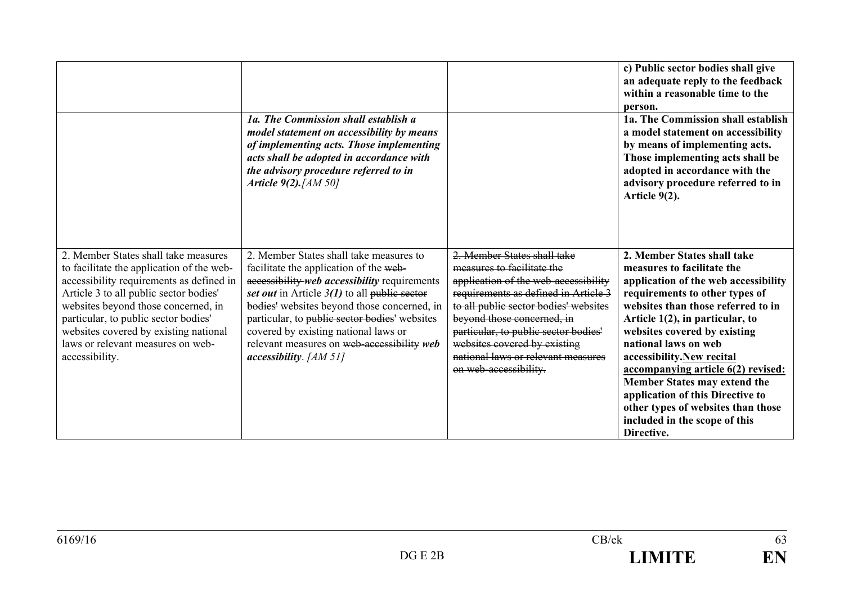|                                                                                                                                                                                                                                                                                                                                                        | 1a. The Commission shall establish a<br>model statement on accessibility by means<br>of implementing acts. Those implementing<br>acts shall be adopted in accordance with<br>the advisory procedure referred to in<br>Article $9(2)$ . [AM 50]                                                                                                                                                        |                                                                                                                                                                                                                                                                                                                                                         | c) Public sector bodies shall give<br>an adequate reply to the feedback<br>within a reasonable time to the<br>person.<br>1a. The Commission shall establish<br>a model statement on accessibility<br>by means of implementing acts.<br>Those implementing acts shall be<br>adopted in accordance with the<br>advisory procedure referred to in<br>Article $9(2)$ .                                                                                                                                  |
|--------------------------------------------------------------------------------------------------------------------------------------------------------------------------------------------------------------------------------------------------------------------------------------------------------------------------------------------------------|-------------------------------------------------------------------------------------------------------------------------------------------------------------------------------------------------------------------------------------------------------------------------------------------------------------------------------------------------------------------------------------------------------|---------------------------------------------------------------------------------------------------------------------------------------------------------------------------------------------------------------------------------------------------------------------------------------------------------------------------------------------------------|-----------------------------------------------------------------------------------------------------------------------------------------------------------------------------------------------------------------------------------------------------------------------------------------------------------------------------------------------------------------------------------------------------------------------------------------------------------------------------------------------------|
| 2. Member States shall take measures<br>to facilitate the application of the web-<br>accessibility requirements as defined in<br>Article 3 to all public sector bodies'<br>websites beyond those concerned, in<br>particular, to public sector bodies'<br>websites covered by existing national<br>laws or relevant measures on web-<br>accessibility. | 2. Member States shall take measures to<br>facilitate the application of the web-<br>accessibility web accessibility requirements<br>set out in Article $3(1)$ to all public sector<br>bodies' websites beyond those concerned, in<br>particular, to public sector bodies' websites<br>covered by existing national laws or<br>relevant measures on web-accessibility web<br>$accessibility.$ [AM 51] | 2. Member States shall take<br>measures to facilitate the<br>application of the web-accessibility<br>requirements as defined in Article 3<br>to all public sector bodies' websites<br>beyond those concerned, in<br>particular, to public sector bodies'<br>websites covered by existing<br>national laws or relevant measures<br>on web-accessibility. | 2. Member States shall take<br>measures to facilitate the<br>application of the web accessibility<br>requirements to other types of<br>websites than those referred to in<br>Article $1(2)$ , in particular, to<br>websites covered by existing<br>national laws on web<br>accessibility.New recital<br>accompanying article 6(2) revised:<br>Member States may extend the<br>application of this Directive to<br>other types of websites than those<br>included in the scope of this<br>Directive. |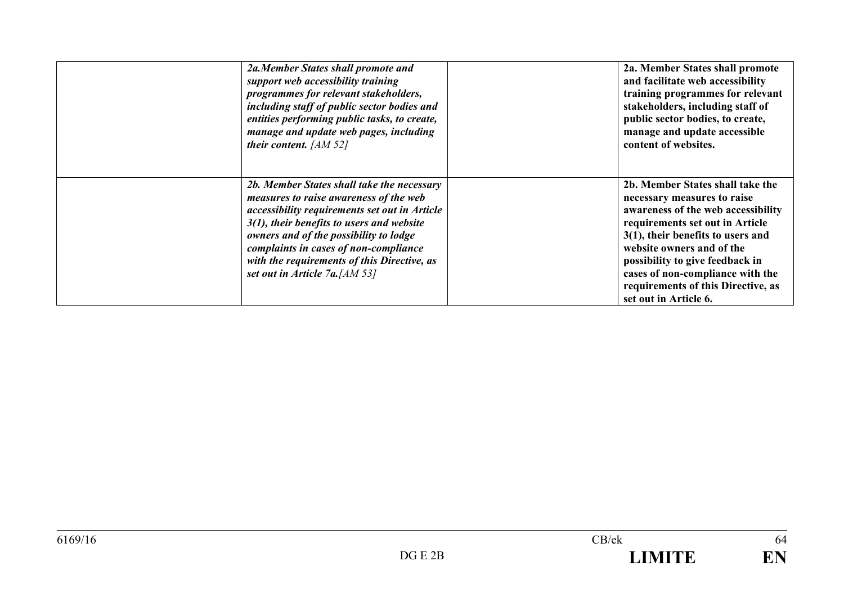| 2a.Member States shall promote and<br>support web accessibility training<br>programmes for relevant stakeholders,<br>including staff of public sector bodies and<br>entities performing public tasks, to create,<br>manage and update web pages, including<br>their content. $[AM 52]$                                                                    | 2a. Member States shall promote<br>and facilitate web accessibility<br>training programmes for relevant<br>stakeholders, including staff of<br>public sector bodies, to create,<br>manage and update accessible<br>content of websites.                                                                                                             |
|-----------------------------------------------------------------------------------------------------------------------------------------------------------------------------------------------------------------------------------------------------------------------------------------------------------------------------------------------------------|-----------------------------------------------------------------------------------------------------------------------------------------------------------------------------------------------------------------------------------------------------------------------------------------------------------------------------------------------------|
| 2b. Member States shall take the necessary<br>measures to raise awareness of the web<br>accessibility requirements set out in Article<br>$3(1)$ , their benefits to users and website<br>owners and of the possibility to lodge<br>complaints in cases of non-compliance<br>with the requirements of this Directive, as<br>set out in Article 7a. [AM 53] | 2b. Member States shall take the<br>necessary measures to raise<br>awareness of the web accessibility<br>requirements set out in Article<br>$3(1)$ , their benefits to users and<br>website owners and of the<br>possibility to give feedback in<br>cases of non-compliance with the<br>requirements of this Directive, as<br>set out in Article 6. |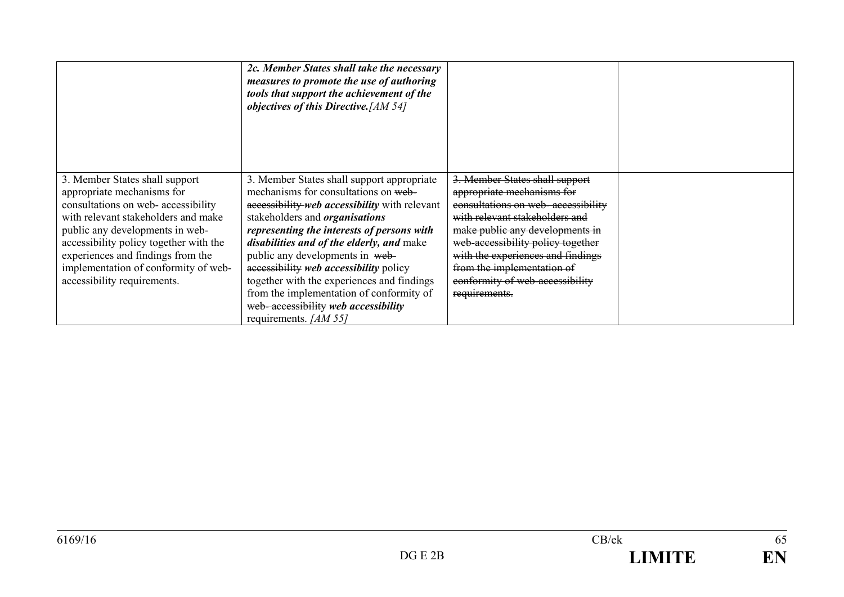|                                                                                                                                                                                                                                                                                                                                     | 2c. Member States shall take the necessary<br>measures to promote the use of authoring<br>tools that support the achievement of the<br><i>objectives of this Directive.</i> [AM 54]                                                                                                                                                                                                                                                                                                                            |                                                                                                                                                                                                                                                                                                                                     |  |
|-------------------------------------------------------------------------------------------------------------------------------------------------------------------------------------------------------------------------------------------------------------------------------------------------------------------------------------|----------------------------------------------------------------------------------------------------------------------------------------------------------------------------------------------------------------------------------------------------------------------------------------------------------------------------------------------------------------------------------------------------------------------------------------------------------------------------------------------------------------|-------------------------------------------------------------------------------------------------------------------------------------------------------------------------------------------------------------------------------------------------------------------------------------------------------------------------------------|--|
| 3. Member States shall support<br>appropriate mechanisms for<br>consultations on web- accessibility<br>with relevant stakeholders and make<br>public any developments in web-<br>accessibility policy together with the<br>experiences and findings from the<br>implementation of conformity of web-<br>accessibility requirements. | 3. Member States shall support appropriate<br>mechanisms for consultations on web-<br>accessibility web accessibility with relevant<br>stakeholders and <i>organisations</i><br>representing the interests of persons with<br>disabilities and of the elderly, and make<br>public any developments in web-<br>accessibility web accessibility policy<br>together with the experiences and findings<br>from the implementation of conformity of<br>web-accessibility web accessibility<br>requirements. [AM 55] | 3. Member States shall support<br>appropriate mechanisms for<br>consultations on web-accessibility<br>with relevant stakeholders and<br>make public any developments in<br>web-accessibility policy together<br>with the experiences and findings<br>from the implementation of<br>conformity of web-accessibility<br>requirements. |  |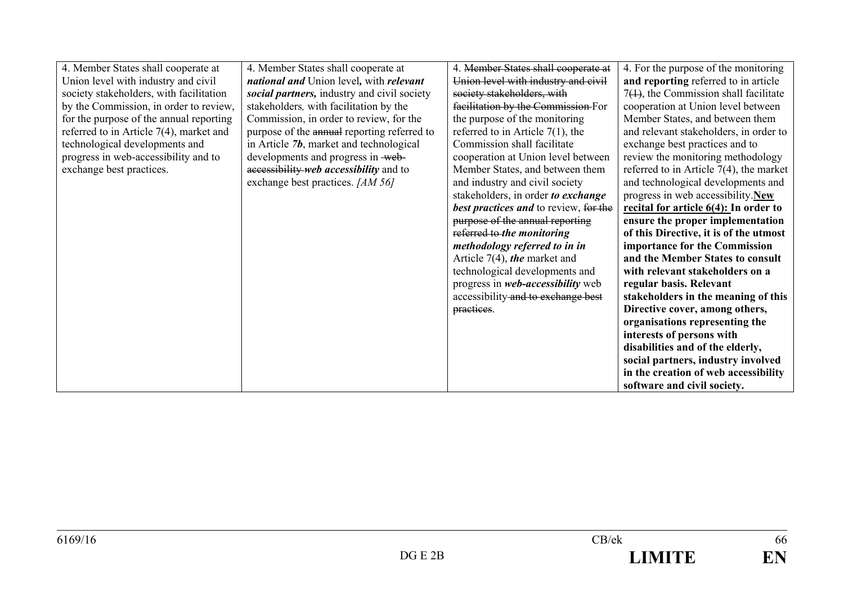| 4. Member States shall cooperate at        | 4. Member States shall cooperate at         | 4. Member States shall cooperate at           | 4. For the purpose of the monitoring       |
|--------------------------------------------|---------------------------------------------|-----------------------------------------------|--------------------------------------------|
| Union level with industry and civil        | national and Union level, with relevant     | Union level with industry and civil           | and reporting referred to in article       |
| society stakeholders, with facilitation    | social partners, industry and civil society | society stakeholders, with                    | $7(1)$ , the Commission shall facilitate   |
| by the Commission, in order to review,     | stakeholders, with facilitation by the      | facilitation by the Commission-For            | cooperation at Union level between         |
| for the purpose of the annual reporting    | Commission, in order to review, for the     | the purpose of the monitoring                 | Member States, and between them            |
| referred to in Article $7(4)$ , market and | purpose of the annual reporting referred to | referred to in Article $7(1)$ , the           | and relevant stakeholders, in order to     |
| technological developments and             | in Article $7b$ , market and technological  | Commission shall facilitate                   | exchange best practices and to             |
| progress in web-accessibility and to       | developments and progress in web-           | cooperation at Union level between            | review the monitoring methodology          |
| exchange best practices.                   | accessibility web accessibility and to      | Member States, and between them               | referred to in Article $7(4)$ , the market |
|                                            | exchange best practices. [AM 56]            | and industry and civil society                | and technological developments and         |
|                                            |                                             | stakeholders, in order to exchange            | progress in web accessibility.New          |
|                                            |                                             | <b>best practices and to review</b> , for the | recital for article $6(4)$ : In order to   |
|                                            |                                             | purpose of the annual reporting               | ensure the proper implementation           |
|                                            |                                             | referred to the monitoring                    | of this Directive, it is of the utmost     |
|                                            |                                             | methodology referred to in in                 | importance for the Commission              |
|                                            |                                             | Article $7(4)$ , the market and               | and the Member States to consult           |
|                                            |                                             | technological developments and                | with relevant stakeholders on a            |
|                                            |                                             | progress in <i>web-accessibility</i> web      | regular basis. Relevant                    |
|                                            |                                             | accessibility and to exchange best            | stakeholders in the meaning of this        |
|                                            |                                             | practices.                                    | Directive cover, among others,             |
|                                            |                                             |                                               | organisations representing the             |
|                                            |                                             |                                               | interests of persons with                  |
|                                            |                                             |                                               | disabilities and of the elderly,           |
|                                            |                                             |                                               | social partners, industry involved         |
|                                            |                                             |                                               | in the creation of web accessibility       |
|                                            |                                             |                                               | software and civil society.                |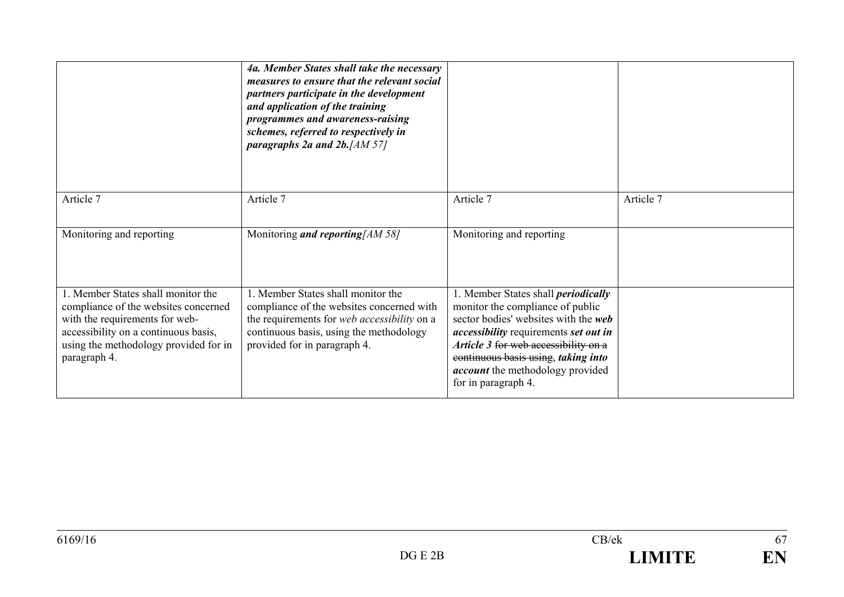|                                                                                                                                                                                                               | 4a. Member States shall take the necessary<br>measures to ensure that the relevant social<br>partners participate in the development<br>and application of the training<br>programmes and awareness-raising<br>schemes, referred to respectively in<br>paragraphs 2a and 2b. $[AM 57]$ |                                                                                                                                                                                                                                                                                                                                |           |
|---------------------------------------------------------------------------------------------------------------------------------------------------------------------------------------------------------------|----------------------------------------------------------------------------------------------------------------------------------------------------------------------------------------------------------------------------------------------------------------------------------------|--------------------------------------------------------------------------------------------------------------------------------------------------------------------------------------------------------------------------------------------------------------------------------------------------------------------------------|-----------|
| Article 7                                                                                                                                                                                                     | Article 7                                                                                                                                                                                                                                                                              | Article 7                                                                                                                                                                                                                                                                                                                      | Article 7 |
| Monitoring and reporting                                                                                                                                                                                      | Monitoring <i>and reporting</i> [AM 58]                                                                                                                                                                                                                                                | Monitoring and reporting                                                                                                                                                                                                                                                                                                       |           |
| 1. Member States shall monitor the<br>compliance of the websites concerned<br>with the requirements for web-<br>accessibility on a continuous basis,<br>using the methodology provided for in<br>paragraph 4. | 1. Member States shall monitor the<br>compliance of the websites concerned with<br>the requirements for web accessibility on a<br>continuous basis, using the methodology<br>provided for in paragraph 4.                                                                              | 1. Member States shall <i>periodically</i><br>monitor the compliance of public<br>sector bodies' websites with the <i>web</i><br><i>accessibility</i> requirements set out in<br>Article 3 for web accessibility on a<br>continuous basis using, taking into<br><i>account</i> the methodology provided<br>for in paragraph 4. |           |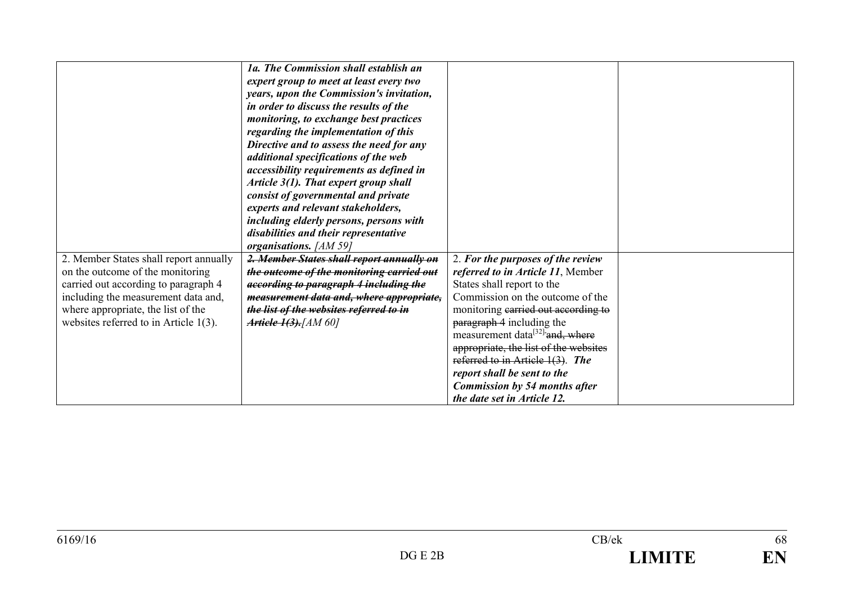|                                          | 1a. The Commission shall establish an     |                                             |  |
|------------------------------------------|-------------------------------------------|---------------------------------------------|--|
|                                          | expert group to meet at least every two   |                                             |  |
|                                          | years, upon the Commission's invitation,  |                                             |  |
|                                          | in order to discuss the results of the    |                                             |  |
|                                          | monitoring, to exchange best practices    |                                             |  |
|                                          | regarding the implementation of this      |                                             |  |
|                                          | Directive and to assess the need for any  |                                             |  |
|                                          | additional specifications of the web      |                                             |  |
|                                          | accessibility requirements as defined in  |                                             |  |
|                                          | Article 3(1). That expert group shall     |                                             |  |
|                                          | consist of governmental and private       |                                             |  |
|                                          | experts and relevant stakeholders,        |                                             |  |
|                                          | including elderly persons, persons with   |                                             |  |
|                                          | disabilities and their representative     |                                             |  |
|                                          | organisations. [AM 59]                    |                                             |  |
| 2. Member States shall report annually   | 2. Member States shall report annually on | 2. For the purposes of the review           |  |
| on the outcome of the monitoring         | the outcome of the monitoring carried out | referred to in Article 11, Member           |  |
| carried out according to paragraph 4     | according to paragraph 4 including the    | States shall report to the                  |  |
| including the measurement data and,      | measurement data and, where appropriate,  | Commission on the outcome of the            |  |
| where appropriate, the list of the       | the list of the websites referred to in   | monitoring carried out according to         |  |
| websites referred to in Article $1(3)$ . | <b>Article 1(3).</b> [AM 60]              | paragraph 4 including the                   |  |
|                                          |                                           | measurement data <sup>[32]</sup> and, where |  |
|                                          |                                           | appropriate, the list of the websites       |  |
|                                          |                                           | referred to in Article 1(3). The            |  |
|                                          |                                           | report shall be sent to the                 |  |
|                                          |                                           | <b>Commission by 54 months after</b>        |  |
|                                          |                                           | the date set in Article 12.                 |  |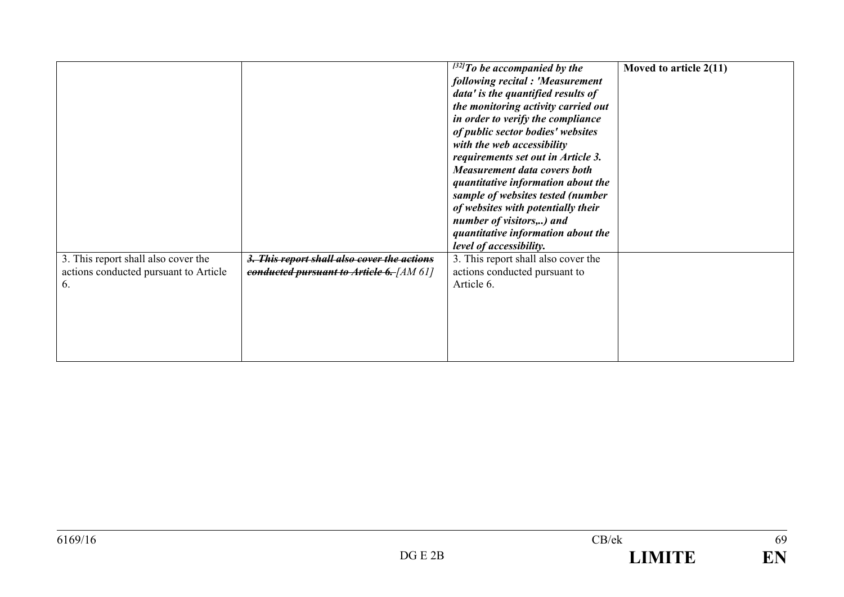|                                                                                    |                                                                                         | $^{[32]}$ To be accompanied by the<br>following recital : 'Measurement<br>data' is the quantified results of<br>the monitoring activity carried out<br>in order to verify the compliance<br>of public sector bodies' websites<br>with the web accessibility<br>requirements set out in Article 3.<br><b>Measurement data covers both</b><br>quantitative information about the<br>sample of websites tested (number<br>of websites with potentially their<br>number of visitors,) and<br>quantitative information about the<br>level of accessibility. | Moved to article $2(11)$ |
|------------------------------------------------------------------------------------|-----------------------------------------------------------------------------------------|--------------------------------------------------------------------------------------------------------------------------------------------------------------------------------------------------------------------------------------------------------------------------------------------------------------------------------------------------------------------------------------------------------------------------------------------------------------------------------------------------------------------------------------------------------|--------------------------|
| 3. This report shall also cover the<br>actions conducted pursuant to Article<br>6. | 3. This report shall also cover the actions<br>conducted pursuant to Article 6. [AM 61] | 3. This report shall also cover the<br>actions conducted pursuant to<br>Article 6.                                                                                                                                                                                                                                                                                                                                                                                                                                                                     |                          |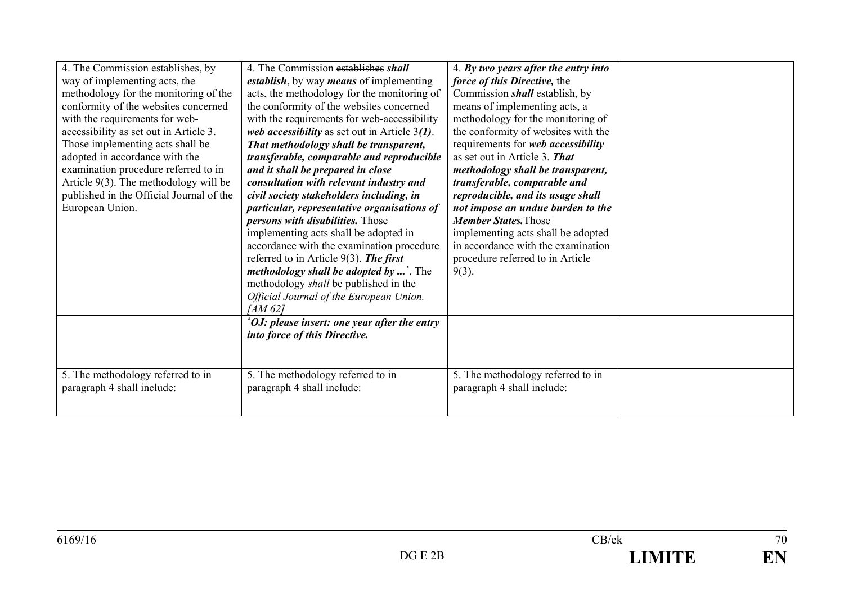| 4. The Commission establishes, by<br>way of implementing acts, the<br>methodology for the monitoring of the<br>conformity of the websites concerned<br>with the requirements for web-<br>accessibility as set out in Article 3.<br>Those implementing acts shall be<br>adopted in accordance with the<br>examination procedure referred to in<br>Article $9(3)$ . The methodology will be<br>published in the Official Journal of the<br>European Union. | 4. The Commission establishes shall<br>establish, by way means of implementing<br>acts, the methodology for the monitoring of<br>the conformity of the websites concerned<br>with the requirements for web-accessibility<br>web accessibility as set out in Article $3(1)$ .<br>That methodology shall be transparent,<br>transferable, comparable and reproducible<br>and it shall be prepared in close<br>consultation with relevant industry and<br>civil society stakeholders including, in<br>particular, representative organisations of<br>persons with disabilities. Those<br>implementing acts shall be adopted in<br>accordance with the examination procedure<br>referred to in Article 9(3). The first<br><i>methodology shall be adopted by </i> <sup>*</sup> . The<br>methodology shall be published in the<br>Official Journal of the European Union.<br>[AM 62] | 4. By two years after the entry into<br>force of this Directive, the<br>Commission <i>shall</i> establish, by<br>means of implementing acts, a<br>methodology for the monitoring of<br>the conformity of websites with the<br>requirements for web accessibility<br>as set out in Article 3. That<br>methodology shall be transparent,<br>transferable, comparable and<br>reproducible, and its usage shall<br>not impose an undue burden to the<br><b>Member States. Those</b><br>implementing acts shall be adopted<br>in accordance with the examination<br>procedure referred to in Article<br>$9(3)$ . |  |
|----------------------------------------------------------------------------------------------------------------------------------------------------------------------------------------------------------------------------------------------------------------------------------------------------------------------------------------------------------------------------------------------------------------------------------------------------------|---------------------------------------------------------------------------------------------------------------------------------------------------------------------------------------------------------------------------------------------------------------------------------------------------------------------------------------------------------------------------------------------------------------------------------------------------------------------------------------------------------------------------------------------------------------------------------------------------------------------------------------------------------------------------------------------------------------------------------------------------------------------------------------------------------------------------------------------------------------------------------|-------------------------------------------------------------------------------------------------------------------------------------------------------------------------------------------------------------------------------------------------------------------------------------------------------------------------------------------------------------------------------------------------------------------------------------------------------------------------------------------------------------------------------------------------------------------------------------------------------------|--|
| 5. The methodology referred to in                                                                                                                                                                                                                                                                                                                                                                                                                        | *OJ: please insert: one year after the entry<br>into force of this Directive.<br>5. The methodology referred to in                                                                                                                                                                                                                                                                                                                                                                                                                                                                                                                                                                                                                                                                                                                                                              | 5. The methodology referred to in                                                                                                                                                                                                                                                                                                                                                                                                                                                                                                                                                                           |  |
| paragraph 4 shall include:                                                                                                                                                                                                                                                                                                                                                                                                                               | paragraph 4 shall include:                                                                                                                                                                                                                                                                                                                                                                                                                                                                                                                                                                                                                                                                                                                                                                                                                                                      | paragraph 4 shall include:                                                                                                                                                                                                                                                                                                                                                                                                                                                                                                                                                                                  |  |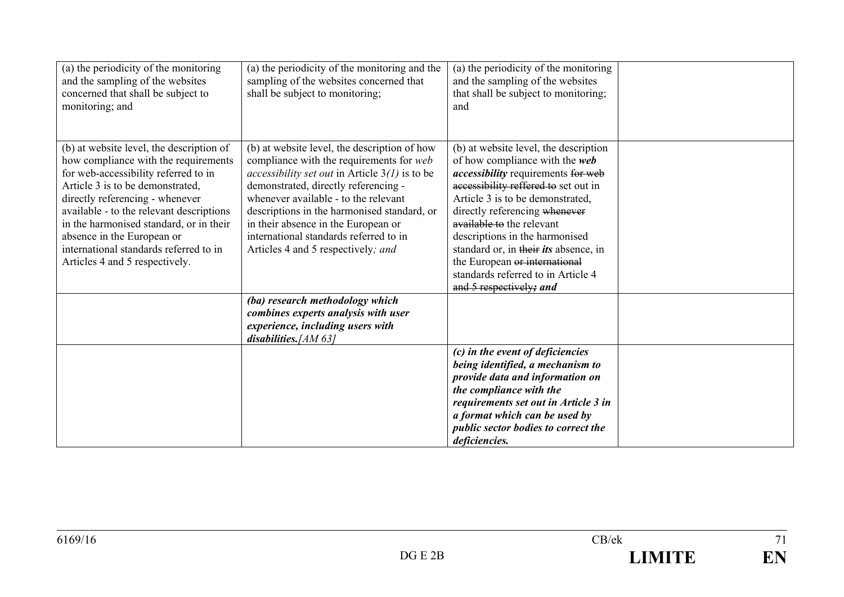| (a) the periodicity of the monitoring<br>and the sampling of the websites<br>concerned that shall be subject to<br>monitoring; and                                                                                                                                                                                                                                                               | (a) the periodicity of the monitoring and the<br>sampling of the websites concerned that<br>shall be subject to monitoring;                                                                                                                                                                                                                                                                               | (a) the periodicity of the monitoring<br>and the sampling of the websites<br>that shall be subject to monitoring;<br>and                                                                                                                                                                                                                                                                                                                    |  |
|--------------------------------------------------------------------------------------------------------------------------------------------------------------------------------------------------------------------------------------------------------------------------------------------------------------------------------------------------------------------------------------------------|-----------------------------------------------------------------------------------------------------------------------------------------------------------------------------------------------------------------------------------------------------------------------------------------------------------------------------------------------------------------------------------------------------------|---------------------------------------------------------------------------------------------------------------------------------------------------------------------------------------------------------------------------------------------------------------------------------------------------------------------------------------------------------------------------------------------------------------------------------------------|--|
| (b) at website level, the description of<br>how compliance with the requirements<br>for web-accessibility referred to in<br>Article 3 is to be demonstrated,<br>directly referencing - whenever<br>available - to the relevant descriptions<br>in the harmonised standard, or in their<br>absence in the European or<br>international standards referred to in<br>Articles 4 and 5 respectively. | (b) at website level, the description of how<br>compliance with the requirements for web<br><i>accessibility set out</i> in Article $3(l)$ is to be<br>demonstrated, directly referencing -<br>whenever available - to the relevant<br>descriptions in the harmonised standard, or<br>in their absence in the European or<br>international standards referred to in<br>Articles 4 and 5 respectively; and | (b) at website level, the description<br>of how compliance with the web<br><i>accessibility</i> requirements for web<br>accessibility reffered to set out in<br>Article 3 is to be demonstrated,<br>directly referencing whenever<br>available to the relevant<br>descriptions in the harmonised<br>standard or, in their its absence, in<br>the European or international<br>standards referred to in Article 4<br>and 5 respectively; and |  |
|                                                                                                                                                                                                                                                                                                                                                                                                  | (ba) research methodology which<br>combines experts analysis with user<br>experience, including users with<br>disabilities. [AM $63$ ]                                                                                                                                                                                                                                                                    |                                                                                                                                                                                                                                                                                                                                                                                                                                             |  |
|                                                                                                                                                                                                                                                                                                                                                                                                  |                                                                                                                                                                                                                                                                                                                                                                                                           | (c) in the event of deficiencies<br>being identified, a mechanism to<br>provide data and information on<br>the compliance with the<br>requirements set out in Article 3 in<br>a format which can be used by<br>public sector bodies to correct the<br>deficiencies.                                                                                                                                                                         |  |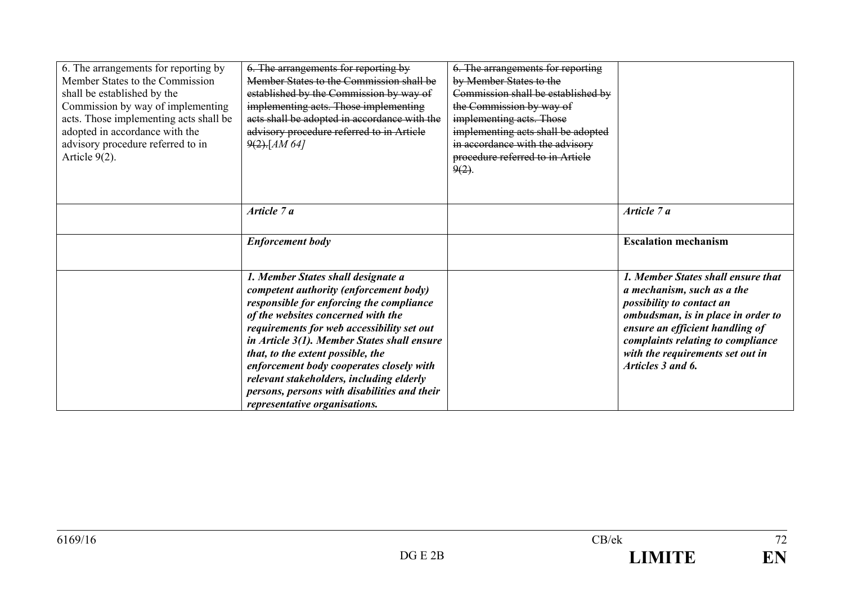| 6. The arrangements for reporting by<br>Member States to the Commission<br>shall be established by the<br>Commission by way of implementing<br>acts. Those implementing acts shall be<br>adopted in accordance with the<br>advisory procedure referred to in<br>Article $9(2)$ . | 6. The arrangements for reporting by<br>Member States to the Commission shall be<br>established by the Commission by way of<br>implementing acts. Those implementing<br>acts shall be adopted in accordance with the<br>advisory procedure referred to in Article<br>$9(2)$ -[AM 64]                                                                                                                                                                                      | 6. The arrangements for reporting<br>by Member States to the<br>Commission shall be established by<br>the Commission by way of<br>implementing acts. Those<br>implementing acts shall be adopted<br>in accordance with the advisory<br>procedure referred to in Article<br>$9(2)$ . |                                                                                                                                                                                                                                                                      |
|----------------------------------------------------------------------------------------------------------------------------------------------------------------------------------------------------------------------------------------------------------------------------------|---------------------------------------------------------------------------------------------------------------------------------------------------------------------------------------------------------------------------------------------------------------------------------------------------------------------------------------------------------------------------------------------------------------------------------------------------------------------------|-------------------------------------------------------------------------------------------------------------------------------------------------------------------------------------------------------------------------------------------------------------------------------------|----------------------------------------------------------------------------------------------------------------------------------------------------------------------------------------------------------------------------------------------------------------------|
|                                                                                                                                                                                                                                                                                  | Article 7 a                                                                                                                                                                                                                                                                                                                                                                                                                                                               |                                                                                                                                                                                                                                                                                     | Article 7 a                                                                                                                                                                                                                                                          |
|                                                                                                                                                                                                                                                                                  | <b>Enforcement body</b>                                                                                                                                                                                                                                                                                                                                                                                                                                                   |                                                                                                                                                                                                                                                                                     | <b>Escalation mechanism</b>                                                                                                                                                                                                                                          |
|                                                                                                                                                                                                                                                                                  | 1. Member States shall designate a<br>competent authority (enforcement body)<br>responsible for enforcing the compliance<br>of the websites concerned with the<br>requirements for web accessibility set out<br>in Article 3(1). Member States shall ensure<br>that, to the extent possible, the<br>enforcement body cooperates closely with<br>relevant stakeholders, including elderly<br>persons, persons with disabilities and their<br>representative organisations. |                                                                                                                                                                                                                                                                                     | 1. Member States shall ensure that<br>a mechanism, such as a the<br>possibility to contact an<br>ombudsman, is in place in order to<br>ensure an efficient handling of<br>complaints relating to compliance<br>with the requirements set out in<br>Articles 3 and 6. |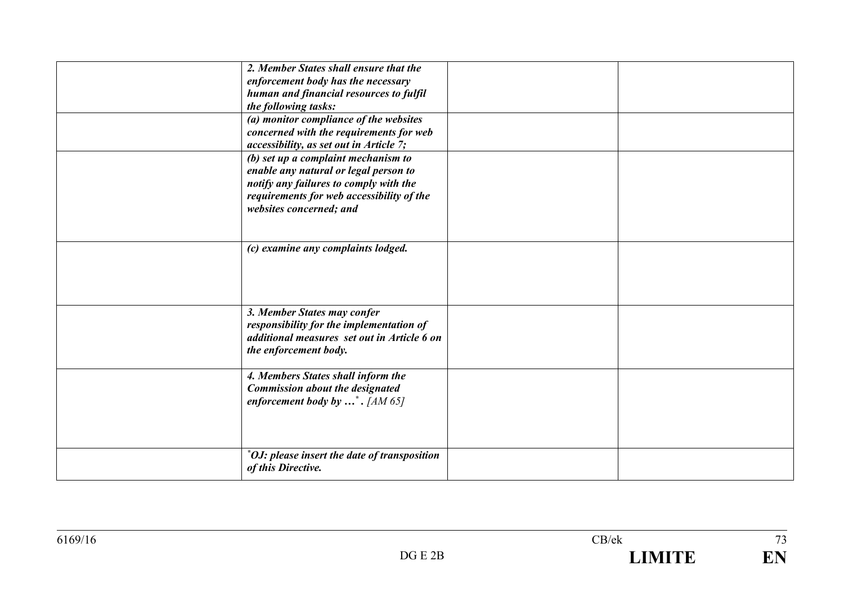| 2. Member States shall ensure that the              |  |
|-----------------------------------------------------|--|
| enforcement body has the necessary                  |  |
| human and financial resources to fulfil             |  |
| the following tasks:                                |  |
| (a) monitor compliance of the websites              |  |
| concerned with the requirements for web             |  |
| accessibility, as set out in Article 7;             |  |
| (b) set up a complaint mechanism to                 |  |
| enable any natural or legal person to               |  |
| notify any failures to comply with the              |  |
| requirements for web accessibility of the           |  |
| websites concerned; and                             |  |
|                                                     |  |
|                                                     |  |
| (c) examine any complaints lodged.                  |  |
|                                                     |  |
|                                                     |  |
|                                                     |  |
|                                                     |  |
| 3. Member States may confer                         |  |
| responsibility for the implementation of            |  |
| additional measures set out in Article 6 on         |  |
| the enforcement body.                               |  |
|                                                     |  |
| 4. Members States shall inform the                  |  |
| <b>Commission about the designated</b>              |  |
| enforcement body by $\ldots$ <sup>*</sup> . [AM 65] |  |
|                                                     |  |
|                                                     |  |
|                                                     |  |
| *OJ: please insert the date of transposition        |  |
| of this Directive.                                  |  |
|                                                     |  |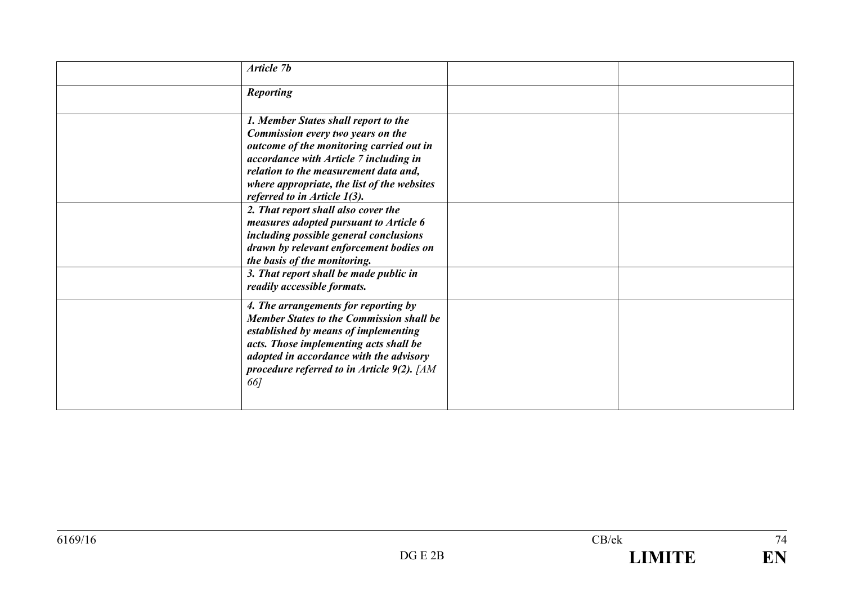| Article 7b                                                                                                                                                                                                                                                                                               |  |
|----------------------------------------------------------------------------------------------------------------------------------------------------------------------------------------------------------------------------------------------------------------------------------------------------------|--|
| <b>Reporting</b>                                                                                                                                                                                                                                                                                         |  |
| 1. Member States shall report to the<br>Commission every two years on the<br>outcome of the monitoring carried out in<br>accordance with Article 7 including in<br>relation to the measurement data and,<br>where appropriate, the list of the websites<br>referred to in Article 1(3).                  |  |
| 2. That report shall also cover the<br>measures adopted pursuant to Article 6<br>including possible general conclusions<br>drawn by relevant enforcement bodies on<br>the basis of the monitoring.<br>3. That report shall be made public in                                                             |  |
| readily accessible formats.<br>4. The arrangements for reporting by<br><b>Member States to the Commission shall be</b><br>established by means of implementing<br>acts. Those implementing acts shall be<br>adopted in accordance with the advisory<br>procedure referred to in Article 9(2). [AM<br>66] |  |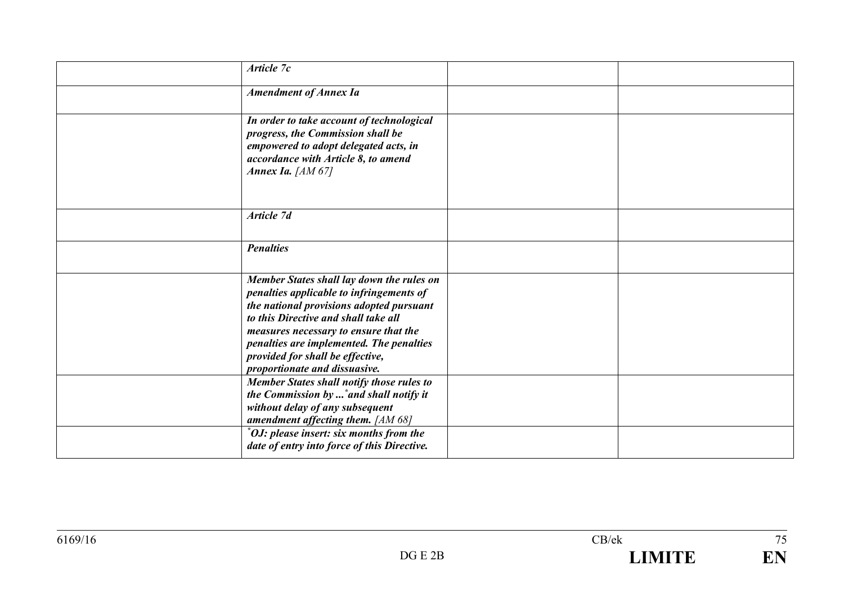| Article 7c                                                                   |  |
|------------------------------------------------------------------------------|--|
| <b>Amendment of Annex Ia</b>                                                 |  |
|                                                                              |  |
| In order to take account of technological                                    |  |
| progress, the Commission shall be                                            |  |
| empowered to adopt delegated acts, in                                        |  |
| accordance with Article 8, to amend<br>Annex Ia. $[AM 67]$                   |  |
|                                                                              |  |
|                                                                              |  |
|                                                                              |  |
| Article 7d                                                                   |  |
|                                                                              |  |
| <b>Penalties</b>                                                             |  |
|                                                                              |  |
| Member States shall lay down the rules on                                    |  |
| penalties applicable to infringements of                                     |  |
| the national provisions adopted pursuant                                     |  |
| to this Directive and shall take all                                         |  |
| measures necessary to ensure that the                                        |  |
| penalties are implemented. The penalties<br>provided for shall be effective, |  |
| proportionate and dissuasive.                                                |  |
| Member States shall notify those rules to                                    |  |
| the Commission by  * and shall notify it                                     |  |
| without delay of any subsequent                                              |  |
| amendment affecting them. [AM 68]                                            |  |
| *OJ: please insert: six months from the                                      |  |
| date of entry into force of this Directive.                                  |  |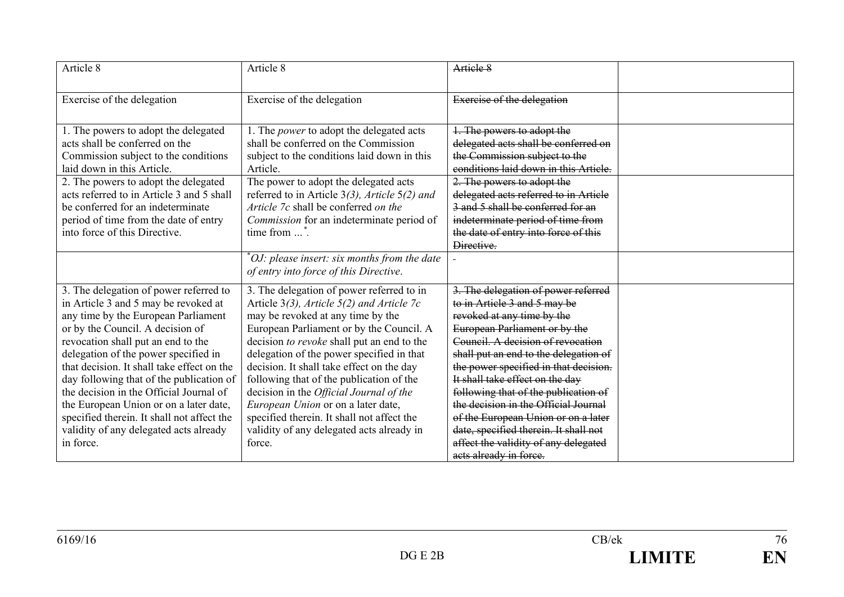| Article 8                                                                                                                                                                                                                                                                                                                                                                                                                                                                                                                   | Article 8                                                                                                                                                                                                                                                                                                                                                                                                                                                                                                                                              | Artiele 8                                                                                                                                                                                                                                                                                                                                                                                                                                                                                                                      |  |
|-----------------------------------------------------------------------------------------------------------------------------------------------------------------------------------------------------------------------------------------------------------------------------------------------------------------------------------------------------------------------------------------------------------------------------------------------------------------------------------------------------------------------------|--------------------------------------------------------------------------------------------------------------------------------------------------------------------------------------------------------------------------------------------------------------------------------------------------------------------------------------------------------------------------------------------------------------------------------------------------------------------------------------------------------------------------------------------------------|--------------------------------------------------------------------------------------------------------------------------------------------------------------------------------------------------------------------------------------------------------------------------------------------------------------------------------------------------------------------------------------------------------------------------------------------------------------------------------------------------------------------------------|--|
| Exercise of the delegation                                                                                                                                                                                                                                                                                                                                                                                                                                                                                                  | Exercise of the delegation                                                                                                                                                                                                                                                                                                                                                                                                                                                                                                                             | Exercise of the delegation                                                                                                                                                                                                                                                                                                                                                                                                                                                                                                     |  |
| 1. The powers to adopt the delegated<br>acts shall be conferred on the<br>Commission subject to the conditions<br>laid down in this Article.<br>2. The powers to adopt the delegated<br>acts referred to in Article 3 and 5 shall<br>be conferred for an indeterminate<br>period of time from the date of entry<br>into force of this Directive.                                                                                                                                                                            | 1. The <i>power</i> to adopt the delegated acts<br>shall be conferred on the Commission<br>subject to the conditions laid down in this<br>Article.<br>The power to adopt the delegated acts<br>referred to in Article $3(3)$ , Article $5(2)$ and<br>Article 7c shall be conferred on the<br>Commission for an indeterminate period of<br>time from $\dots$ <sup>*</sup> .                                                                                                                                                                             | 1. The powers to adopt the<br>delegated acts shall be conferred on<br>the Commission subject to the<br>conditions laid down in this Article.<br>2. The powers to adopt the<br>delegated acts referred to in Article<br>3 and 5 shall be conferred for an<br>indeterminate period of time from<br>the date of entry into force of this<br>Directive.                                                                                                                                                                            |  |
|                                                                                                                                                                                                                                                                                                                                                                                                                                                                                                                             | $"OJ: please insert: six months from the date$<br>of entry into force of this Directive.                                                                                                                                                                                                                                                                                                                                                                                                                                                               |                                                                                                                                                                                                                                                                                                                                                                                                                                                                                                                                |  |
| 3. The delegation of power referred to<br>in Article 3 and 5 may be revoked at<br>any time by the European Parliament<br>or by the Council. A decision of<br>revocation shall put an end to the<br>delegation of the power specified in<br>that decision. It shall take effect on the<br>day following that of the publication of<br>the decision in the Official Journal of<br>the European Union or on a later date,<br>specified therein. It shall not affect the<br>validity of any delegated acts already<br>in force. | 3. The delegation of power referred to in<br>Article $3(3)$ , Article $5(2)$ and Article 7c<br>may be revoked at any time by the<br>European Parliament or by the Council. A<br>decision to revoke shall put an end to the<br>delegation of the power specified in that<br>decision. It shall take effect on the day<br>following that of the publication of the<br>decision in the Official Journal of the<br>European Union or on a later date,<br>specified therein. It shall not affect the<br>validity of any delegated acts already in<br>force. | 3. The delegation of power referred<br>to in Article 3 and 5 may be<br>revoked at any time by the<br>European Parliament or by the<br>Council. A decision of revocation<br>shall put an end to the delegation of<br>the power specified in that decision.<br>It shall take effect on the day<br>following that of the publication of<br>the decision in the Official Journal<br>of the European Union or on a later<br>date, specified therein. It shall not<br>affect the validity of any delegated<br>acts already in force. |  |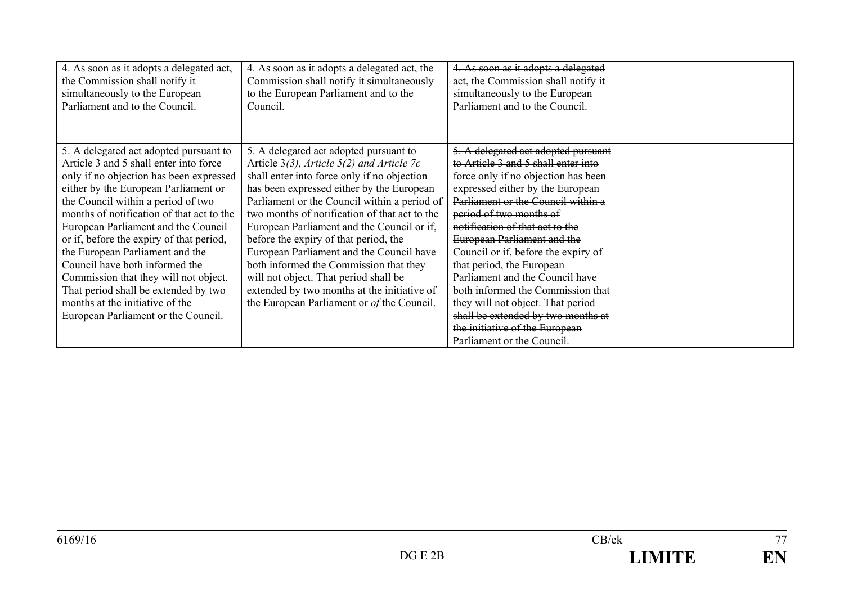| 4. As soon as it adopts a delegated act,                                                                                                                                                                                                                                                                                                                                                                                                                                                                                                                                  | 4. As soon as it adopts a delegated act, the                                                                                                                                                                                                                                                                                                                                                                                                                                                                                                                                                             | 4. As soon as it adopts a delegated                                                                                                                                                                                                                                                                                                                                                                                                                                                                                                                                                    |  |
|---------------------------------------------------------------------------------------------------------------------------------------------------------------------------------------------------------------------------------------------------------------------------------------------------------------------------------------------------------------------------------------------------------------------------------------------------------------------------------------------------------------------------------------------------------------------------|----------------------------------------------------------------------------------------------------------------------------------------------------------------------------------------------------------------------------------------------------------------------------------------------------------------------------------------------------------------------------------------------------------------------------------------------------------------------------------------------------------------------------------------------------------------------------------------------------------|----------------------------------------------------------------------------------------------------------------------------------------------------------------------------------------------------------------------------------------------------------------------------------------------------------------------------------------------------------------------------------------------------------------------------------------------------------------------------------------------------------------------------------------------------------------------------------------|--|
| the Commission shall notify it                                                                                                                                                                                                                                                                                                                                                                                                                                                                                                                                            | Commission shall notify it simultaneously                                                                                                                                                                                                                                                                                                                                                                                                                                                                                                                                                                | act, the Commission shall notify it                                                                                                                                                                                                                                                                                                                                                                                                                                                                                                                                                    |  |
| simultaneously to the European                                                                                                                                                                                                                                                                                                                                                                                                                                                                                                                                            | to the European Parliament and to the                                                                                                                                                                                                                                                                                                                                                                                                                                                                                                                                                                    | simultaneously to the European                                                                                                                                                                                                                                                                                                                                                                                                                                                                                                                                                         |  |
| Parliament and to the Council.                                                                                                                                                                                                                                                                                                                                                                                                                                                                                                                                            | Council.                                                                                                                                                                                                                                                                                                                                                                                                                                                                                                                                                                                                 | Parliament and to the Council.                                                                                                                                                                                                                                                                                                                                                                                                                                                                                                                                                         |  |
| 5. A delegated act adopted pursuant to<br>Article 3 and 5 shall enter into force<br>only if no objection has been expressed<br>either by the European Parliament or<br>the Council within a period of two<br>months of notification of that act to the<br>European Parliament and the Council<br>or if, before the expiry of that period,<br>the European Parliament and the<br>Council have both informed the<br>Commission that they will not object.<br>That period shall be extended by two<br>months at the initiative of the<br>European Parliament or the Council. | 5. A delegated act adopted pursuant to<br>Article $3(3)$ , Article $5(2)$ and Article 7c<br>shall enter into force only if no objection<br>has been expressed either by the European<br>Parliament or the Council within a period of<br>two months of notification of that act to the<br>European Parliament and the Council or if,<br>before the expiry of that period, the<br>European Parliament and the Council have<br>both informed the Commission that they<br>will not object. That period shall be<br>extended by two months at the initiative of<br>the European Parliament or of the Council. | 5. A delegated act adopted pursuant<br>to Article 3 and 5 shall enter into<br>force only if no objection has been<br>expressed either by the European<br>Parliament or the Council within a<br>period of two months of<br>notification of that act to the<br><b>European Parliament and the</b><br>Council or if, before the expiry of<br>that period, the European<br>Parliament and the Council have<br>both informed the Commission that<br>they will not object. That period<br>shall be extended by two months at<br>the initiative of the European<br>Parliament or the Council. |  |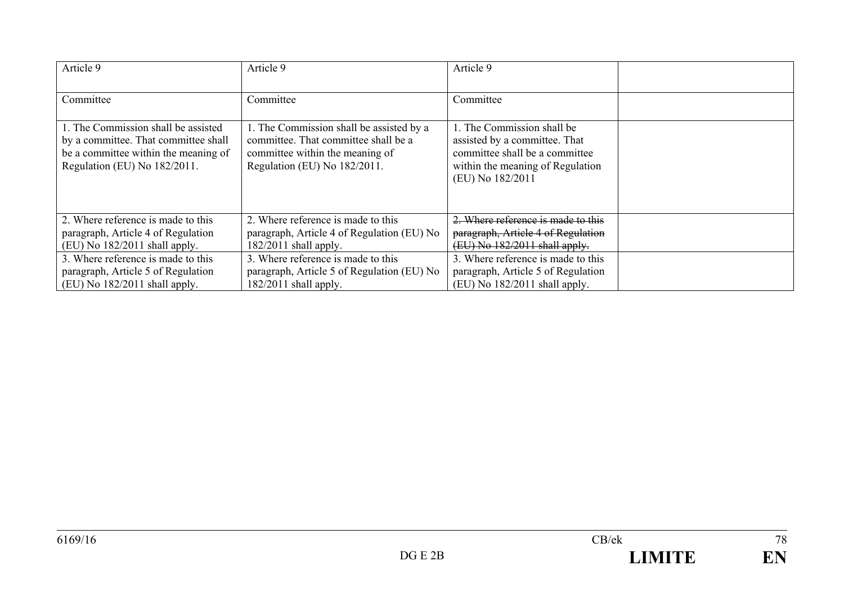| Article 9                                                                                                                                           | Article 9                                                                                                                                           | Article 9                                                                                                                                             |  |
|-----------------------------------------------------------------------------------------------------------------------------------------------------|-----------------------------------------------------------------------------------------------------------------------------------------------------|-------------------------------------------------------------------------------------------------------------------------------------------------------|--|
| Committee                                                                                                                                           | Committee                                                                                                                                           | Committee                                                                                                                                             |  |
| 1. The Commission shall be assisted<br>by a committee. That committee shall<br>be a committee within the meaning of<br>Regulation (EU) No 182/2011. | 1. The Commission shall be assisted by a<br>committee. That committee shall be a<br>committee within the meaning of<br>Regulation (EU) No 182/2011. | 1. The Commission shall be<br>assisted by a committee. That<br>committee shall be a committee<br>within the meaning of Regulation<br>(EU) No 182/2011 |  |
| 2. Where reference is made to this<br>paragraph, Article 4 of Regulation<br>$(EU)$ No 182/2011 shall apply.                                         | 2. Where reference is made to this<br>paragraph, Article 4 of Regulation (EU) No<br>$182/2011$ shall apply.                                         | 2. Where reference is made to this<br>paragraph, Article 4 of Regulation<br>(EU) No 182/2011 shall apply.                                             |  |
| 3. Where reference is made to this<br>paragraph, Article 5 of Regulation<br>$(EU)$ No 182/2011 shall apply.                                         | 3. Where reference is made to this<br>paragraph, Article 5 of Regulation (EU) No<br>$182/2011$ shall apply.                                         | 3. Where reference is made to this<br>paragraph, Article 5 of Regulation<br>$(EU)$ No 182/2011 shall apply.                                           |  |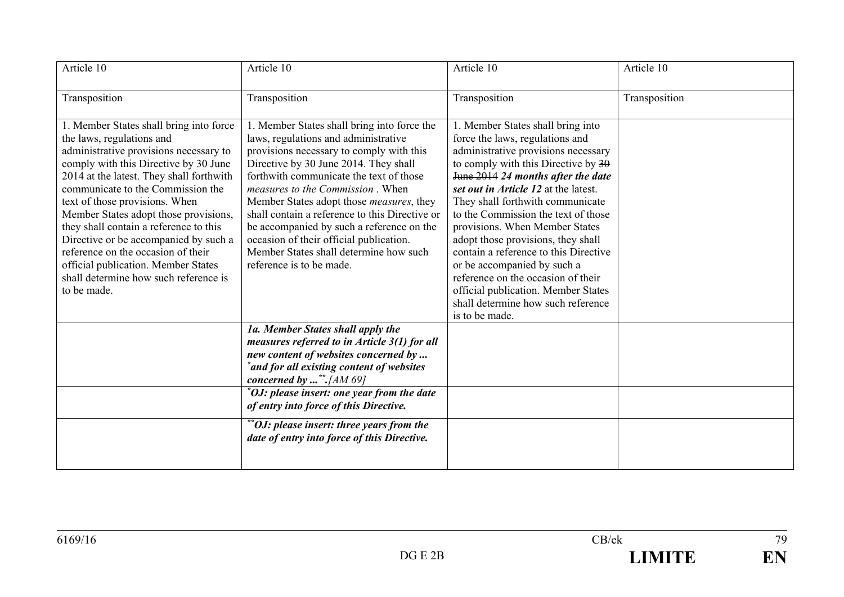| Article 10                                                                                                                                                                                                                                                                                                                                                                                                                                                                                                                                  | Article 10                                                                                                                                                                                                                                                                                                                                                                                                                                                                                                          | Article 10                                                                                                                                                                                                                                                                                                                                                                                                                                                                                                                                                                                       | Article 10    |
|---------------------------------------------------------------------------------------------------------------------------------------------------------------------------------------------------------------------------------------------------------------------------------------------------------------------------------------------------------------------------------------------------------------------------------------------------------------------------------------------------------------------------------------------|---------------------------------------------------------------------------------------------------------------------------------------------------------------------------------------------------------------------------------------------------------------------------------------------------------------------------------------------------------------------------------------------------------------------------------------------------------------------------------------------------------------------|--------------------------------------------------------------------------------------------------------------------------------------------------------------------------------------------------------------------------------------------------------------------------------------------------------------------------------------------------------------------------------------------------------------------------------------------------------------------------------------------------------------------------------------------------------------------------------------------------|---------------|
| Transposition                                                                                                                                                                                                                                                                                                                                                                                                                                                                                                                               | Transposition                                                                                                                                                                                                                                                                                                                                                                                                                                                                                                       | Transposition                                                                                                                                                                                                                                                                                                                                                                                                                                                                                                                                                                                    | Transposition |
| 1. Member States shall bring into force<br>the laws, regulations and<br>administrative provisions necessary to<br>comply with this Directive by 30 June<br>2014 at the latest. They shall forthwith<br>communicate to the Commission the<br>text of those provisions. When<br>Member States adopt those provisions,<br>they shall contain a reference to this<br>Directive or be accompanied by such a<br>reference on the occasion of their<br>official publication. Member States<br>shall determine how such reference is<br>to be made. | 1. Member States shall bring into force the<br>laws, regulations and administrative<br>provisions necessary to comply with this<br>Directive by 30 June 2014. They shall<br>forthwith communicate the text of those<br>measures to the Commission. When<br>Member States adopt those measures, they<br>shall contain a reference to this Directive or<br>be accompanied by such a reference on the<br>occasion of their official publication.<br>Member States shall determine how such<br>reference is to be made. | 1. Member States shall bring into<br>force the laws, regulations and<br>administrative provisions necessary<br>to comply with this Directive by 30<br>June 2014 24 months after the date<br>set out in Article 12 at the latest.<br>They shall forthwith communicate<br>to the Commission the text of those<br>provisions. When Member States<br>adopt those provisions, they shall<br>contain a reference to this Directive<br>or be accompanied by such a<br>reference on the occasion of their<br>official publication. Member States<br>shall determine how such reference<br>is to be made. |               |
|                                                                                                                                                                                                                                                                                                                                                                                                                                                                                                                                             | 1a. Member States shall apply the<br>measures referred to in Article $3(1)$ for all<br>new content of websites concerned by<br>*and for all existing content of websites<br>concerned by  **. [AM 69]                                                                                                                                                                                                                                                                                                               |                                                                                                                                                                                                                                                                                                                                                                                                                                                                                                                                                                                                  |               |
|                                                                                                                                                                                                                                                                                                                                                                                                                                                                                                                                             | *OJ: please insert: one year from the date<br>of entry into force of this Directive.                                                                                                                                                                                                                                                                                                                                                                                                                                |                                                                                                                                                                                                                                                                                                                                                                                                                                                                                                                                                                                                  |               |
|                                                                                                                                                                                                                                                                                                                                                                                                                                                                                                                                             | **OJ: please insert: three years from the<br>date of entry into force of this Directive.                                                                                                                                                                                                                                                                                                                                                                                                                            |                                                                                                                                                                                                                                                                                                                                                                                                                                                                                                                                                                                                  |               |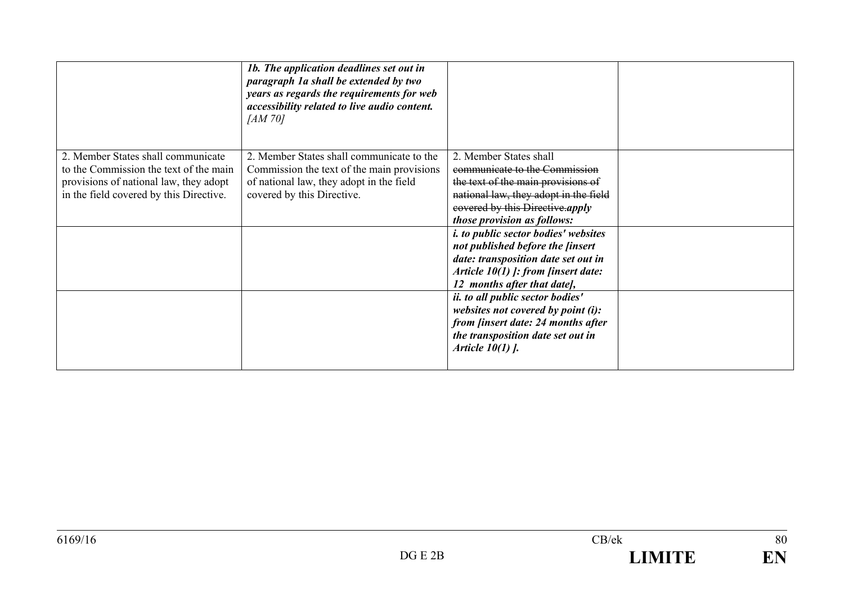|                                         | 1b. The application deadlines set out in<br>paragraph 1a shall be extended by two<br>years as regards the requirements for web<br>accessibility related to live audio content.<br>[AM 70] |                                             |  |
|-----------------------------------------|-------------------------------------------------------------------------------------------------------------------------------------------------------------------------------------------|---------------------------------------------|--|
| 2. Member States shall communicate      | 2. Member States shall communicate to the                                                                                                                                                 | 2. Member States shall                      |  |
| to the Commission the text of the main  | Commission the text of the main provisions                                                                                                                                                | communicate to the Commission               |  |
| provisions of national law, they adopt  | of national law, they adopt in the field                                                                                                                                                  | the text of the main provisions of          |  |
| in the field covered by this Directive. | covered by this Directive.                                                                                                                                                                | national law, they adopt in the field       |  |
|                                         |                                                                                                                                                                                           | eovered by this Directive.apply             |  |
|                                         |                                                                                                                                                                                           | those provision as follows:                 |  |
|                                         |                                                                                                                                                                                           | <i>i. to public sector bodies' websites</i> |  |
|                                         |                                                                                                                                                                                           | not published before the <i>finsert</i>     |  |
|                                         |                                                                                                                                                                                           | date: transposition date set out in         |  |
|                                         |                                                                                                                                                                                           | Article $10(1)$ ]: from [insert date:       |  |
|                                         |                                                                                                                                                                                           | 12 months after that date],                 |  |
|                                         |                                                                                                                                                                                           | ii. to all public sector bodies'            |  |
|                                         |                                                                                                                                                                                           | websites not covered by point $(i)$ :       |  |
|                                         |                                                                                                                                                                                           | from <i>finsert date: 24 months after</i>   |  |
|                                         |                                                                                                                                                                                           | the transposition date set out in           |  |
|                                         |                                                                                                                                                                                           | Article $10(1)$ .                           |  |
|                                         |                                                                                                                                                                                           |                                             |  |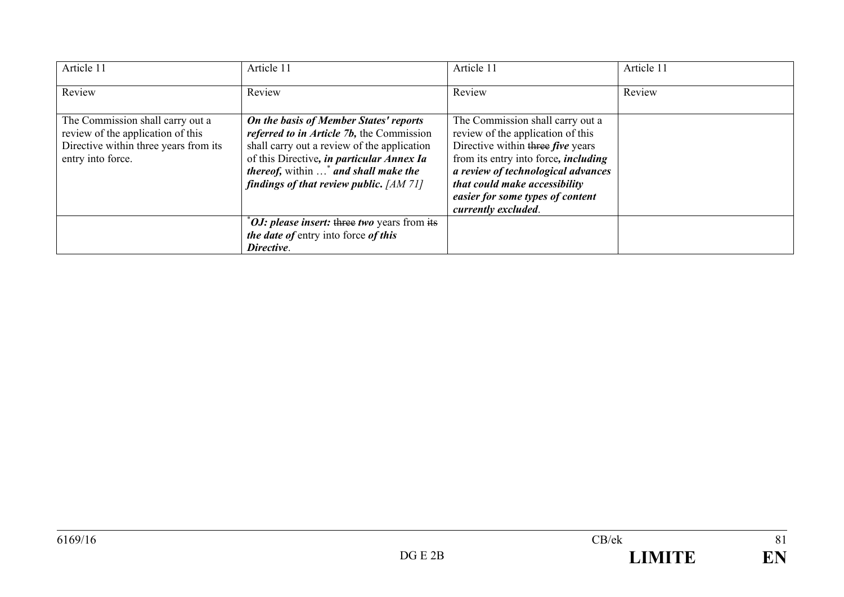| Article 11                                                                                                                          | Article 11                                                                                                                                                                                                                                                                                | Article 11                                                                                                                                                                                                                                                                                  | Article 11 |
|-------------------------------------------------------------------------------------------------------------------------------------|-------------------------------------------------------------------------------------------------------------------------------------------------------------------------------------------------------------------------------------------------------------------------------------------|---------------------------------------------------------------------------------------------------------------------------------------------------------------------------------------------------------------------------------------------------------------------------------------------|------------|
| Review                                                                                                                              | Review                                                                                                                                                                                                                                                                                    | Review                                                                                                                                                                                                                                                                                      | Review     |
| The Commission shall carry out a<br>review of the application of this<br>Directive within three years from its<br>entry into force. | On the basis of Member States' reports<br><i>referred to in Article 7b, the Commission</i><br>shall carry out a review of the application<br>of this Directive, in particular Annex Ia<br><i>thereof, within</i> * <i>and shall make the</i><br>findings of that review public. $[AM 71]$ | The Commission shall carry out a<br>review of the application of this<br>Directive within three five years<br>from its entry into force, <i>including</i><br>a review of technological advances<br>that could make accessibility<br>easier for some types of content<br>currently excluded. |            |
|                                                                                                                                     | <i><b>OJ:</b></i> please insert: three two years from its<br>the date of entry into force of this<br>Directive.                                                                                                                                                                           |                                                                                                                                                                                                                                                                                             |            |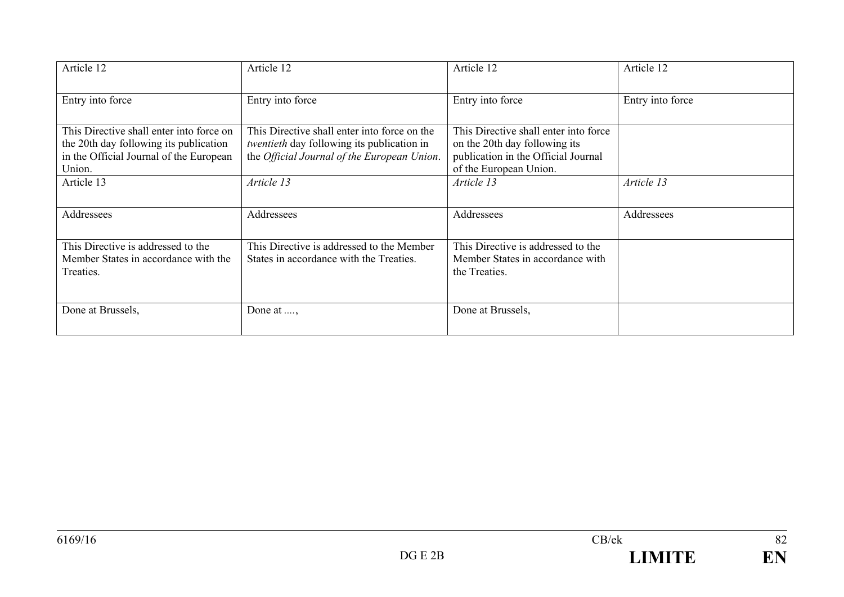| Article 12                                                                                                                              | Article 12                                                                                                                                       | Article 12                                                                                                                              | Article 12       |
|-----------------------------------------------------------------------------------------------------------------------------------------|--------------------------------------------------------------------------------------------------------------------------------------------------|-----------------------------------------------------------------------------------------------------------------------------------------|------------------|
| Entry into force                                                                                                                        | Entry into force                                                                                                                                 | Entry into force                                                                                                                        | Entry into force |
| This Directive shall enter into force on<br>the 20th day following its publication<br>in the Official Journal of the European<br>Union. | This Directive shall enter into force on the<br><i>twentieth</i> day following its publication in<br>the Official Journal of the European Union. | This Directive shall enter into force<br>on the 20th day following its<br>publication in the Official Journal<br>of the European Union. |                  |
| Article 13                                                                                                                              | Article 13                                                                                                                                       | Article 13                                                                                                                              | Article 13       |
| Addressees                                                                                                                              | Addressees                                                                                                                                       | Addressees                                                                                                                              | Addressees       |
| This Directive is addressed to the<br>Member States in accordance with the<br>Treaties.                                                 | This Directive is addressed to the Member<br>States in accordance with the Treaties.                                                             | This Directive is addressed to the<br>Member States in accordance with<br>the Treaties.                                                 |                  |
| Done at Brussels,                                                                                                                       | Done at ,                                                                                                                                        | Done at Brussels,                                                                                                                       |                  |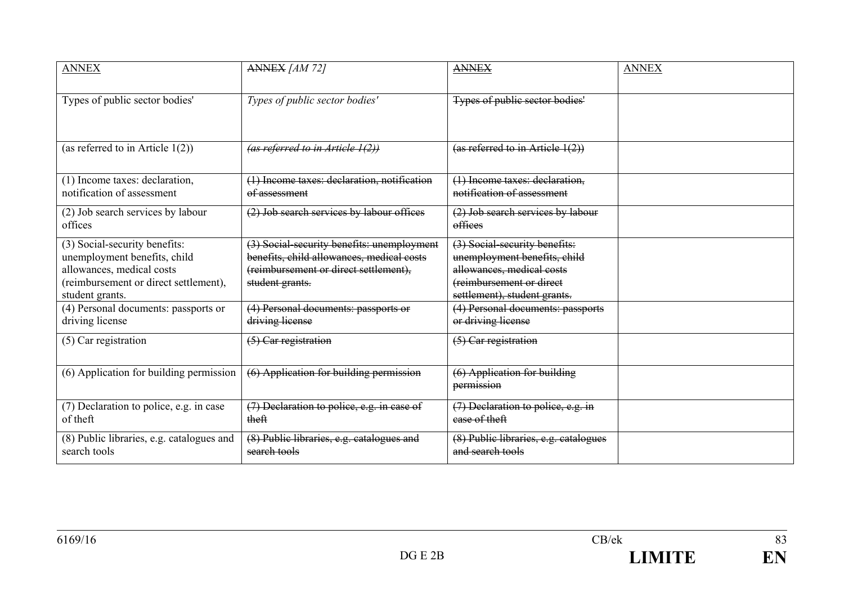| <b>ANNEX</b>                                                                                                                                           | ANNEX [AM 72]                                                                                                                                       | <b>ANNEX</b>                                                                                                                                           | <b>ANNEX</b> |
|--------------------------------------------------------------------------------------------------------------------------------------------------------|-----------------------------------------------------------------------------------------------------------------------------------------------------|--------------------------------------------------------------------------------------------------------------------------------------------------------|--------------|
| Types of public sector bodies'                                                                                                                         | Types of public sector bodies'                                                                                                                      | Types of public sector bodies'                                                                                                                         |              |
| (as referred to in Article $1(2)$ )                                                                                                                    | (as referred to in Article 1(2))                                                                                                                    | (as referred to in Article 1(2))                                                                                                                       |              |
| (1) Income taxes: declaration,<br>notification of assessment                                                                                           | (1) Income taxes: declaration, notification<br>of assessment                                                                                        | (1) Income taxes: declaration,<br>notification of assessment                                                                                           |              |
| (2) Job search services by labour<br>offices                                                                                                           | (2) Job search services by labour offices                                                                                                           | (2) Job search services by labour<br>offices                                                                                                           |              |
| (3) Social-security benefits:<br>unemployment benefits, child<br>allowances, medical costs<br>(reimbursement or direct settlement),<br>student grants. | (3) Social-security benefits: unemployment<br>benefits, child allowances, medical costs<br>(reimbursement or direct settlement),<br>student grants. | (3) Social-security benefits:<br>unemployment benefits, child<br>allowances, medical costs<br>(reimbursement or direct<br>settlement), student grants. |              |
| (4) Personal documents: passports or<br>driving license                                                                                                | (4) Personal documents: passports or<br>driving license                                                                                             | (4) Personal documents: passports<br>or driving license                                                                                                |              |
| (5) Car registration                                                                                                                                   | (5) Car registration                                                                                                                                | (5) Car registration                                                                                                                                   |              |
| (6) Application for building permission                                                                                                                | (6) Application for building permission                                                                                                             | (6) Application for building<br>permission                                                                                                             |              |
| (7) Declaration to police, e.g. in case<br>of theft                                                                                                    | $\sqrt{(7)}$ Declaration to police, e.g. in case of<br>theft                                                                                        | (7) Declaration to police, e.g. in<br>case of theft                                                                                                    |              |
| (8) Public libraries, e.g. catalogues and<br>search tools                                                                                              | (8) Public libraries, e.g. catalogues and<br>search tools                                                                                           | (8) Public libraries, e.g. catalogues<br>and search tools                                                                                              |              |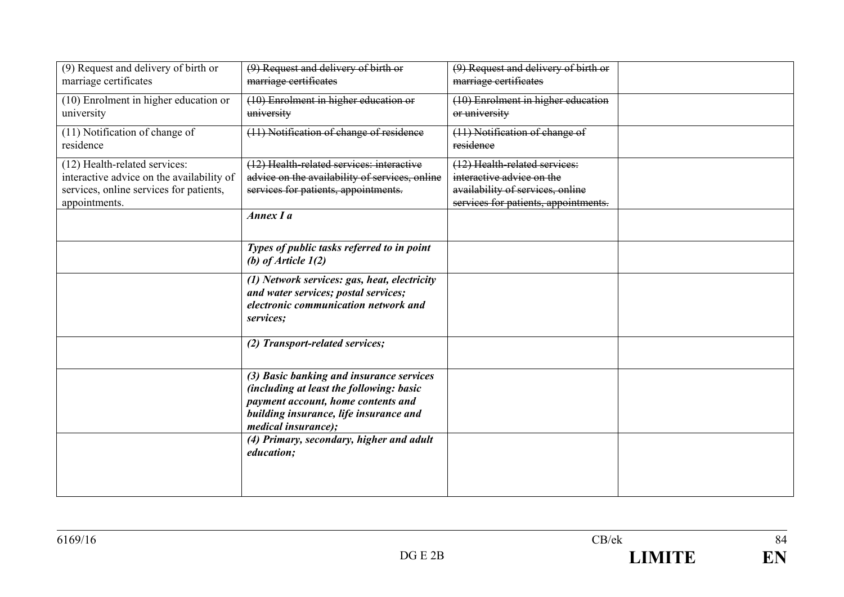| (9) Request and delivery of birth or<br>marriage certificates                                                                          | (9) Request and delivery of birth or<br>marriage certificates                                                                                                                                       | (9) Request and delivery of birth or<br>marriage certificates                                                                          |  |
|----------------------------------------------------------------------------------------------------------------------------------------|-----------------------------------------------------------------------------------------------------------------------------------------------------------------------------------------------------|----------------------------------------------------------------------------------------------------------------------------------------|--|
| (10) Enrolment in higher education or<br>university                                                                                    | (10) Enrolment in higher education or<br>university                                                                                                                                                 | (10) Enrolment in higher education<br>or university                                                                                    |  |
| (11) Notification of change of<br>residence                                                                                            | (11) Notification of change of residence                                                                                                                                                            | (11) Notification of change of<br>residence                                                                                            |  |
| (12) Health-related services:<br>interactive advice on the availability of<br>services, online services for patients,<br>appointments. | (12) Health-related services: interactive<br>advice on the availability of services, online<br>services for patients, appointments.<br>Annex I a                                                    | (12) Health-related services:<br>interactive advice on the<br>availability of services, online<br>services for patients, appointments. |  |
|                                                                                                                                        | Types of public tasks referred to in point<br>(b) of Article $1(2)$                                                                                                                                 |                                                                                                                                        |  |
|                                                                                                                                        | (1) Network services: gas, heat, electricity<br>and water services; postal services;<br>electronic communication network and<br>services;                                                           |                                                                                                                                        |  |
|                                                                                                                                        | (2) Transport-related services;                                                                                                                                                                     |                                                                                                                                        |  |
|                                                                                                                                        | (3) Basic banking and insurance services<br>(including at least the following: basic<br>payment account, home contents and<br>building insurance, life insurance and<br><i>medical insurance</i> ); |                                                                                                                                        |  |
|                                                                                                                                        | (4) Primary, secondary, higher and adult<br>education;                                                                                                                                              |                                                                                                                                        |  |